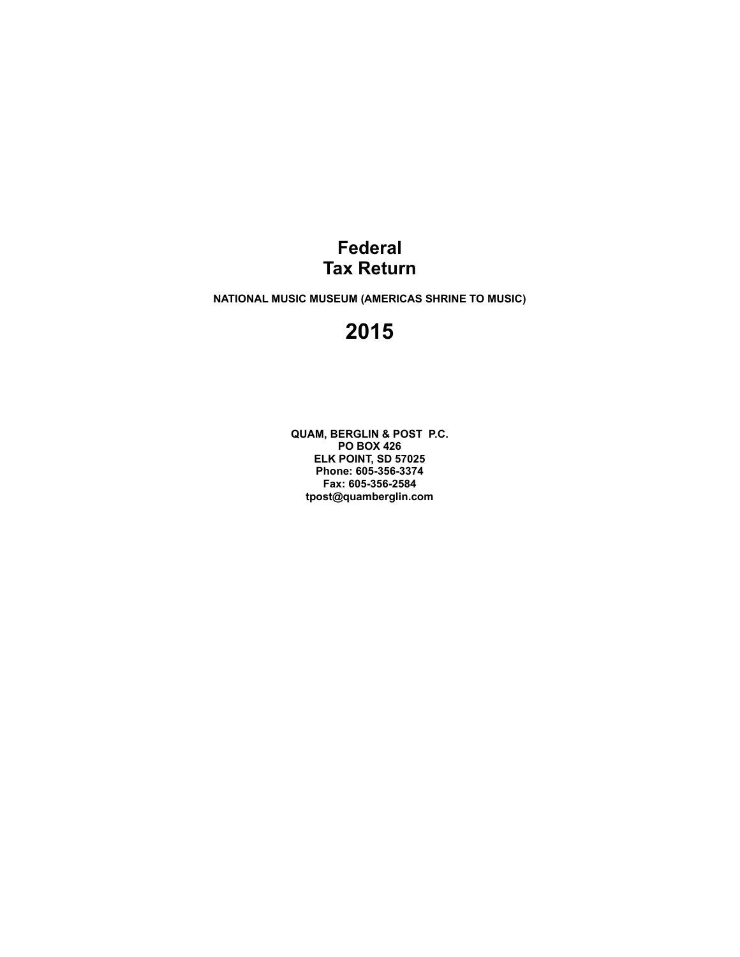### **Federal Tax Return**

**NATIONAL MUSIC MUSEUM (AMERICAS SHRINE TO MUSIC)**

### **2015**

**QUAM, BERGLIN & POST P.C. PO BOX 426 ELK POINT, SD 57025 Phone: 605-356-3374 Fax: 605-356-2584 tpost@quamberglin.com**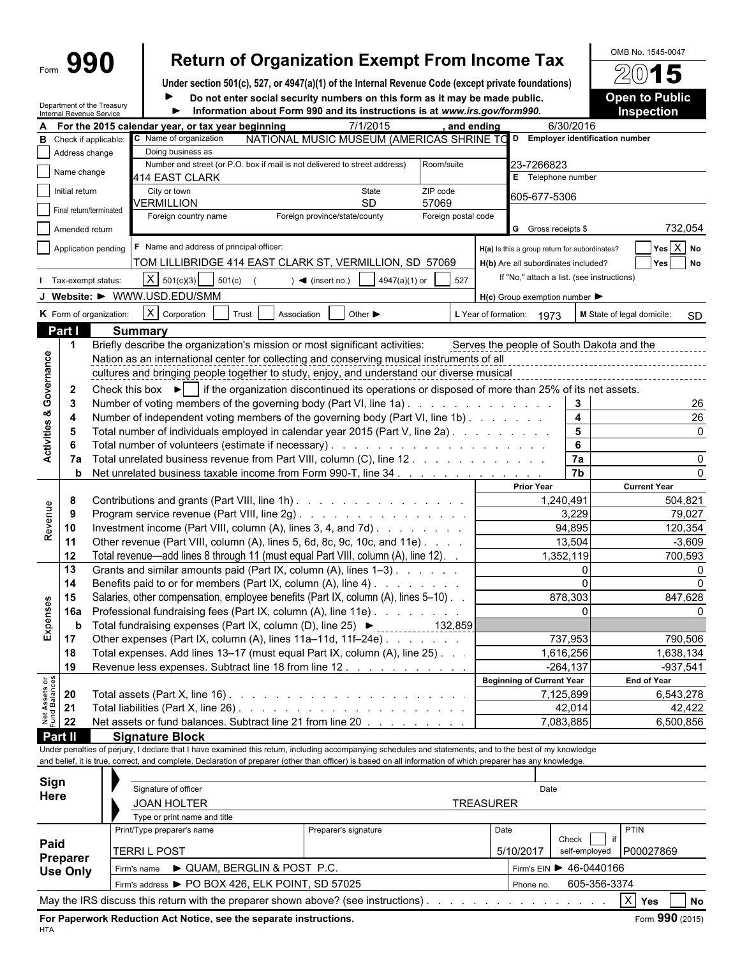# Form  $\mathbf{990}$  Return of Organization Exempt From Income Tax  $\frac{\text{OMB No. 1545-0047}}{\text{OMB No. 1545-0047}}$

**Under section 501(c), 527, or 4947(a)(1) of the Internal Revenue Code (except private foundations)**

Department of the Treasury Internal Revenue Service

**Do not enter social security numbers on this form as it may be made public. <b>Open to Public** ь **Information about Form 990 and its instructions is at** *www.irs.gov/form990.* **Inspection**

|                                |                 |                                                               | For the 2015 calendar year, or tax year beginning                                                                                                                                                                                                                                                                        |                             | 7/1/2015                                                                   |                     | and ending                |                                                     | 6/30/2016               |                                           |  |  |  |  |
|--------------------------------|-----------------|---------------------------------------------------------------|--------------------------------------------------------------------------------------------------------------------------------------------------------------------------------------------------------------------------------------------------------------------------------------------------------------------------|-----------------------------|----------------------------------------------------------------------------|---------------------|---------------------------|-----------------------------------------------------|-------------------------|-------------------------------------------|--|--|--|--|
| в                              |                 | Check if applicable:                                          | C Name of organization                                                                                                                                                                                                                                                                                                   |                             | NATIONAL MUSIC MUSEUM (AMERICAS SHRINE TO                                  |                     |                           |                                                     |                         | D Employer identification number          |  |  |  |  |
|                                | Address change  |                                                               | Doing business as                                                                                                                                                                                                                                                                                                        |                             |                                                                            |                     |                           |                                                     |                         |                                           |  |  |  |  |
|                                |                 |                                                               |                                                                                                                                                                                                                                                                                                                          |                             | Number and street (or P.O. box if mail is not delivered to street address) | Room/suite          |                           | 23-7266823                                          |                         |                                           |  |  |  |  |
|                                | Name change     |                                                               | 414 EAST CLARK                                                                                                                                                                                                                                                                                                           |                             |                                                                            |                     |                           | E Telephone number                                  |                         |                                           |  |  |  |  |
|                                | Initial return  |                                                               | City or town<br>VERMILLION                                                                                                                                                                                                                                                                                               |                             | State<br><b>SD</b>                                                         | ZIP code<br>57069   |                           | 605-677-5306                                        |                         |                                           |  |  |  |  |
|                                |                 | Final return/terminated                                       | Foreign country name                                                                                                                                                                                                                                                                                                     |                             | Foreign province/state/county                                              | Foreign postal code |                           |                                                     |                         |                                           |  |  |  |  |
|                                | Amended return  |                                                               |                                                                                                                                                                                                                                                                                                                          |                             |                                                                            |                     |                           | G Gross receipts \$                                 |                         | 732,054                                   |  |  |  |  |
|                                |                 | Application pending                                           | F Name and address of principal officer:                                                                                                                                                                                                                                                                                 |                             |                                                                            |                     |                           |                                                     |                         | Yes X No                                  |  |  |  |  |
|                                |                 |                                                               |                                                                                                                                                                                                                                                                                                                          |                             | TOM LILLIBRIDGE 414 EAST CLARK ST, VERMILLION, SD 57069                    |                     |                           | H(a) Is this a group return for subordinates?       |                         |                                           |  |  |  |  |
|                                |                 |                                                               |                                                                                                                                                                                                                                                                                                                          |                             |                                                                            |                     |                           | H(b) Are all subordinates included?                 |                         | Yes<br><b>No</b>                          |  |  |  |  |
|                                |                 | Tax-exempt status:                                            | $X \mid 501(c)(3)$<br>501(c)                                                                                                                                                                                                                                                                                             |                             | $\blacktriangleleft$ (insert no.)<br>4947(a)(1) or                         | 527                 |                           | If "No," attach a list. (see instructions)          |                         |                                           |  |  |  |  |
|                                |                 |                                                               | J Website: > WWW.USD.EDU/SMM                                                                                                                                                                                                                                                                                             |                             |                                                                            |                     |                           | $H(c)$ Group exemption number $\blacktriangleright$ |                         |                                           |  |  |  |  |
|                                |                 | K Form of organization:                                       | X Corporation                                                                                                                                                                                                                                                                                                            | Trust<br>Association        | Other $\blacktriangleright$                                                |                     | L Year of formation: 1973 |                                                     |                         | M State of legal domicile:<br>SD          |  |  |  |  |
|                                | Part I          |                                                               | <b>Summary</b>                                                                                                                                                                                                                                                                                                           |                             |                                                                            |                     |                           |                                                     |                         |                                           |  |  |  |  |
|                                | -1              |                                                               | Briefly describe the organization's mission or most significant activities:                                                                                                                                                                                                                                              |                             |                                                                            |                     |                           |                                                     |                         | Serves the people of South Dakota and the |  |  |  |  |
|                                |                 |                                                               | Nation as an international center for collecting and conserving musical instruments of all                                                                                                                                                                                                                               |                             |                                                                            |                     |                           |                                                     |                         |                                           |  |  |  |  |
| Governance                     |                 |                                                               | cultures and bringing people together to study, enjoy, and understand our diverse musical                                                                                                                                                                                                                                |                             |                                                                            |                     |                           |                                                     |                         |                                           |  |  |  |  |
|                                | $\mathbf{2}$    |                                                               | Check this box $\blacktriangleright$   if the organization discontinued its operations or disposed of more than 25% of its net assets.                                                                                                                                                                                   |                             |                                                                            |                     |                           |                                                     |                         |                                           |  |  |  |  |
|                                | -3              |                                                               | Number of voting members of the governing body (Part VI, line 1a)                                                                                                                                                                                                                                                        |                             |                                                                            |                     |                           |                                                     | 3                       | 26                                        |  |  |  |  |
|                                | 4               |                                                               | Number of independent voting members of the governing body (Part VI, line 1b).                                                                                                                                                                                                                                           |                             |                                                                            |                     |                           |                                                     | $\overline{\mathbf{4}}$ | 26                                        |  |  |  |  |
| <b>Activities &amp;</b>        | 5               |                                                               | Total number of individuals employed in calendar year 2015 (Part V, line 2a).                                                                                                                                                                                                                                            |                             |                                                                            |                     |                           |                                                     | $\overline{\mathbf{5}}$ |                                           |  |  |  |  |
|                                | 6               |                                                               |                                                                                                                                                                                                                                                                                                                          |                             |                                                                            |                     |                           |                                                     | 6                       |                                           |  |  |  |  |
|                                | 7а              |                                                               | Total unrelated business revenue from Part VIII, column (C), line 12                                                                                                                                                                                                                                                     |                             |                                                                            |                     |                           |                                                     | 7a                      |                                           |  |  |  |  |
|                                | b               |                                                               | Net unrelated business taxable income from Form 990-T, line 34                                                                                                                                                                                                                                                           |                             |                                                                            |                     |                           |                                                     | $\overline{7b}$         |                                           |  |  |  |  |
|                                |                 |                                                               |                                                                                                                                                                                                                                                                                                                          |                             |                                                                            |                     |                           | <b>Prior Year</b>                                   |                         | <b>Current Year</b>                       |  |  |  |  |
|                                | 8               |                                                               | Contributions and grants (Part VIII, line 1h)                                                                                                                                                                                                                                                                            |                             |                                                                            |                     |                           |                                                     | 1,240,491               | 504,821                                   |  |  |  |  |
| Revenue                        | 9               | Program service revenue (Part VIII, line 2g)                  |                                                                                                                                                                                                                                                                                                                          |                             |                                                                            |                     | 3,229                     | 79,027                                              |                         |                                           |  |  |  |  |
|                                | 10              | Investment income (Part VIII, column (A), lines 3, 4, and 7d) |                                                                                                                                                                                                                                                                                                                          |                             |                                                                            |                     |                           | 94,895                                              | 120,354                 |                                           |  |  |  |  |
|                                | 11              |                                                               | Other revenue (Part VIII, column (A), lines 5, 6d, 8c, 9c, 10c, and 11e)                                                                                                                                                                                                                                                 |                             |                                                                            |                     |                           |                                                     | 13,504                  | $-3,609$                                  |  |  |  |  |
|                                | 12              |                                                               | Total revenue—add lines 8 through 11 (must equal Part VIII, column (A), line 12). .                                                                                                                                                                                                                                      |                             |                                                                            |                     |                           |                                                     | 1,352,119               | 700,593                                   |  |  |  |  |
|                                | 13              |                                                               | Grants and similar amounts paid (Part IX, column (A), lines 1-3)                                                                                                                                                                                                                                                         |                             |                                                                            |                     |                           |                                                     | 0                       |                                           |  |  |  |  |
|                                | 14              |                                                               | Benefits paid to or for members (Part IX, column (A), line 4)                                                                                                                                                                                                                                                            |                             |                                                                            |                     |                           |                                                     |                         |                                           |  |  |  |  |
|                                | 15              |                                                               | Salaries, other compensation, employee benefits (Part IX, column (A), lines 5-10).                                                                                                                                                                                                                                       |                             |                                                                            |                     |                           |                                                     | 878,303                 | 847,628                                   |  |  |  |  |
| Expenses                       | 16a             |                                                               | Professional fundraising fees (Part IX, column (A), line 11e)                                                                                                                                                                                                                                                            |                             |                                                                            |                     |                           |                                                     |                         |                                           |  |  |  |  |
|                                | b               |                                                               | Total fundraising expenses (Part IX, column (D), line 25) ▶                                                                                                                                                                                                                                                              |                             |                                                                            | 132,859             |                           |                                                     |                         |                                           |  |  |  |  |
|                                | 17              |                                                               | Other expenses (Part IX, column (A), lines 11a-11d, 11f-24e)                                                                                                                                                                                                                                                             |                             |                                                                            |                     |                           |                                                     | 737,953                 | 790,506                                   |  |  |  |  |
|                                | 18              |                                                               | Total expenses. Add lines 13-17 (must equal Part IX, column (A), line 25)                                                                                                                                                                                                                                                |                             |                                                                            |                     |                           |                                                     | 1,616,256               | 1,638,134                                 |  |  |  |  |
|                                | 19              |                                                               | Revenue less expenses. Subtract line 18 from line 12                                                                                                                                                                                                                                                                     |                             |                                                                            |                     |                           |                                                     | $-264, 137$             | $-937,541$                                |  |  |  |  |
|                                |                 |                                                               |                                                                                                                                                                                                                                                                                                                          |                             |                                                                            |                     |                           | <b>Beginning of Current Year</b>                    |                         | <b>End of Year</b>                        |  |  |  |  |
| Net Assets or<br>Fund Balances | 20              |                                                               |                                                                                                                                                                                                                                                                                                                          |                             |                                                                            |                     |                           |                                                     | 7,125,899               | 6,543,278                                 |  |  |  |  |
|                                | 21              |                                                               |                                                                                                                                                                                                                                                                                                                          |                             |                                                                            |                     |                           |                                                     | 42,014                  | 42,422                                    |  |  |  |  |
|                                | 22              |                                                               | Net assets or fund balances. Subtract line 21 from line 20                                                                                                                                                                                                                                                               |                             |                                                                            |                     |                           |                                                     | 7,083,885               | 6,500,856                                 |  |  |  |  |
|                                | Part II         |                                                               | <b>Signature Block</b>                                                                                                                                                                                                                                                                                                   |                             |                                                                            |                     |                           |                                                     |                         |                                           |  |  |  |  |
|                                |                 |                                                               | Under penalties of perjury, I declare that I have examined this return, including accompanying schedules and statements, and to the best of my knowledge<br>and belief, it is true, correct, and complete. Declaration of preparer (other than officer) is based on all information of which preparer has any knowledge. |                             |                                                                            |                     |                           |                                                     |                         |                                           |  |  |  |  |
|                                |                 |                                                               |                                                                                                                                                                                                                                                                                                                          |                             |                                                                            |                     |                           |                                                     |                         |                                           |  |  |  |  |
|                                | Sign            |                                                               | Signature of officer                                                                                                                                                                                                                                                                                                     |                             |                                                                            |                     |                           | Date                                                |                         |                                           |  |  |  |  |
|                                | Here            |                                                               | <b>JOAN HOLTER</b>                                                                                                                                                                                                                                                                                                       |                             |                                                                            |                     | <b>TREASURER</b>          |                                                     |                         |                                           |  |  |  |  |
|                                |                 |                                                               | Type or print name and title                                                                                                                                                                                                                                                                                             |                             |                                                                            |                     |                           |                                                     |                         |                                           |  |  |  |  |
|                                |                 |                                                               | Print/Type preparer's name                                                                                                                                                                                                                                                                                               |                             | Preparer's signature                                                       |                     | Date                      |                                                     |                         | PTIN                                      |  |  |  |  |
|                                | Paid            |                                                               |                                                                                                                                                                                                                                                                                                                          |                             |                                                                            |                     |                           |                                                     | Check                   | $\sim 100$                                |  |  |  |  |
|                                | Preparer        |                                                               | <b>TERRIL POST</b>                                                                                                                                                                                                                                                                                                       |                             |                                                                            |                     |                           | 5/10/2017                                           | self-employed           | P00027869                                 |  |  |  |  |
|                                | <b>Use Only</b> |                                                               | Firm's name                                                                                                                                                                                                                                                                                                              | ▶ QUAM, BERGLIN & POST P.C. |                                                                            |                     |                           | Firm's EIN ▶ 46-0440166                             |                         |                                           |  |  |  |  |
|                                |                 |                                                               | Firm's address > PO BOX 426, ELK POINT, SD 57025                                                                                                                                                                                                                                                                         |                             |                                                                            |                     |                           | Phone no.                                           |                         | 605-356-3374                              |  |  |  |  |
|                                |                 |                                                               | May the IRS discuss this return with the preparer shown above? (see instructions).                                                                                                                                                                                                                                       |                             |                                                                            |                     |                           |                                                     |                         | $\mathsf{X}$<br><b>No</b><br>Yes          |  |  |  |  |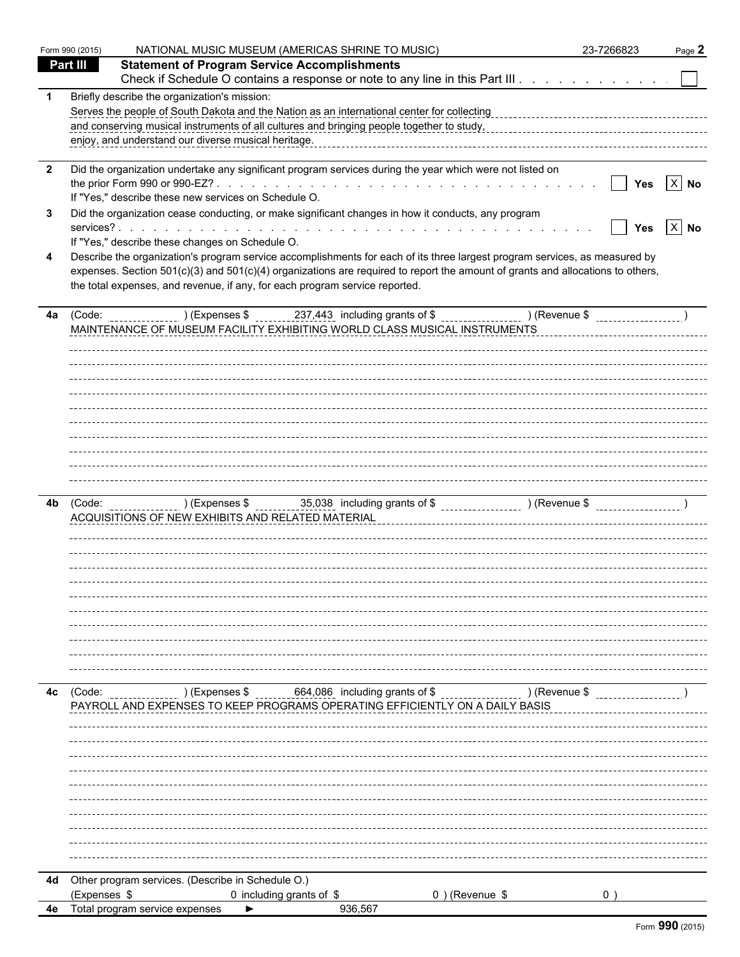|                         | Form 990 (2015) | NATIONAL MUSIC MUSEUM (AMERICAS SHRINE TO MUSIC)                                                                                                                                                                                                          | 23-7266823                                         | Page 2             |
|-------------------------|-----------------|-----------------------------------------------------------------------------------------------------------------------------------------------------------------------------------------------------------------------------------------------------------|----------------------------------------------------|--------------------|
|                         | <b>Part III</b> | <b>Statement of Program Service Accomplishments</b>                                                                                                                                                                                                       |                                                    |                    |
|                         |                 | Check if Schedule O contains a response or note to any line in this Part III.                                                                                                                                                                             |                                                    |                    |
| $\mathbf 1$             |                 | Briefly describe the organization's mission:                                                                                                                                                                                                              |                                                    |                    |
|                         |                 |                                                                                                                                                                                                                                                           |                                                    |                    |
|                         |                 | enjoy, and understand our diverse musical heritage.                                                                                                                                                                                                       |                                                    |                    |
|                         |                 |                                                                                                                                                                                                                                                           |                                                    |                    |
| $\overline{\mathbf{2}}$ |                 | Did the organization undertake any significant program services during the year which were not listed on                                                                                                                                                  |                                                    |                    |
|                         |                 |                                                                                                                                                                                                                                                           | $\boxed{\phantom{1}}$ Yes $\boxed{\phantom{1}}$ No |                    |
|                         |                 | If "Yes," describe these new services on Schedule O.                                                                                                                                                                                                      |                                                    |                    |
| 3                       |                 | Did the organization cease conducting, or make significant changes in how it conducts, any program                                                                                                                                                        | $\blacksquare$                                     | Yes $\boxed{X}$ No |
|                         |                 | If "Yes," describe these changes on Schedule O.                                                                                                                                                                                                           |                                                    |                    |
| 4                       |                 | Describe the organization's program service accomplishments for each of its three largest program services, as measured by                                                                                                                                |                                                    |                    |
|                         |                 | expenses. Section 501(c)(3) and 501(c)(4) organizations are required to report the amount of grants and allocations to others,                                                                                                                            |                                                    |                    |
|                         |                 | the total expenses, and revenue, if any, for each program service reported.                                                                                                                                                                               |                                                    |                    |
|                         |                 |                                                                                                                                                                                                                                                           |                                                    |                    |
|                         |                 | 4a (Code: ) (Expenses \$ 237,443 including grants of \$ ) (Revenue \$ )<br>MAINTENANCE OF MUSEUM FACILITY EXHIBITING WORLD CLASS MUSICAL INSTRUMENTS                                                                                                      |                                                    |                    |
|                         |                 |                                                                                                                                                                                                                                                           |                                                    |                    |
|                         |                 |                                                                                                                                                                                                                                                           |                                                    |                    |
|                         |                 |                                                                                                                                                                                                                                                           |                                                    |                    |
|                         |                 |                                                                                                                                                                                                                                                           |                                                    |                    |
|                         |                 |                                                                                                                                                                                                                                                           |                                                    |                    |
|                         |                 |                                                                                                                                                                                                                                                           |                                                    |                    |
|                         |                 |                                                                                                                                                                                                                                                           |                                                    |                    |
|                         |                 |                                                                                                                                                                                                                                                           |                                                    |                    |
|                         |                 |                                                                                                                                                                                                                                                           |                                                    |                    |
|                         |                 |                                                                                                                                                                                                                                                           |                                                    |                    |
| 4b                      |                 | (Code: ________________) (Expenses $\frac{1}{2}$ [20038] including grants of $\frac{1}{2}$ [2004] (Revenue $\frac{1}{2}$ [2004] (Revenue $\frac{1}{2}$ [2004] (Revenue $\frac{1}{2}$ [2004] (Revenue $\frac{1}{2}$ [2004] (Revenue $\frac{1}{2}$ [2004] ( |                                                    |                    |
|                         |                 |                                                                                                                                                                                                                                                           |                                                    |                    |
|                         |                 |                                                                                                                                                                                                                                                           |                                                    |                    |
|                         |                 |                                                                                                                                                                                                                                                           |                                                    |                    |
|                         |                 |                                                                                                                                                                                                                                                           |                                                    |                    |
|                         |                 |                                                                                                                                                                                                                                                           |                                                    |                    |
|                         |                 |                                                                                                                                                                                                                                                           |                                                    |                    |
|                         |                 |                                                                                                                                                                                                                                                           |                                                    |                    |
|                         |                 |                                                                                                                                                                                                                                                           |                                                    |                    |
|                         |                 |                                                                                                                                                                                                                                                           |                                                    |                    |
|                         |                 |                                                                                                                                                                                                                                                           |                                                    |                    |
| 4c                      |                 | (Code: ________________)(Expenses $$$ ________664,086 including grants of $$$ ______________________)(Revenue $$$                                                                                                                                         |                                                    |                    |
|                         |                 | PAYROLL AND EXPENSES TO KEEP PROGRAMS OPERATING EFFICIENTLY ON A DAILY BASIS                                                                                                                                                                              |                                                    |                    |
|                         |                 |                                                                                                                                                                                                                                                           |                                                    |                    |
|                         |                 |                                                                                                                                                                                                                                                           |                                                    |                    |
|                         |                 |                                                                                                                                                                                                                                                           |                                                    |                    |
|                         |                 |                                                                                                                                                                                                                                                           |                                                    |                    |
|                         |                 |                                                                                                                                                                                                                                                           |                                                    |                    |
|                         |                 |                                                                                                                                                                                                                                                           |                                                    |                    |
|                         |                 |                                                                                                                                                                                                                                                           |                                                    |                    |
|                         |                 |                                                                                                                                                                                                                                                           |                                                    |                    |
|                         |                 |                                                                                                                                                                                                                                                           |                                                    |                    |
|                         |                 | 4d Other program services. (Describe in Schedule O.)                                                                                                                                                                                                      |                                                    |                    |
|                         | (Expenses \$    | 0) (Revenue \$<br>0 including grants of \$                                                                                                                                                                                                                | $0$ )                                              |                    |
|                         |                 | 4e Total program service expenses<br>936,567                                                                                                                                                                                                              |                                                    |                    |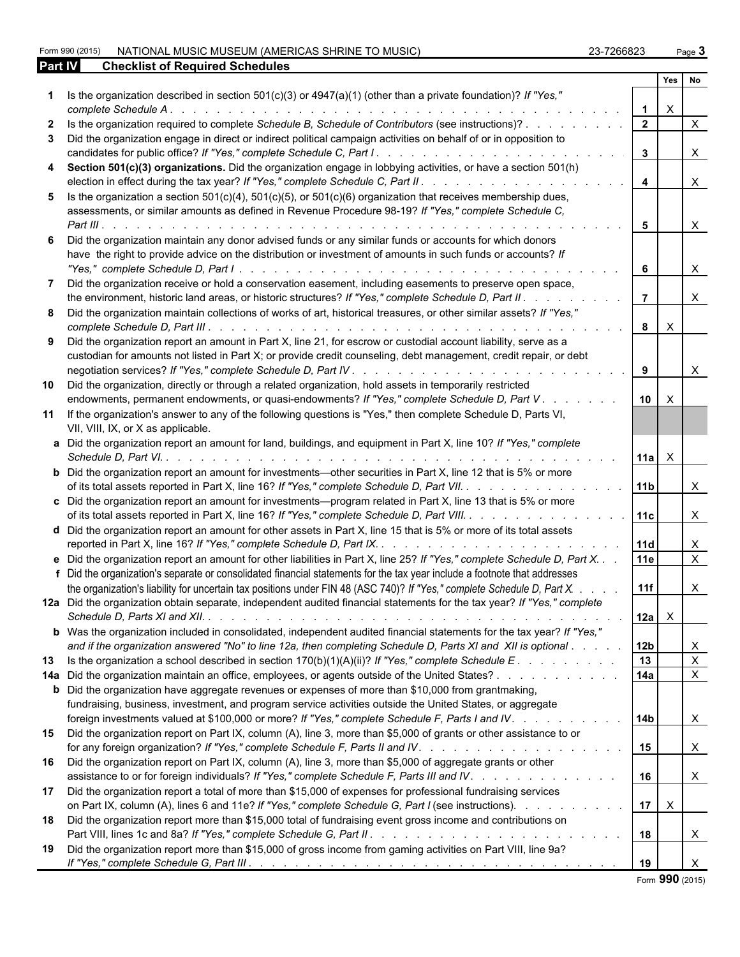**Part IV Checklist of Required Schedules**

| Form 990 (2015)  | MUSIC<br>TO.<br>. MUSIC MUSEUM (AMERICAS SHRINE <sup>-</sup><br>`TIONAL<br>NА | 700000<br>7008ZJ<br>້ | Page |
|------------------|-------------------------------------------------------------------------------|-----------------------|------|
| $D2$ $\star$ $N$ | Chocklist of Poquirod Schodules                                               |                       |      |

|    |                                                                                                                                                                                                                                                                                                                                                                           |                               | Yes                       | <b>No</b>                |  |
|----|---------------------------------------------------------------------------------------------------------------------------------------------------------------------------------------------------------------------------------------------------------------------------------------------------------------------------------------------------------------------------|-------------------------------|---------------------------|--------------------------|--|
|    | Is the organization described in section 501(c)(3) or $4947(a)(1)$ (other than a private foundation)? If "Yes,"<br>complete Schedule A.<br>de la caractería de la caractería de la caractería de la caractería de la caractería de la caractería de la caractería de la caractería de la caractería de la caractería de la caractería de la caractería de la caractería d |                               | X                         |                          |  |
|    | 2 Is the organization required to complete Schedule B, Schedule of Contributors (see instructions)?<br>3 Did the organization engage in direct or indirect political campaign activities on behalf of or in opposition to                                                                                                                                                 | $\overline{2}$<br>$3^{\circ}$ |                           | $\mathsf{X}$<br>$\times$ |  |
|    | 4 Section 501(c)(3) organizations. Did the organization engage in lobbying activities, or have a section 501(h)                                                                                                                                                                                                                                                           | $\overline{4}$                |                           | $\mathsf{X}$             |  |
|    | 5 Is the organization a section $501(c)(4)$ , $501(c)(5)$ , or $501(c)(6)$ organization that receives membership dues,<br>assessments, or similar amounts as defined in Revenue Procedure 98-19? If "Yes," complete Schedule C,                                                                                                                                           |                               |                           |                          |  |
|    | 6 Did the organization maintain any donor advised funds or any similar funds or accounts for which donors<br>have the right to provide advice on the distribution or investment of amounts in such funds or accounts? If                                                                                                                                                  | 5                             |                           | X                        |  |
|    |                                                                                                                                                                                                                                                                                                                                                                           | 6                             |                           | $\mathsf{X}$             |  |
|    | 7 Did the organization receive or hold a conservation easement, including easements to preserve open space,<br>the environment, historic land areas, or historic structures? If "Yes," complete Schedule D, Part II.                                                                                                                                                      | $\overline{7}$                |                           | $\times$                 |  |
|    | 8 Did the organization maintain collections of works of art, historical treasures, or other similar assets? If "Yes,"                                                                                                                                                                                                                                                     | 8                             | $\boldsymbol{\mathsf{X}}$ |                          |  |
|    | 9 Did the organization report an amount in Part X, line 21, for escrow or custodial account liability, serve as a<br>custodian for amounts not listed in Part X; or provide credit counseling, debt management, credit repair, or debt                                                                                                                                    | 9                             |                           | $\times$                 |  |
| 10 | Did the organization, directly or through a related organization, hold assets in temporarily restricted<br>endowments, permanent endowments, or quasi-endowments? If "Yes," complete Schedule D, Part V.                                                                                                                                                                  | 10 <sup>1</sup>               | $\mathsf{X}$              |                          |  |
|    | 11 If the organization's answer to any of the following questions is "Yes," then complete Schedule D, Parts VI,<br>VII, VIII, IX, or X as applicable.                                                                                                                                                                                                                     |                               |                           |                          |  |
|    | a Did the organization report an amount for land, buildings, and equipment in Part X, line 10? If "Yes," complete                                                                                                                                                                                                                                                         | $11a$ $\times$                |                           |                          |  |
|    | <b>b</b> Did the organization report an amount for investments—other securities in Part X, line 12 that is 5% or more<br>of its total assets reported in Part X, line 16? If "Yes," complete Schedule D, Part VII.                                                                                                                                                        | 11 <sub>b</sub>               |                           | $\times$                 |  |
|    | c Did the organization report an amount for investments—program related in Part X, line 13 that is 5% or more<br>of its total assets reported in Part X, line 16? If "Yes," complete Schedule D, Part VIII.                                                                                                                                                               | 11c                           |                           | X                        |  |
|    | d Did the organization report an amount for other assets in Part X, line 15 that is 5% or more of its total assets                                                                                                                                                                                                                                                        | 11d                           |                           | X                        |  |
|    | e Did the organization report an amount for other liabilities in Part X, line 25? If "Yes," complete Schedule D, Part X.<br>f Did the organization's separate or consolidated financial statements for the tax year include a footnote that addresses                                                                                                                     | 11e                           |                           | $\mathsf{X}$             |  |
|    | the organization's liability for uncertain tax positions under FIN 48 (ASC 740)? If "Yes," complete Schedule D, Part X.<br>12a Did the organization obtain separate, independent audited financial statements for the tax year? If "Yes," complete                                                                                                                        | 11f                           |                           | X.                       |  |
|    | <b>b</b> Was the organization included in consolidated, independent audited financial statements for the tax year? If "Yes,"                                                                                                                                                                                                                                              | $ 12a  \times$                |                           |                          |  |
|    | and if the organization answered "No" to line 12a, then completing Schedule D, Parts XI and XII is optional                                                                                                                                                                                                                                                               | 12 <sub>b</sub>               |                           | X<br>$\mathsf{X}$        |  |
|    | 13 Is the organization a school described in section 170(b)(1)(A)(ii)? If "Yes," complete Schedule E.<br>14a Did the organization maintain an office, employees, or agents outside of the United States?                                                                                                                                                                  | 13<br>14a                     |                           | $\mathsf{X}$             |  |
|    | <b>b</b> Did the organization have aggregate revenues or expenses of more than \$10,000 from grantmaking,                                                                                                                                                                                                                                                                 |                               |                           |                          |  |
|    | fundraising, business, investment, and program service activities outside the United States, or aggregate                                                                                                                                                                                                                                                                 |                               |                           |                          |  |
|    | foreign investments valued at \$100,000 or more? If "Yes," complete Schedule F, Parts I and IV.<br>15 Did the organization report on Part IX, column (A), line 3, more than \$5,000 of grants or other assistance to or                                                                                                                                                   | l 14b                         |                           | $\mathsf{X}$             |  |
|    |                                                                                                                                                                                                                                                                                                                                                                           | 15                            |                           | $\mathsf{X}$             |  |
|    | 16 Did the organization report on Part IX, column (A), line 3, more than \$5,000 of aggregate grants or other<br>assistance to or for foreign individuals? If "Yes," complete Schedule F, Parts III and IV.                                                                                                                                                               | 16                            |                           | $\mathsf{X}$             |  |
| 17 | Did the organization report a total of more than \$15,000 of expenses for professional fundraising services<br>on Part IX, column (A), lines 6 and 11e? If "Yes," complete Schedule G, Part I (see instructions).                                                                                                                                                         | 17 <sup>1</sup>               | $\mathsf{X}$              |                          |  |
|    | 18 Did the organization report more than \$15,000 total of fundraising event gross income and contributions on                                                                                                                                                                                                                                                            | 18                            |                           | X                        |  |
| 19 | Did the organization report more than \$15,000 of gross income from gaming activities on Part VIII, line 9a?                                                                                                                                                                                                                                                              | 19                            |                           |                          |  |

Form **990** (2015)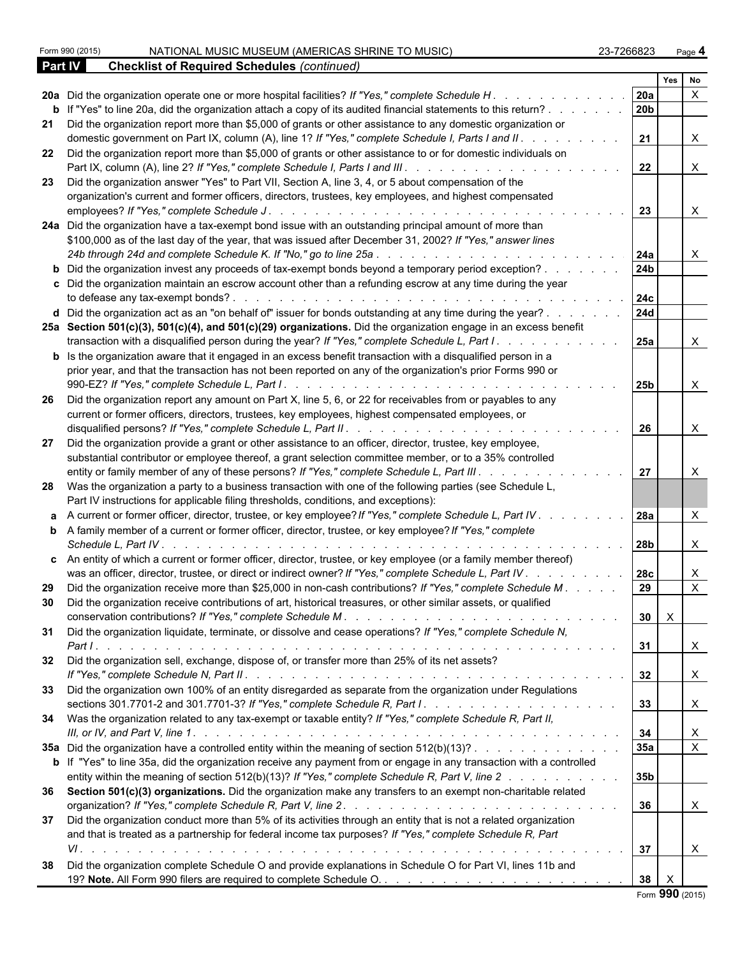|                | Form 990 (2015)<br>NATIONAL MUSIC MUSEUM (AMERICAS SHRINE TO MUSIC)                                                                                                                                                            | 23-7266823        |                     | Page 4                                    |  |
|----------------|--------------------------------------------------------------------------------------------------------------------------------------------------------------------------------------------------------------------------------|-------------------|---------------------|-------------------------------------------|--|
| <b>Part IV</b> | <b>Checklist of Required Schedules (continued)</b>                                                                                                                                                                             |                   |                     |                                           |  |
|                |                                                                                                                                                                                                                                |                   | Yes                 | No                                        |  |
|                | 20a Did the organization operate one or more hospital facilities? If "Yes," complete Schedule H.                                                                                                                               | 20a               |                     | $\mathsf{x}$                              |  |
|                | <b>b</b> If "Yes" to line 20a, did the organization attach a copy of its audited financial statements to this return?                                                                                                          | 20b               |                     |                                           |  |
|                | 21 Did the organization report more than \$5,000 of grants or other assistance to any domestic organization or<br>domestic government on Part IX, column (A), line 1? If "Yes," complete Schedule I, Parts I and II.           | 21                |                     | $\times$                                  |  |
|                | 22 Did the organization report more than \$5,000 of grants or other assistance to or for domestic individuals on<br>Part IX, column (A), line 2? If "Yes," complete Schedule I, Parts I and III.                               | 22                |                     | $\times$                                  |  |
| 23             | Did the organization answer "Yes" to Part VII, Section A, line 3, 4, or 5 about compensation of the                                                                                                                            |                   |                     |                                           |  |
|                | organization's current and former officers, directors, trustees, key employees, and highest compensated<br>employees? If "Yes," complete Schedule J.<br>.                                                                      | 23                |                     | X                                         |  |
|                | 24a Did the organization have a tax-exempt bond issue with an outstanding principal amount of more than                                                                                                                        |                   |                     |                                           |  |
|                | \$100,000 as of the last day of the year, that was issued after December 31, 2002? If "Yes," answer lines<br>24b through 24d and complete Schedule K. If "No," go to line 25a<br>and a straight and a straight and             | 24a               |                     | X                                         |  |
|                | <b>b</b> Did the organization invest any proceeds of tax-exempt bonds beyond a temporary period exception?                                                                                                                     | 24b               |                     |                                           |  |
|                | c Did the organization maintain an escrow account other than a refunding escrow at any time during the year<br>to defease any tax-exempt bonds?                                                                                |                   |                     |                                           |  |
|                | and the company of the company of the company of the company of the company of the company of the company of the company of the company of the company of the company of the company of the company of the company of the comp | 24c<br><b>24d</b> |                     |                                           |  |
|                | d Did the organization act as an "on behalf of" issuer for bonds outstanding at any time during the year?<br>25a Section 501(c)(3), 501(c)(4), and 501(c)(29) organizations. Did the organization engage in an excess benefit  |                   |                     |                                           |  |
|                | transaction with a disqualified person during the year? If "Yes," complete Schedule L, Part I.<br><b>b</b> Is the organization aware that it engaged in an excess benefit transaction with a disqualified person in a          | <b>25a</b>        |                     |                                           |  |
|                | prior year, and that the transaction has not been reported on any of the organization's prior Forms 990 or                                                                                                                     | 25b               |                     | X                                         |  |
| 26             | Did the organization report any amount on Part X, line 5, 6, or 22 for receivables from or payables to any                                                                                                                     |                   |                     |                                           |  |
|                | current or former officers, directors, trustees, key employees, highest compensated employees, or                                                                                                                              |                   |                     |                                           |  |
| 27             | Did the organization provide a grant or other assistance to an officer, director, trustee, key employee,                                                                                                                       | 26                |                     | X                                         |  |
|                | substantial contributor or employee thereof, a grant selection committee member, or to a 35% controlled<br>entity or family member of any of these persons? If "Yes," complete Schedule L, Part III. .                         | 27                |                     |                                           |  |
|                | 28 Was the organization a party to a business transaction with one of the following parties (see Schedule L,                                                                                                                   |                   |                     |                                           |  |
|                | Part IV instructions for applicable filing thresholds, conditions, and exceptions):                                                                                                                                            |                   |                     |                                           |  |
|                | a A current or former officer, director, trustee, or key employee? If "Yes," complete Schedule L, Part IV.                                                                                                                     | 28a               |                     | $\times$                                  |  |
|                | <b>b</b> A family member of a current or former officer, director, trustee, or key employee? If "Yes," complete                                                                                                                |                   |                     |                                           |  |
|                | Schedule L, Part IV.                                                                                                                                                                                                           | 28b               |                     | X                                         |  |
|                | c An entity of which a current or former officer, director, trustee, or key employee (or a family member thereof)<br>was an officer, director, trustee, or direct or indirect owner? If "Yes," complete Schedule L, Part IV    | 28c               |                     | X                                         |  |
|                | Did the organization receive more than \$25,000 in non-cash contributions? If "Yes," complete Schedule M. 29                                                                                                                   |                   |                     | $\mathsf{X}$                              |  |
| 30             | Did the organization receive contributions of art, historical treasures, or other similar assets, or qualified                                                                                                                 |                   | $30 \mid X$         |                                           |  |
| 31             | Did the organization liquidate, terminate, or dissolve and cease operations? If "Yes," complete Schedule N,                                                                                                                    | 31                |                     | X                                         |  |
|                | 32 Did the organization sell, exchange, dispose of, or transfer more than 25% of its net assets?                                                                                                                               | 32                |                     | $\times$                                  |  |
|                | 33 Did the organization own 100% of an entity disregarded as separate from the organization under Regulations                                                                                                                  | 33                |                     | $\mathsf{X}$                              |  |
|                | 34 Was the organization related to any tax-exempt or taxable entity? If "Yes," complete Schedule R, Part II,                                                                                                                   |                   |                     |                                           |  |
|                | 35a Did the organization have a controlled entity within the meaning of section 512(b)(13)?                                                                                                                                    | 34<br>35a         |                     | $\mathsf{X}$<br>$\boldsymbol{\mathsf{X}}$ |  |
|                | <b>b</b> If "Yes" to line 35a, did the organization receive any payment from or engage in any transaction with a controlled                                                                                                    |                   |                     |                                           |  |
|                | entity within the meaning of section 512(b)(13)? If "Yes," complete Schedule R, Part V, line 2                                                                                                                                 | 35b               |                     |                                           |  |
|                | 36 Section 501(c)(3) organizations. Did the organization make any transfers to an exempt non-charitable related                                                                                                                | 36                |                     | $\mathsf{X}$                              |  |
| 37             | Did the organization conduct more than 5% of its activities through an entity that is not a related organization                                                                                                               |                   |                     |                                           |  |
|                | and that is treated as a partnership for federal income tax purposes? If "Yes," complete Schedule R, Part                                                                                                                      | 37                |                     | X                                         |  |
| 38             | Did the organization complete Schedule O and provide explanations in Schedule O for Part VI, lines 11b and                                                                                                                     |                   |                     |                                           |  |
|                |                                                                                                                                                                                                                                | 38 <sup>1</sup>   | $\mathsf{I} \times$ |                                           |  |
|                |                                                                                                                                                                                                                                |                   | 000                 |                                           |  |

|  |  | Form 990 (2015) |
|--|--|-----------------|
|--|--|-----------------|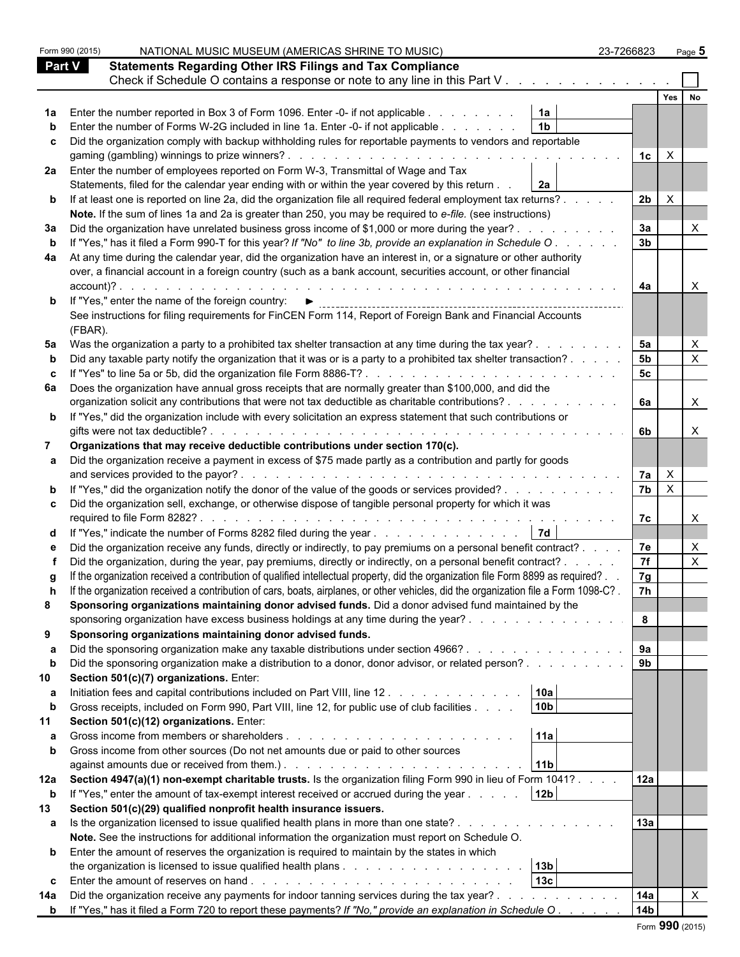|               | Form 990 (2015) | NATIONAL MUSIC MUSEUM (AMERICAS SHRINE TO MUSIC)                                                                                    | 23-7266823      | Page 5       |  |
|---------------|-----------------|-------------------------------------------------------------------------------------------------------------------------------------|-----------------|--------------|--|
| <b>Part V</b> |                 | <b>Statements Regarding Other IRS Filings and Tax Compliance</b>                                                                    |                 |              |  |
|               |                 | Check if Schedule O contains a response or note to any line in this Part V                                                          |                 |              |  |
|               |                 |                                                                                                                                     |                 | Yes          |  |
|               |                 | Enter the number reported in Box 3 of Form 1096. Enter -0- if not applicable<br>1a                                                  |                 |              |  |
|               |                 | 1 <sub>b</sub><br>Enter the number of Forms W-2G included in line 1a. Enter -0- if not applicable                                   |                 |              |  |
| C             |                 | Did the organization comply with backup withholding rules for reportable payments to vendors and reportable                         |                 |              |  |
|               |                 |                                                                                                                                     | 1c <sub>1</sub> | $\mathsf{X}$ |  |
|               |                 | 2a Enter the number of employees reported on Form W-3, Transmittal of Wage and Tax                                                  |                 |              |  |
|               |                 | Statements, filed for the calendar year ending with or within the year covered by this return .<br>2a                               |                 |              |  |
|               |                 | <b>b</b> If at least one is reported on line 2a, did the organization file all required federal employment tax returns?             | 2b              | $\mathsf{X}$ |  |
|               |                 | Note. If the sum of lines 1a and 2a is greater than 250, you may be required to e-file. (see instructions)                          |                 |              |  |
| За            |                 | Did the organization have unrelated business gross income of \$1,000 or more during the year?.                                      | 3a              |              |  |
|               |                 | If "Yes," has it filed a Form 990-T for this year? If "No" to line 3b, provide an explanation in Schedule O.                        | 3 <sub>b</sub>  |              |  |
| 4a            |                 | At any time during the calendar year, did the organization have an interest in, or a signature or other authority                   |                 |              |  |
|               |                 | over, a financial account in a foreign country (such as a bank account, securities account, or other financial                      |                 |              |  |
|               | account)?       |                                                                                                                                     | 4a              |              |  |
|               |                 | <b>b</b> If "Yes," enter the name of the foreign country: $\blacktriangleright$                                                     |                 |              |  |
|               |                 | See instructions for filing requirements for FinCEN Form 114, Report of Foreign Bank and Financial Accounts                         |                 |              |  |
|               | (FBAR).         |                                                                                                                                     |                 |              |  |
|               |                 | 5a Was the organization a party to a prohibited tax shelter transaction at any time during the tax year?.                           | 5a              |              |  |
|               |                 | Did any taxable party notify the organization that it was or is a party to a prohibited tax shelter transaction?                    | 5 <sub>b</sub>  |              |  |
| c             |                 | If "Yes" to line 5a or 5b, did the organization file Form 8886-T?                                                                   | 5c              |              |  |
| 6а            |                 | Does the organization have annual gross receipts that are normally greater than \$100,000, and did the                              |                 |              |  |
|               |                 | organization solicit any contributions that were not tax deductible as charitable contributions?                                    | 6а              | $\times$     |  |
|               |                 | <b>b</b> If "Yes," did the organization include with every solicitation an express statement that such contributions or             |                 |              |  |
|               |                 | gifts were not tax deductible?.                                                                                                     | 6b              |              |  |
|               |                 | Organizations that may receive deductible contributions under section 170(c).                                                       |                 |              |  |
|               |                 | Did the organization receive a payment in excess of \$75 made partly as a contribution and partly for goods                         |                 |              |  |
|               |                 | and services provided to the payor?.<br>the contract of the contract of the contract of the contract of the contract of             | 7a              | $\mathsf{X}$ |  |
|               |                 | <b>b</b> If "Yes," did the organization notify the donor of the value of the goods or services provided?                            | 7 <sub>b</sub>  | $\mathsf{X}$ |  |
| C.            |                 | Did the organization sell, exchange, or otherwise dispose of tangible personal property for which it was                            |                 |              |  |
|               |                 | required to file Form 8282?.                                                                                                        | 7c              |              |  |
|               |                 | d If "Yes," indicate the number of Forms 8282 filed during the year<br> 7d                                                          |                 |              |  |
|               |                 | Did the organization receive any funds, directly or indirectly, to pay premiums on a personal benefit contract?                     | 7e              |              |  |
|               |                 | Did the organization, during the year, pay premiums, directly or indirectly, on a personal benefit contract? .                      | 7f              |              |  |
|               |                 | If the organization received a contribution of qualified intellectual property, did the organization file Form 8899 as required?.   | 7g              |              |  |
|               |                 | If the organization received a contribution of cars, boats, airplanes, or other vehicles, did the organization file a Form 1098-C?. | 7h              |              |  |
| 8             |                 | Sponsoring organizations maintaining donor advised funds. Did a donor advised fund maintained by the                                |                 |              |  |
|               |                 | sponsoring organization have excess business holdings at any time during the year?.                                                 | 8               |              |  |
| 9             |                 | Sponsoring organizations maintaining donor advised funds.                                                                           |                 |              |  |
|               |                 | Did the sponsoring organization make any taxable distributions under section 4966?                                                  | 9a              |              |  |
| b             |                 | Did the sponsoring organization make a distribution to a donor, donor advisor, or related person?                                   | 9 <sub>b</sub>  |              |  |
| 10            |                 | Section 501(c)(7) organizations. Enter:<br>10a                                                                                      |                 |              |  |
| а             |                 | Initiation fees and capital contributions included on Part VIII, line 12.<br>10 <sub>b</sub>                                        |                 |              |  |
| b             |                 | Gross receipts, included on Form 990, Part VIII, line 12, for public use of club facilities                                         |                 |              |  |
|               |                 | Section 501(c)(12) organizations. Enter:<br>11a                                                                                     |                 |              |  |
| а             |                 | Gross income from other sources (Do not net amounts due or paid to other sources                                                    |                 |              |  |
|               |                 | 11 <sub>b</sub>                                                                                                                     |                 |              |  |
|               |                 | 12a Section 4947(a)(1) non-exempt charitable trusts. Is the organization filing Form 990 in lieu of Form 1041?                      | 12a             |              |  |
| b             |                 | 12 <sub>b</sub><br>If "Yes," enter the amount of tax-exempt interest received or accrued during the year                            |                 |              |  |
| 13            |                 | Section 501(c)(29) qualified nonprofit health insurance issuers.                                                                    |                 |              |  |
| a             |                 | Is the organization licensed to issue qualified health plans in more than one state?                                                | 13a             |              |  |
|               |                 | Note. See the instructions for additional information the organization must report on Schedule O.                                   |                 |              |  |
|               |                 | <b>b</b> Enter the amount of reserves the organization is required to maintain by the states in which                               |                 |              |  |
|               |                 | 13 <sub>b</sub>                                                                                                                     |                 |              |  |
| C             |                 | 13 <sub>c</sub>                                                                                                                     |                 |              |  |
| 14a           |                 | Did the organization receive any payments for indoor tanning services during the tax year?.                                         | 14a             |              |  |
|               |                 | <b>b</b> If "Yes," has it filed a Form 720 to report these payments? If "No," provide an explanation in Schedule O.                 | 14 <sub>b</sub> |              |  |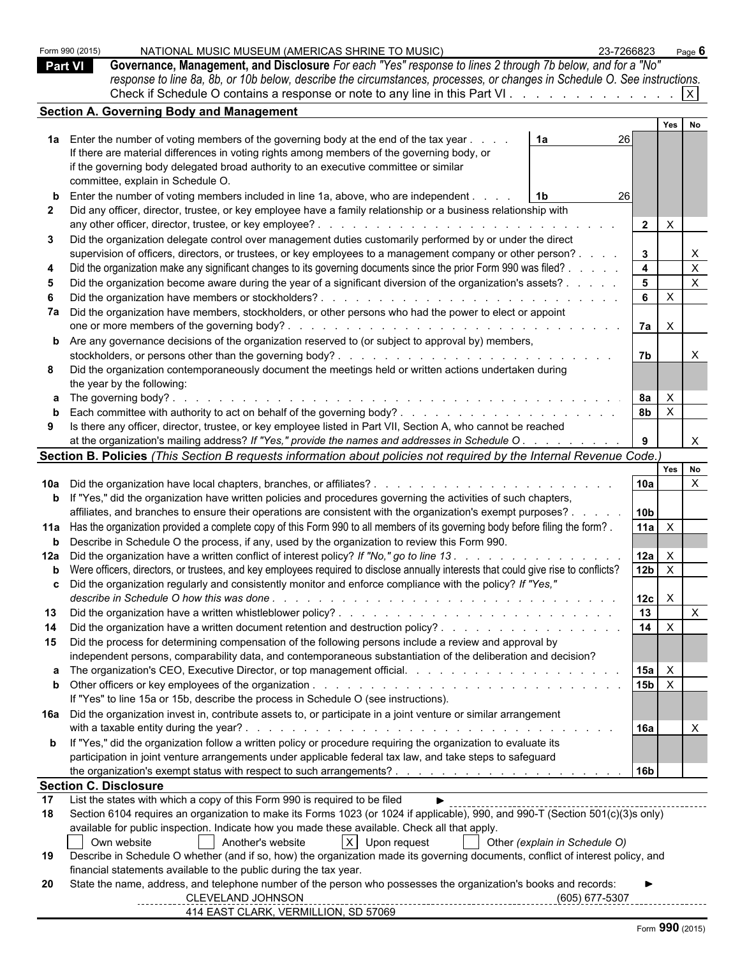|                | Form 990 (2015)              | NATIONAL MUSIC MUSEUM (AMERICAS SHRINE TO MUSIC)                                                                                                                                                                                                                                          | 23-7266823 |                | Page 6       |              |
|----------------|------------------------------|-------------------------------------------------------------------------------------------------------------------------------------------------------------------------------------------------------------------------------------------------------------------------------------------|------------|----------------|--------------|--------------|
| <b>Part VI</b> |                              | Governance, Management, and Disclosure For each "Yes" response to lines 2 through 7b below, and for a "No"                                                                                                                                                                                |            |                |              |              |
|                |                              | response to line 8a, 8b, or 10b below, describe the circumstances, processes, or changes in Schedule O. See instructions.                                                                                                                                                                 |            |                |              |              |
|                |                              |                                                                                                                                                                                                                                                                                           |            |                |              |              |
|                |                              | <b>Section A. Governing Body and Management</b>                                                                                                                                                                                                                                           |            |                |              |              |
|                |                              |                                                                                                                                                                                                                                                                                           |            |                | Yes          | No           |
|                |                              | 1a Enter the number of voting members of the governing body at the end of the tax year<br>1a                                                                                                                                                                                              | 26         |                |              |              |
|                |                              | If there are material differences in voting rights among members of the governing body, or                                                                                                                                                                                                |            |                |              |              |
|                |                              | if the governing body delegated broad authority to an executive committee or similar                                                                                                                                                                                                      |            |                |              |              |
|                |                              | committee, explain in Schedule O.                                                                                                                                                                                                                                                         |            |                |              |              |
|                |                              | <b>b</b> Enter the number of voting members included in line 1a, above, who are independent.                                                                                                                                                                                              | 26         |                |              |              |
|                |                              | Did any officer, director, trustee, or key employee have a family relationship or a business relationship with                                                                                                                                                                            |            |                |              |              |
|                |                              | any other officer, director, trustee, or key employee?.<br>and the contract of the contract of the contract of the contract of the contract of the contract of the contract of the contract of the contract of the contract of the contract of the contract of the contract of the contra |            | $\overline{2}$ | $\mathsf{X}$ |              |
| 3              |                              | Did the organization delegate control over management duties customarily performed by or under the direct                                                                                                                                                                                 |            |                |              |              |
|                |                              | supervision of officers, directors, or trustees, or key employees to a management company or other person?.                                                                                                                                                                               |            |                |              |              |
|                |                              |                                                                                                                                                                                                                                                                                           |            | 3              |              | $\mathsf{X}$ |
|                |                              | Did the organization make any significant changes to its governing documents since the prior Form 990 was filed?                                                                                                                                                                          |            | $\overline{4}$ |              |              |
| 5              |                              | Did the organization become aware during the year of a significant diversion of the organization's assets? .                                                                                                                                                                              |            | $5^{\circ}$    |              | $\mathsf{X}$ |
| 6              |                              | Did the organization have members or stockholders?                                                                                                                                                                                                                                        |            | 6              | $\mathsf{X}$ |              |
|                |                              | 7a Did the organization have members, stockholders, or other persons who had the power to elect or appoint                                                                                                                                                                                |            |                |              |              |
|                |                              |                                                                                                                                                                                                                                                                                           |            | 7a             | $\mathsf{X}$ |              |
|                |                              | <b>b</b> Are any governance decisions of the organization reserved to (or subject to approval by) members,                                                                                                                                                                                |            |                |              |              |
|                |                              |                                                                                                                                                                                                                                                                                           |            | 7b             |              |              |
| 8              |                              | Did the organization contemporaneously document the meetings held or written actions undertaken during                                                                                                                                                                                    |            |                |              |              |
|                |                              | the year by the following:                                                                                                                                                                                                                                                                |            |                |              |              |
|                |                              | a The governing body?                                                                                                                                                                                                                                                                     |            | 8a             | $\mathsf{X}$ |              |
|                |                              |                                                                                                                                                                                                                                                                                           |            | 8 <sub>b</sub> | $\mathsf{X}$ |              |
| 9              |                              | Is there any officer, director, trustee, or key employee listed in Part VII, Section A, who cannot be reached                                                                                                                                                                             |            |                |              |              |
|                |                              | at the organization's mailing address? If "Yes," provide the names and addresses in Schedule O.                                                                                                                                                                                           |            |                |              | $\mathsf{X}$ |
|                |                              | Section B. Policies (This Section B requests information about policies not required by the Internal Revenue Code.)                                                                                                                                                                       |            |                |              |              |
|                |                              |                                                                                                                                                                                                                                                                                           |            |                | Yes No       |              |
|                |                              |                                                                                                                                                                                                                                                                                           |            | l 10a          |              | $\times$     |
|                |                              | <b>b</b> If "Yes," did the organization have written policies and procedures governing the activities of such chapters,                                                                                                                                                                   |            |                |              |              |
|                |                              | affiliates, and branches to ensure their operations are consistent with the organization's exempt purposes?.                                                                                                                                                                              |            | 10b            |              |              |
|                |                              | 11a Has the organization provided a complete copy of this Form 990 to all members of its governing body before filing the form?.                                                                                                                                                          |            | 11a            | $\mathsf{X}$ |              |
|                |                              | <b>b</b> Describe in Schedule O the process, if any, used by the organization to review this Form 990.                                                                                                                                                                                    |            |                |              |              |
|                |                              | 12a Did the organization have a written conflict of interest policy? If "No," go to line 13.                                                                                                                                                                                              |            | 12a            | $\mathsf{X}$ |              |
|                |                              | <b>b</b> Were officers, directors, or trustees, and key employees required to disclose annually interests that could give rise to conflicts?                                                                                                                                              |            | $12b$ $\times$ |              |              |
|                |                              | Did the organization regularly and consistently monitor and enforce compliance with the policy? If "Yes,"                                                                                                                                                                                 |            |                |              |              |
|                |                              |                                                                                                                                                                                                                                                                                           |            | $12c \quad X$  |              |              |
|                |                              |                                                                                                                                                                                                                                                                                           |            | 13             |              | $\mathsf{X}$ |
| 14             |                              |                                                                                                                                                                                                                                                                                           |            | 14             | $\mathsf{X}$ |              |
|                |                              | 15 Did the process for determining compensation of the following persons include a review and approval by                                                                                                                                                                                 |            |                |              |              |
|                |                              | independent persons, comparability data, and contemporaneous substantiation of the deliberation and decision?                                                                                                                                                                             |            |                |              |              |
|                |                              |                                                                                                                                                                                                                                                                                           |            | $15a$ $\times$ |              |              |
|                |                              |                                                                                                                                                                                                                                                                                           |            | $15b \times$   |              |              |
|                |                              |                                                                                                                                                                                                                                                                                           |            |                |              |              |
|                |                              | If "Yes" to line 15a or 15b, describe the process in Schedule O (see instructions).                                                                                                                                                                                                       |            |                |              |              |
|                |                              | 16a Did the organization invest in, contribute assets to, or participate in a joint venture or similar arrangement                                                                                                                                                                        |            |                |              |              |
|                |                              |                                                                                                                                                                                                                                                                                           |            | <b>16a</b>     |              | $\mathsf{X}$ |
|                |                              | <b>b</b> If "Yes," did the organization follow a written policy or procedure requiring the organization to evaluate its                                                                                                                                                                   |            |                |              |              |
|                |                              | participation in joint venture arrangements under applicable federal tax law, and take steps to safeguard                                                                                                                                                                                 |            |                |              |              |
|                |                              |                                                                                                                                                                                                                                                                                           |            | l 16b          |              |              |
|                | <b>Section C. Disclosure</b> |                                                                                                                                                                                                                                                                                           |            |                |              |              |
| 17             |                              | List the states with which a copy of this Form 990 is required to be filed                                                                                                                                                                                                                |            |                |              |              |
| 18             |                              | Section 6104 requires an organization to make its Forms 1023 (or 1024 if applicable), 990, and 990-T (Section 501(c)(3)s only)                                                                                                                                                            |            |                |              |              |
|                |                              | available for public inspection. Indicate how you made these available. Check all that apply.                                                                                                                                                                                             |            |                |              |              |
|                |                              | $X$ Upon request<br>Own website<br>Another's website<br>Other (explain in Schedule O)                                                                                                                                                                                                     |            |                |              |              |
| 19             |                              | Describe in Schedule O whether (and if so, how) the organization made its governing documents, conflict of interest policy, and                                                                                                                                                           |            |                |              |              |
|                |                              | financial statements available to the public during the tax year.                                                                                                                                                                                                                         |            |                |              |              |
| 20             |                              | State the name, address, and telephone number of the person who possesses the organization's books and records:                                                                                                                                                                           |            |                |              |              |
|                |                              | CLEVELAND JOHNSON                                                                                                                                                                                                                                                                         |            |                |              |              |
|                |                              | 414 EAST CLARK, VERMILLION, SD 57069                                                                                                                                                                                                                                                      |            |                |              |              |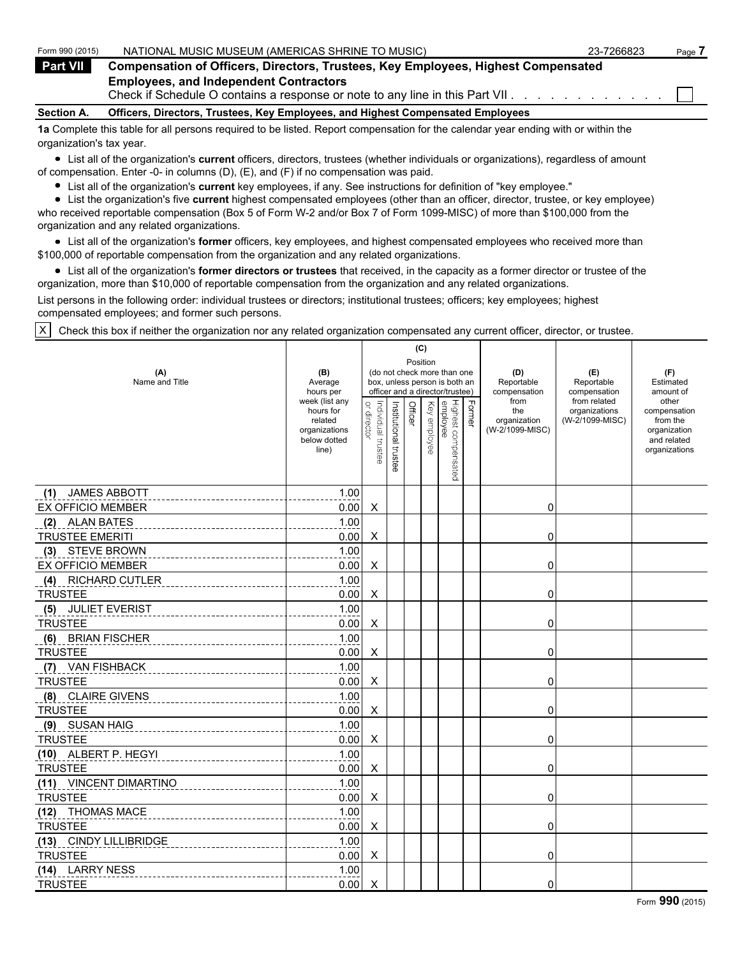| Form 990 (2015)   | NATIONAL MUSIC MUSEUM (AMERICAS SHRINE TO MUSIC)                                                                                  | 23-7266823 | Page |
|-------------------|-----------------------------------------------------------------------------------------------------------------------------------|------------|------|
| <b>Part VII</b>   | <b>Compensation of Officers, Directors, Trustees, Key Employees, Highest Compensated</b>                                          |            |      |
|                   | <b>Employees, and Independent Contractors</b><br>Check if Schedule O contains a response or note to any line in this Part VII.    |            |      |
| <b>Section A.</b> | Officers, Directors, Trustees, Key Employees, and Highest Compensated Employees                                                   |            |      |
|                   | An Complete this topic for all persons required to be listed. Depart componention for the selender vegrapeding with or within the |            |      |

**1a** Complete this table for all persons required to be listed. Report compensation for the calendar year ending with or within the organization's tax year.

List all of the organization's **current** officers, directors, trustees (whether individuals or organizations), regardless of amount of compensation. Enter -0- in columns (D), (E), and (F) if no compensation was paid.

List all of the organization's **current** key employees, if any. See instructions for definition of "key employee."

List the organization's five **current** highest compensated employees (other than an officer, director, trustee, or key employee) who received reportable compensation (Box 5 of Form W-2 and/or Box 7 of Form 1099-MISC) of more than \$100,000 from the organization and any related organizations.

List all of the organization's **former** officers, key employees, and highest compensated employees who received more than \$100,000 of reportable compensation from the organization and any related organizations.

List all of the organization's **former directors or trustees** that received, in the capacity as a former director or trustee of the organization, more than \$10,000 of reportable compensation from the organization and any related organizations.

List persons in the following order: individual trustees or directors; institutional trustees; officers; key employees; highest compensated employees; and former such persons.

X Check this box if neither the organization nor any related organization compensated any current officer, director, or trustee.

|                              |                                                                                  |                                   |                       | (C)      |                 |                                                                                                 |        |                                                |                                                  |                                                                                   |
|------------------------------|----------------------------------------------------------------------------------|-----------------------------------|-----------------------|----------|-----------------|-------------------------------------------------------------------------------------------------|--------|------------------------------------------------|--------------------------------------------------|-----------------------------------------------------------------------------------|
| (A)<br>Name and Title        | (B)<br>Average<br>hours per                                                      |                                   |                       | Position |                 | (do not check more than one<br>box, unless person is both an<br>officer and a director/trustee) |        | (D)<br>Reportable<br>compensation              | (E)<br>Reportable<br>compensation                | (F)<br>Estimated<br>amount of                                                     |
|                              | week (list any<br>hours for<br>related<br>organizations<br>below dotted<br>line) | or director<br>Individual trustee | Institutional trustee | Officer  | Key<br>employee | Highest compensated<br>employee                                                                 | Former | from<br>the<br>organization<br>(W-2/1099-MISC) | from related<br>organizations<br>(W-2/1099-MISC) | other<br>compensation<br>from the<br>organization<br>and related<br>organizations |
| (1) JAMES ABBOTT             | 1.00                                                                             |                                   |                       |          |                 |                                                                                                 |        |                                                |                                                  |                                                                                   |
| <b>EX OFFICIO MEMBER</b>     | 0.00                                                                             | X                                 |                       |          |                 |                                                                                                 |        | 0                                              |                                                  |                                                                                   |
| (2) ALAN BATES               | 1.00                                                                             |                                   |                       |          |                 |                                                                                                 |        |                                                |                                                  |                                                                                   |
| <b>TRUSTEE EMERITI</b>       | 0.00                                                                             | X                                 |                       |          |                 |                                                                                                 |        | 0                                              |                                                  |                                                                                   |
| (3) STEVE BROWN              | 1.00                                                                             |                                   |                       |          |                 |                                                                                                 |        |                                                |                                                  |                                                                                   |
| <b>EX OFFICIO MEMBER</b>     | 0.00                                                                             | X                                 |                       |          |                 |                                                                                                 |        | 0                                              |                                                  |                                                                                   |
| <b>RICHARD CUTLER</b><br>(4) | 1.00                                                                             |                                   |                       |          |                 |                                                                                                 |        |                                                |                                                  |                                                                                   |
| <b>TRUSTEE</b>               | 0.00                                                                             | X                                 |                       |          |                 |                                                                                                 |        | 0                                              |                                                  |                                                                                   |
| (5) JULIET EVERIST           | 1.00                                                                             |                                   |                       |          |                 |                                                                                                 |        |                                                |                                                  |                                                                                   |
| <b>TRUSTEE</b>               | 0.00                                                                             | X                                 |                       |          |                 |                                                                                                 |        | 0                                              |                                                  |                                                                                   |
| (6) BRIAN FISCHER            | 1.00                                                                             |                                   |                       |          |                 |                                                                                                 |        |                                                |                                                  |                                                                                   |
| <b>TRUSTEE</b>               | 0.00                                                                             | Χ                                 |                       |          |                 |                                                                                                 |        | 0                                              |                                                  |                                                                                   |
| <b>VAN FISHBACK</b><br>(7)   | 1.00                                                                             |                                   |                       |          |                 |                                                                                                 |        |                                                |                                                  |                                                                                   |
| <b>TRUSTEE</b>               | 0.00                                                                             | X                                 |                       |          |                 |                                                                                                 |        | 0                                              |                                                  |                                                                                   |
| (8) CLAIRE GIVENS            | 1.00                                                                             |                                   |                       |          |                 |                                                                                                 |        |                                                |                                                  |                                                                                   |
| <b>TRUSTEE</b>               | 0.00                                                                             | X                                 |                       |          |                 |                                                                                                 |        | 0                                              |                                                  |                                                                                   |
| (9) SUSAN HAIG               | 1.00                                                                             |                                   |                       |          |                 |                                                                                                 |        |                                                |                                                  |                                                                                   |
| <b>TRUSTEE</b>               | 0.00                                                                             | X                                 |                       |          |                 |                                                                                                 |        | 0                                              |                                                  |                                                                                   |
| (10) ALBERT P. HEGYI         | 1.00                                                                             |                                   |                       |          |                 |                                                                                                 |        |                                                |                                                  |                                                                                   |
| <b>TRUSTEE</b>               | 0.00                                                                             | $\boldsymbol{\mathsf{X}}$         |                       |          |                 |                                                                                                 |        | 0                                              |                                                  |                                                                                   |
| (11) VINCENT DIMARTINO       | 1.00                                                                             |                                   |                       |          |                 |                                                                                                 |        |                                                |                                                  |                                                                                   |
| <b>TRUSTEE</b>               | 0.00                                                                             | $\boldsymbol{\mathsf{X}}$         |                       |          |                 |                                                                                                 |        | 0                                              |                                                  |                                                                                   |
| (12) THOMAS MACE             | 1.00                                                                             |                                   |                       |          |                 |                                                                                                 |        |                                                |                                                  |                                                                                   |
| <b>TRUSTEE</b>               | 0.00                                                                             | X                                 |                       |          |                 |                                                                                                 |        | 0                                              |                                                  |                                                                                   |
| (13) CINDY LILLIBRIDGE       | 1.00                                                                             |                                   |                       |          |                 |                                                                                                 |        |                                                |                                                  |                                                                                   |
| <b>TRUSTEE</b>               | 0.00                                                                             | Χ                                 |                       |          |                 |                                                                                                 |        | 0                                              |                                                  |                                                                                   |
| (14) LARRY NESS              | 1.00                                                                             |                                   |                       |          |                 |                                                                                                 |        |                                                |                                                  |                                                                                   |
| <b>TRUSTEE</b>               | 0.00                                                                             | X                                 |                       |          |                 |                                                                                                 |        | 0                                              |                                                  |                                                                                   |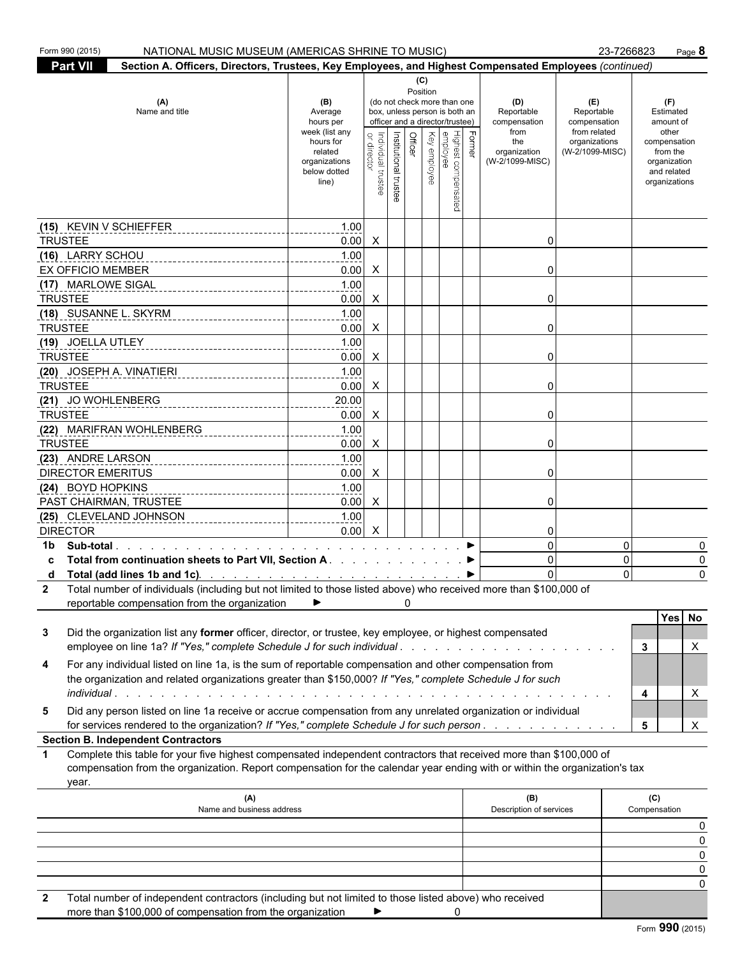| Form 990 (2015)<br>NATIONAL MUSIC MUSEUM (AMERICAS SHRINE TO MUSIC)                                                                                                                                                                                                      |                                                                                                                                                                     |                                   |                       | 23-7266823<br>Page 8 |  |                                                   |        |                                           |                                                   |                                        |                                                                          |  |  |
|--------------------------------------------------------------------------------------------------------------------------------------------------------------------------------------------------------------------------------------------------------------------------|---------------------------------------------------------------------------------------------------------------------------------------------------------------------|-----------------------------------|-----------------------|----------------------|--|---------------------------------------------------|--------|-------------------------------------------|---------------------------------------------------|----------------------------------------|--------------------------------------------------------------------------|--|--|
| <b>Part VII</b><br>Section A. Officers, Directors, Trustees, Key Employees, and Highest Compensated Employees (continued)                                                                                                                                                |                                                                                                                                                                     |                                   |                       |                      |  |                                                   |        |                                           |                                                   |                                        |                                                                          |  |  |
| (A)<br>Name and title                                                                                                                                                                                                                                                    | (C)<br>Position<br>(do not check more than one<br>(B)<br>box, unless person is both an<br>Average<br>officer and a director/trustee)<br>hours per<br>week (list any |                                   |                       |                      |  |                                                   |        | (D)<br>Reportable<br>compensation<br>from | (E)<br>Reportable<br>compensation<br>from related | (F)<br>Estimated<br>amount of<br>other |                                                                          |  |  |
|                                                                                                                                                                                                                                                                          | hours for<br>related<br>organizations<br>below dotted<br>line)                                                                                                      | Individual trustee<br>or director | Institutional trustee | Officer              |  | Highest compensated<br>employee<br>  Key employee | Former | the<br>organization<br>(W-2/1099-MISC)    | organizations<br>(W-2/1099-MISC)                  |                                        | compensation<br>from the<br>organization<br>and related<br>organizations |  |  |
| (15) KEVIN V SCHIEFFER                                                                                                                                                                                                                                                   | 1.00                                                                                                                                                                |                                   |                       |                      |  |                                                   |        |                                           |                                                   |                                        |                                                                          |  |  |
| <b>TRUSTEE</b>                                                                                                                                                                                                                                                           | $0.00\quad$ X                                                                                                                                                       |                                   |                       |                      |  |                                                   |        | 0                                         |                                                   |                                        |                                                                          |  |  |
| (16) LARRY SCHOU                                                                                                                                                                                                                                                         | 1.00                                                                                                                                                                |                                   |                       |                      |  |                                                   |        |                                           |                                                   |                                        |                                                                          |  |  |
| EX OFFICIO MEMBER                                                                                                                                                                                                                                                        | $0.00\quad$ X                                                                                                                                                       |                                   |                       |                      |  |                                                   |        | 0                                         |                                                   |                                        |                                                                          |  |  |
| (17) MARLOWE SIGAL                                                                                                                                                                                                                                                       | 1.00                                                                                                                                                                |                                   |                       |                      |  |                                                   |        |                                           |                                                   |                                        |                                                                          |  |  |
| <b>TRUSTEE</b>                                                                                                                                                                                                                                                           | $0.00\quad$ X                                                                                                                                                       |                                   |                       |                      |  |                                                   |        | 0                                         |                                                   |                                        |                                                                          |  |  |
| (18) SUSANNE L. SKYRM                                                                                                                                                                                                                                                    | 1.00                                                                                                                                                                |                                   |                       |                      |  |                                                   |        |                                           |                                                   |                                        |                                                                          |  |  |
| <b>TRUSTEE</b>                                                                                                                                                                                                                                                           | $0.00\ X$                                                                                                                                                           |                                   |                       |                      |  |                                                   |        | 0                                         |                                                   |                                        |                                                                          |  |  |
|                                                                                                                                                                                                                                                                          | 1.00                                                                                                                                                                |                                   |                       |                      |  |                                                   |        |                                           |                                                   |                                        |                                                                          |  |  |
| <b>TRUSTEE</b>                                                                                                                                                                                                                                                           | $0.00\quad$ X                                                                                                                                                       |                                   |                       |                      |  |                                                   |        | 0                                         |                                                   |                                        |                                                                          |  |  |
| (20) JOSEPH A. VINATIERI                                                                                                                                                                                                                                                 | 1.00                                                                                                                                                                |                                   |                       |                      |  |                                                   |        |                                           |                                                   |                                        |                                                                          |  |  |
| <b>TRUSTEE</b>                                                                                                                                                                                                                                                           | $0.00 \quad X$                                                                                                                                                      |                                   |                       |                      |  |                                                   |        | 0                                         |                                                   |                                        |                                                                          |  |  |
| (21) JO WOHLENBERG                                                                                                                                                                                                                                                       | 20.00                                                                                                                                                               |                                   |                       |                      |  |                                                   |        |                                           |                                                   |                                        |                                                                          |  |  |
| <b>TRUSTEE</b>                                                                                                                                                                                                                                                           | $0.00 \quad X$                                                                                                                                                      |                                   |                       |                      |  |                                                   |        | 0                                         |                                                   |                                        |                                                                          |  |  |
| (22) MARIFRAN WOHLENBERG                                                                                                                                                                                                                                                 | 1.00                                                                                                                                                                |                                   |                       |                      |  |                                                   |        |                                           |                                                   |                                        |                                                                          |  |  |
| <b>TRUSTEE</b>                                                                                                                                                                                                                                                           | $0.00\quad$ X                                                                                                                                                       |                                   |                       |                      |  |                                                   |        | 0                                         |                                                   |                                        |                                                                          |  |  |
| (23) ANDRE LARSON                                                                                                                                                                                                                                                        | 1.00                                                                                                                                                                |                                   |                       |                      |  |                                                   |        |                                           |                                                   |                                        |                                                                          |  |  |
|                                                                                                                                                                                                                                                                          |                                                                                                                                                                     |                                   |                       |                      |  |                                                   |        |                                           |                                                   |                                        |                                                                          |  |  |
| <b>DIRECTOR EMERITUS</b>                                                                                                                                                                                                                                                 | $0.00\quad$ X                                                                                                                                                       |                                   |                       |                      |  |                                                   |        | 0                                         |                                                   |                                        |                                                                          |  |  |
| (24) BOYD HOPKINS                                                                                                                                                                                                                                                        | 1.00                                                                                                                                                                |                                   |                       |                      |  |                                                   |        |                                           |                                                   |                                        |                                                                          |  |  |
| PAST CHAIRMAN, TRUSTEE                                                                                                                                                                                                                                                   | $0.00\quad$ X                                                                                                                                                       |                                   |                       |                      |  |                                                   |        | 0                                         |                                                   |                                        |                                                                          |  |  |
|                                                                                                                                                                                                                                                                          | 1.00                                                                                                                                                                |                                   |                       |                      |  |                                                   |        |                                           |                                                   |                                        |                                                                          |  |  |
| <b>DIRECTOR</b>                                                                                                                                                                                                                                                          | $0.00 \quad X$                                                                                                                                                      |                                   |                       |                      |  |                                                   |        | 0                                         |                                                   |                                        |                                                                          |  |  |
| Sub-total.<br>1b                                                                                                                                                                                                                                                         |                                                                                                                                                                     |                                   |                       |                      |  |                                                   |        | $\Omega$                                  |                                                   | $\Omega$                               | 0                                                                        |  |  |
| Total from continuation sheets to Part VII, Section A. ▶                                                                                                                                                                                                                 |                                                                                                                                                                     |                                   |                       |                      |  |                                                   |        | $\Omega$                                  |                                                   | $\Omega$                               | 0                                                                        |  |  |
| d Total (add lines 1b and 1c). $\ldots$ . $\ldots$ . $\ldots$ . $\ldots$ . $\ldots$ . $\ldots$ . $\ldots$ . $\blacktriangleright$ 0                                                                                                                                      |                                                                                                                                                                     |                                   |                       |                      |  |                                                   |        |                                           |                                                   | $\Omega$                               | $\Omega$                                                                 |  |  |
| reportable compensation from the organization                                                                                                                                                                                                                            | ▶                                                                                                                                                                   |                                   |                       | <sup>0</sup>         |  |                                                   |        |                                           |                                                   |                                        |                                                                          |  |  |
| Did the organization list any former officer, director, or trustee, key employee, or highest compensated<br>3<br>employee on line 1a? If "Yes," complete Schedule J for such individual                                                                                  |                                                                                                                                                                     |                                   |                       |                      |  |                                                   |        |                                           |                                                   | 3                                      | Yes No<br>X                                                              |  |  |
| For any individual listed on line 1a, is the sum of reportable compensation and other compensation from<br>4<br>the organization and related organizations greater than \$150,000? If "Yes," complete Schedule J for such                                                |                                                                                                                                                                     |                                   |                       |                      |  |                                                   |        |                                           |                                                   | 4                                      | X                                                                        |  |  |
| Did any person listed on line 1a receive or accrue compensation from any unrelated organization or individual<br>5<br>for services rendered to the organization? If "Yes," complete Schedule J for such person.                                                          |                                                                                                                                                                     |                                   |                       |                      |  |                                                   |        |                                           |                                                   | 5                                      | X                                                                        |  |  |
| <b>Section B. Independent Contractors</b>                                                                                                                                                                                                                                |                                                                                                                                                                     |                                   |                       |                      |  |                                                   |        |                                           |                                                   |                                        |                                                                          |  |  |
| Complete this table for your five highest compensated independent contractors that received more than \$100,000 of<br>$\mathbf 1$<br>compensation from the organization. Report compensation for the calendar year ending with or within the organization's tax<br>year. |                                                                                                                                                                     |                                   |                       |                      |  |                                                   |        |                                           |                                                   |                                        |                                                                          |  |  |
| (A)<br>Name and business address                                                                                                                                                                                                                                         |                                                                                                                                                                     |                                   |                       |                      |  |                                                   |        | (B)<br>Description of services            |                                                   | (C)<br>Compensation                    |                                                                          |  |  |
|                                                                                                                                                                                                                                                                          |                                                                                                                                                                     |                                   |                       |                      |  |                                                   |        |                                           |                                                   |                                        | 0                                                                        |  |  |
|                                                                                                                                                                                                                                                                          |                                                                                                                                                                     |                                   |                       |                      |  |                                                   |        |                                           |                                                   |                                        | 0                                                                        |  |  |
|                                                                                                                                                                                                                                                                          |                                                                                                                                                                     |                                   |                       |                      |  |                                                   |        |                                           |                                                   |                                        | 0                                                                        |  |  |
|                                                                                                                                                                                                                                                                          |                                                                                                                                                                     |                                   |                       |                      |  |                                                   |        |                                           |                                                   |                                        | 0                                                                        |  |  |
|                                                                                                                                                                                                                                                                          |                                                                                                                                                                     |                                   |                       |                      |  |                                                   |        |                                           |                                                   |                                        |                                                                          |  |  |
|                                                                                                                                                                                                                                                                          | .                                                                                                                                                                   |                                   |                       |                      |  |                                                   |        |                                           |                                                   |                                        |                                                                          |  |  |

 **2** Total number of independent contractors (including but not limited to those listed above) who received more than \$100,000 of compensation from the organization  $\triangleright$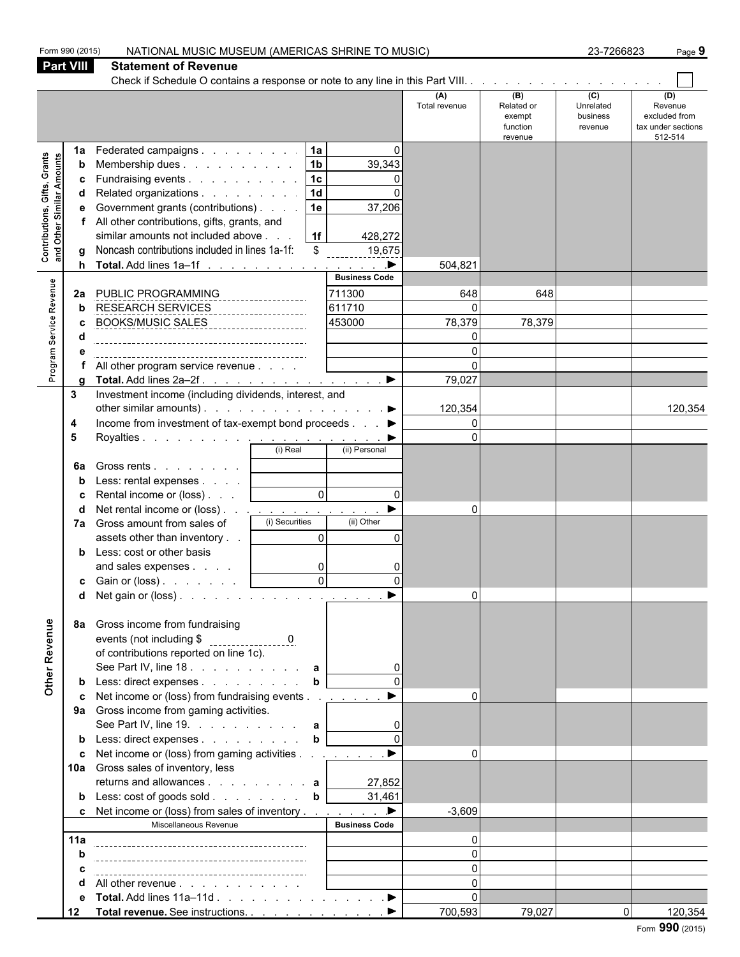|                                                                  | Form 990 (2015)              | NATIONAL MUSIC MUSEUM (AMERICAS SHRINE TO MUSIC)                                                                                                                                                                                                                                                                                                                                                                                                                                                                                                   |                                                                                        |                                                                                               |                                                 |                                                    | 23-7266823                                         | Page 9                                                           |
|------------------------------------------------------------------|------------------------------|----------------------------------------------------------------------------------------------------------------------------------------------------------------------------------------------------------------------------------------------------------------------------------------------------------------------------------------------------------------------------------------------------------------------------------------------------------------------------------------------------------------------------------------------------|----------------------------------------------------------------------------------------|-----------------------------------------------------------------------------------------------|-------------------------------------------------|----------------------------------------------------|----------------------------------------------------|------------------------------------------------------------------|
|                                                                  | <b>Part VIII</b>             | <b>Statement of Revenue</b>                                                                                                                                                                                                                                                                                                                                                                                                                                                                                                                        |                                                                                        |                                                                                               |                                                 |                                                    |                                                    |                                                                  |
|                                                                  |                              |                                                                                                                                                                                                                                                                                                                                                                                                                                                                                                                                                    |                                                                                        |                                                                                               |                                                 |                                                    |                                                    |                                                                  |
|                                                                  |                              |                                                                                                                                                                                                                                                                                                                                                                                                                                                                                                                                                    |                                                                                        |                                                                                               | (A)<br>Total revenue                            | (B)<br>Related or<br>exempt<br>function<br>revenue | $\overline{c}$<br>Unrelated<br>business<br>revenue | (D)<br>Revenue<br>excluded from<br>tax under sections<br>512-514 |
| <b>Contributions, Gifts, Grants</b><br>and Other Similar Amounts | 1a<br>b<br>c<br>d<br>е<br>h. | Federated campaigns<br>Membership dues<br>Fundraising events<br>Related organizations<br>Government grants (contributions)<br>All other contributions, gifts, grants, and<br>similar amounts not included above<br>Noncash contributions included in lines 1a-1f:<br>Total. Add lines 1a-1f                                                                                                                                                                                                                                                        | 1a<br> 1 <sub>b</sub><br> 1c <br>1d<br> 1e<br> 1f <br>$\mathbb{S}$                     | $\Omega$<br>39,343<br>0<br>37,206<br>428,272<br>19,675<br>$\qquad \qquad \blacktriangleright$ | 504,821                                         |                                                    |                                                    |                                                                  |
| Program Service Revenue                                          | 2a<br>b                      | PUBLIC PROGRAMMING<br>RESEARCH SERVICES<br>BOOKS/MUSIC SALES<br>All other program service revenue                                                                                                                                                                                                                                                                                                                                                                                                                                                  |                                                                                        | <b>Business Code</b><br>711300<br>611710<br>453000                                            | 648<br>78,379<br>$\Omega$<br>$\Omega$<br>79,027 | 648<br>78,379                                      |                                                    |                                                                  |
|                                                                  | 3<br>4<br>5<br>6a            | Investment income (including dividends, interest, and<br>other similar amounts). $\ldots$ $\ldots$ $\ldots$ $\ldots$ $\ldots$ $\ldots$<br>Income from investment of tax-exempt bond proceeds ▶<br>Gross rents $\ldots$ $\ldots$ $\ldots$<br>Rental income or (loss)  <br>Net rental income or (loss) <u>.</u><br>7a Gross amount from sales of<br>assets other than inventory<br>Less: cost or other basis<br>and sales expenses<br><b>c</b> Gain or (loss) $\ldots$ $\ldots$                                                                      | $\overline{0}$<br>(i) Securities<br>$\overline{0}$<br>$\overline{0}$<br>$\overline{0}$ | $\Omega$<br>(ii) Other<br>$\Omega$<br>0<br>$\Omega$                                           | 120,354<br>$\Omega$<br>$\Omega$<br>$\Omega$     |                                                    |                                                    | 120,354                                                          |
| Other Revenue                                                    | 8а<br>c                      | Gross income from fundraising<br>of contributions reported on line 1c).<br>See Part IV, line 18. $\therefore$ $\therefore$ $\therefore$ $\therefore$ $\therefore$ a<br>Less: direct expenses<br>Net income or (loss) from fundraising events<br>9a Gross income from gaming activities.<br>See Part IV, line 19. $\ldots$ $\ldots$ $\ldots$ <b>a</b><br>Less: direct expenses<br>Net income or (loss) from gaming activities <u>. ▶</u><br>10a Gross sales of inventory, less<br>returns and allowances $\mathbf{a}$<br>Less: cost of goods sold b | $\mathbf b$<br>b                                                                       | 27,852<br>31,461                                                                              | $\Omega$<br>$\Omega$<br>$\Omega$                |                                                    |                                                    |                                                                  |
|                                                                  | 11a                          | Net income or (loss) from sales of inventory ▶<br>Miscellaneous Revenue                                                                                                                                                                                                                                                                                                                                                                                                                                                                            |                                                                                        | <b>Business Code</b>                                                                          | $-3,609$<br>$\Omega$<br>$\Omega$<br>$\Omega$    |                                                    |                                                    |                                                                  |
|                                                                  | е<br>12                      | All other revenue<br>Total. Add lines 11a–11d ▶<br>Total revenue. See instructions. ▶                                                                                                                                                                                                                                                                                                                                                                                                                                                              |                                                                                        |                                                                                               | $\Omega$<br>$\Omega$<br>700,593                 | 79,027                                             |                                                    | $\overline{0}$<br>120,354                                        |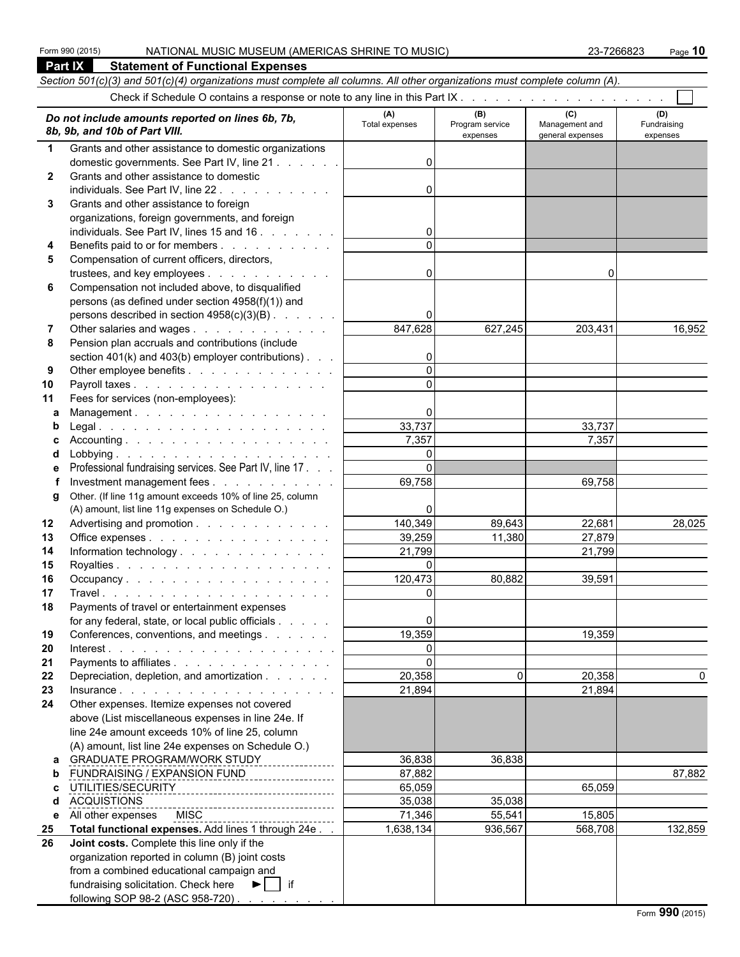|              | Part IX<br><b>Statement of Functional Expenses</b>                                                                         |                   |                             |                                    |                         |
|--------------|----------------------------------------------------------------------------------------------------------------------------|-------------------|-----------------------------|------------------------------------|-------------------------|
|              | Section 501(c)(3) and 501(c)(4) organizations must complete all columns. All other organizations must complete column (A). |                   |                             |                                    |                         |
|              |                                                                                                                            |                   |                             |                                    |                         |
|              |                                                                                                                            | (A)               | (B)                         | (C)                                | (D)                     |
|              | Do not include amounts reported on lines 6b, 7b,<br>8b, 9b, and 10b of Part VIII.                                          | Total expenses    | Program service<br>expenses | Management and<br>general expenses | Fundraising<br>expenses |
| $\mathbf 1$  | Grants and other assistance to domestic organizations                                                                      |                   |                             |                                    |                         |
|              | domestic governments. See Part IV, line 21                                                                                 | $\Omega$          |                             |                                    |                         |
| $\mathbf{2}$ | Grants and other assistance to domestic                                                                                    |                   |                             |                                    |                         |
|              | individuals. See Part IV, line 22.                                                                                         | 0                 |                             |                                    |                         |
| 3            | Grants and other assistance to foreign                                                                                     |                   |                             |                                    |                         |
|              | organizations, foreign governments, and foreign                                                                            |                   |                             |                                    |                         |
|              | individuals. See Part IV, lines 15 and 16                                                                                  |                   |                             |                                    |                         |
| 4            | Benefits paid to or for members                                                                                            |                   |                             |                                    |                         |
| 5            | Compensation of current officers, directors,                                                                               |                   |                             |                                    |                         |
|              | trustees, and key employees                                                                                                | $\Omega$          |                             | 0                                  |                         |
| 6            | Compensation not included above, to disqualified                                                                           |                   |                             |                                    |                         |
|              | persons (as defined under section 4958(f)(1)) and                                                                          |                   |                             |                                    |                         |
|              | persons described in section $4958(c)(3)(B)$ .                                                                             | 0                 |                             |                                    |                         |
|              | Other salaries and wages                                                                                                   | 847,628           | 627,245                     | 203,431                            | 16,952                  |
| 8            | Pension plan accruals and contributions (include                                                                           |                   |                             |                                    |                         |
|              | section $401(k)$ and $403(b)$ employer contributions).                                                                     | 0                 |                             |                                    |                         |
| 9            | Other employee benefits                                                                                                    | $\Omega$          |                             |                                    |                         |
| 10           | Payroll taxes                                                                                                              |                   |                             |                                    |                         |
| 11           | Fees for services (non-employees):                                                                                         |                   |                             |                                    |                         |
| a            | Management.                                                                                                                | 0                 |                             |                                    |                         |
| b            |                                                                                                                            | 33,737            |                             | 33,737                             |                         |
|              |                                                                                                                            | 7,357<br>$\Omega$ |                             | 7,357                              |                         |
| d            | Professional fundraising services. See Part IV, line 17.                                                                   | $\Omega$          |                             |                                    |                         |
| е            | Investment management fees                                                                                                 | 69,758            |                             | 69,758                             |                         |
| g            | Other. (If line 11g amount exceeds 10% of line 25, column                                                                  |                   |                             |                                    |                         |
|              | (A) amount, list line 11g expenses on Schedule O.)                                                                         | 0                 |                             |                                    |                         |
| 12           | Advertising and promotion                                                                                                  | 140,349           | 89,643                      | 22,681                             | 28,025                  |
| 13           | Office expenses                                                                                                            | 39,259            | 11,380                      | 27,879                             |                         |
| 14           | Information technology.                                                                                                    | 21,799            |                             | 21,799                             |                         |
| 15           |                                                                                                                            | $\Omega$          |                             |                                    |                         |
| 16           | Occupancy.                                                                                                                 | 120,473           | 80,882                      | 39,591                             |                         |
| 17           |                                                                                                                            | $\overline{0}$    |                             |                                    |                         |
| 18           | Payments of travel or entertainment expenses                                                                               |                   |                             |                                    |                         |
|              | for any federal, state, or local public officials                                                                          | $\Omega$          |                             |                                    |                         |
| 19           | Conferences, conventions, and meetings                                                                                     | 19,359            |                             | 19,359                             |                         |
| 20           |                                                                                                                            | $\mathbf{0}$      |                             |                                    |                         |
| 21           | Payments to affiliates                                                                                                     | $\Omega$          |                             |                                    |                         |
| 22           | Depreciation, depletion, and amortization                                                                                  | 20,358            | O                           | 20,358                             |                         |
| 23           |                                                                                                                            | 21,894            |                             | 21,894                             |                         |
| 24           | Other expenses. Itemize expenses not covered                                                                               |                   |                             |                                    |                         |
|              | above (List miscellaneous expenses in line 24e. If                                                                         |                   |                             |                                    |                         |
|              | line 24e amount exceeds 10% of line 25, column                                                                             |                   |                             |                                    |                         |
|              | (A) amount, list line 24e expenses on Schedule O.)                                                                         |                   |                             |                                    |                         |
| a            | <b>GRADUATE PROGRAM/WORK STUDY</b>                                                                                         | 36,838            | 36,838                      |                                    |                         |
| b            | FUNDRAISING / EXPANSION FUND                                                                                               | 87,882            |                             |                                    | 87,882                  |
| c.           |                                                                                                                            | 65,059            |                             | 65,059                             |                         |
| d            | ACQUISTIONS<br>----------------------------------                                                                          | 35,038            | 35,038                      |                                    |                         |
| е            |                                                                                                                            | 71,346            | 55,541                      | 15,805                             |                         |
| 25           | Total functional expenses. Add lines 1 through 24e.                                                                        | 1,638,134         | 936,567                     | 568,708                            | 132,859                 |
| 26           | Joint costs. Complete this line only if the                                                                                |                   |                             |                                    |                         |
|              | organization reported in column (B) joint costs                                                                            |                   |                             |                                    |                         |
|              | from a combined educational campaign and                                                                                   |                   |                             |                                    |                         |
|              | fundraising solicitation. Check here $\blacktriangleright$   if                                                            |                   |                             |                                    |                         |
|              | following SOP 98-2 (ASC 958-720)                                                                                           |                   |                             |                                    |                         |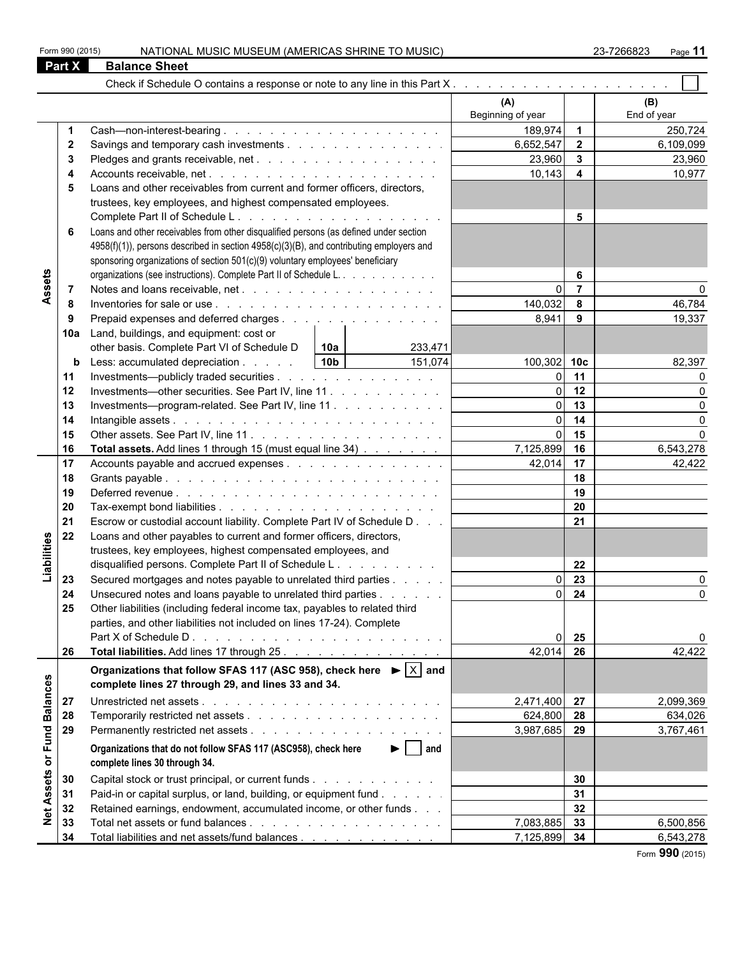|                   |              |                                                                                                                    | (A)<br>Beginning of year |                                                                                                                                                                                                                                                                                                                                                                                                                                                                                       | (B)<br>End of year                                                                                                                                                           |
|-------------------|--------------|--------------------------------------------------------------------------------------------------------------------|--------------------------|---------------------------------------------------------------------------------------------------------------------------------------------------------------------------------------------------------------------------------------------------------------------------------------------------------------------------------------------------------------------------------------------------------------------------------------------------------------------------------------|------------------------------------------------------------------------------------------------------------------------------------------------------------------------------|
|                   |              |                                                                                                                    |                          |                                                                                                                                                                                                                                                                                                                                                                                                                                                                                       | 250,724                                                                                                                                                                      |
|                   | $\mathbf{2}$ |                                                                                                                    |                          | 189,974 1<br>6,652,547<br>$\overline{\mathbf{2}}$<br>23,960<br>$\mathbf{3}$<br>10,143<br>$\overline{\mathbf{4}}$<br>5<br>6<br>$\overline{7}$<br>$\Omega$<br>140,032<br>8<br>8,941<br>9<br>100,302 10c<br>11<br>12<br>$\Omega$<br>$\Omega$<br>13<br>14<br>$\Omega$<br>15<br>$\Omega$<br>7,125,899 16<br>17<br>42,014<br>18<br>19<br>20<br>21<br>22<br>23<br>24<br>25<br>$\Omega$<br>42,014<br>26<br>2,471,400 27<br>624,800 28<br>3,987,685<br>29<br>30<br>31<br>32<br>7,083,885<br>33 |                                                                                                                                                                              |
|                   | 3            |                                                                                                                    |                          |                                                                                                                                                                                                                                                                                                                                                                                                                                                                                       |                                                                                                                                                                              |
|                   | 4            |                                                                                                                    |                          |                                                                                                                                                                                                                                                                                                                                                                                                                                                                                       |                                                                                                                                                                              |
|                   | 5            | Loans and other receivables from current and former officers, directors,                                           |                          |                                                                                                                                                                                                                                                                                                                                                                                                                                                                                       |                                                                                                                                                                              |
|                   |              | trustees, key employees, and highest compensated employees.                                                        |                          |                                                                                                                                                                                                                                                                                                                                                                                                                                                                                       |                                                                                                                                                                              |
|                   |              |                                                                                                                    |                          |                                                                                                                                                                                                                                                                                                                                                                                                                                                                                       | 6,109,099<br>23,960<br>10,977<br>46,784<br>19,337<br>82,397<br>6,543,278<br>42,422<br>ŋ<br>$\Omega$<br>42,422<br>2,099,369<br>634,026<br>3,767,461<br>6,500,856<br>6,543,278 |
|                   | 6            | Loans and other receivables from other disqualified persons (as defined under section                              |                          |                                                                                                                                                                                                                                                                                                                                                                                                                                                                                       |                                                                                                                                                                              |
|                   |              | 4958(f)(1)), persons described in section 4958(c)(3)(B), and contributing employers and                            |                          |                                                                                                                                                                                                                                                                                                                                                                                                                                                                                       |                                                                                                                                                                              |
|                   |              | sponsoring organizations of section 501(c)(9) voluntary employees' beneficiary                                     |                          |                                                                                                                                                                                                                                                                                                                                                                                                                                                                                       |                                                                                                                                                                              |
|                   |              | organizations (see instructions). Complete Part II of Schedule L.                                                  |                          |                                                                                                                                                                                                                                                                                                                                                                                                                                                                                       |                                                                                                                                                                              |
| Assets            |              |                                                                                                                    |                          |                                                                                                                                                                                                                                                                                                                                                                                                                                                                                       |                                                                                                                                                                              |
|                   | 7            |                                                                                                                    |                          |                                                                                                                                                                                                                                                                                                                                                                                                                                                                                       |                                                                                                                                                                              |
|                   | 8            |                                                                                                                    |                          |                                                                                                                                                                                                                                                                                                                                                                                                                                                                                       |                                                                                                                                                                              |
|                   | 9            | Prepaid expenses and deferred charges                                                                              |                          |                                                                                                                                                                                                                                                                                                                                                                                                                                                                                       |                                                                                                                                                                              |
|                   | 10a          | Land, buildings, and equipment: cost or<br>other basis. Complete Part VI of Schedule D                             |                          |                                                                                                                                                                                                                                                                                                                                                                                                                                                                                       |                                                                                                                                                                              |
|                   |              | 10a <br>233,471<br> 10b <br>Less: accumulated depreciation                                                         |                          |                                                                                                                                                                                                                                                                                                                                                                                                                                                                                       |                                                                                                                                                                              |
|                   | b            | 151,074                                                                                                            |                          |                                                                                                                                                                                                                                                                                                                                                                                                                                                                                       |                                                                                                                                                                              |
|                   | 11           | Investments—publicly traded securities                                                                             |                          |                                                                                                                                                                                                                                                                                                                                                                                                                                                                                       |                                                                                                                                                                              |
|                   | 12           | Investments—other securities. See Part IV, line 11.                                                                |                          |                                                                                                                                                                                                                                                                                                                                                                                                                                                                                       |                                                                                                                                                                              |
|                   | 13           | Investments---program-related. See Part IV, line 11                                                                |                          |                                                                                                                                                                                                                                                                                                                                                                                                                                                                                       |                                                                                                                                                                              |
|                   | 14           |                                                                                                                    |                          |                                                                                                                                                                                                                                                                                                                                                                                                                                                                                       |                                                                                                                                                                              |
|                   | 15           |                                                                                                                    |                          |                                                                                                                                                                                                                                                                                                                                                                                                                                                                                       |                                                                                                                                                                              |
|                   | 16           | Total assets. Add lines 1 through 15 (must equal line 34)                                                          |                          |                                                                                                                                                                                                                                                                                                                                                                                                                                                                                       |                                                                                                                                                                              |
|                   | 17           |                                                                                                                    |                          |                                                                                                                                                                                                                                                                                                                                                                                                                                                                                       |                                                                                                                                                                              |
|                   | 18           |                                                                                                                    |                          |                                                                                                                                                                                                                                                                                                                                                                                                                                                                                       |                                                                                                                                                                              |
|                   | 19           | Deferred revenue                                                                                                   |                          |                                                                                                                                                                                                                                                                                                                                                                                                                                                                                       |                                                                                                                                                                              |
|                   | 20           |                                                                                                                    |                          |                                                                                                                                                                                                                                                                                                                                                                                                                                                                                       |                                                                                                                                                                              |
|                   | 21           | Escrow or custodial account liability. Complete Part IV of Schedule D                                              |                          |                                                                                                                                                                                                                                                                                                                                                                                                                                                                                       |                                                                                                                                                                              |
| Liabilities       | 22           | Loans and other payables to current and former officers, directors,                                                |                          |                                                                                                                                                                                                                                                                                                                                                                                                                                                                                       |                                                                                                                                                                              |
|                   |              | trustees, key employees, highest compensated employees, and                                                        |                          |                                                                                                                                                                                                                                                                                                                                                                                                                                                                                       |                                                                                                                                                                              |
|                   |              | disqualified persons. Complete Part II of Schedule L.                                                              |                          |                                                                                                                                                                                                                                                                                                                                                                                                                                                                                       |                                                                                                                                                                              |
|                   | 23           | Secured mortgages and notes payable to unrelated third parties                                                     |                          |                                                                                                                                                                                                                                                                                                                                                                                                                                                                                       |                                                                                                                                                                              |
|                   | 24           | Unsecured notes and loans payable to unrelated third parties                                                       |                          |                                                                                                                                                                                                                                                                                                                                                                                                                                                                                       |                                                                                                                                                                              |
|                   | 25           | Other liabilities (including federal income tax, payables to related third                                         |                          |                                                                                                                                                                                                                                                                                                                                                                                                                                                                                       |                                                                                                                                                                              |
|                   |              | parties, and other liabilities not included on lines 17-24). Complete                                              |                          |                                                                                                                                                                                                                                                                                                                                                                                                                                                                                       |                                                                                                                                                                              |
|                   |              |                                                                                                                    |                          |                                                                                                                                                                                                                                                                                                                                                                                                                                                                                       |                                                                                                                                                                              |
|                   | 26           |                                                                                                                    |                          |                                                                                                                                                                                                                                                                                                                                                                                                                                                                                       |                                                                                                                                                                              |
|                   |              | Organizations that follow SFAS 117 (ASC 958), check here $\blacktriangleright \lvert \overline{\times} \rvert$ and |                          |                                                                                                                                                                                                                                                                                                                                                                                                                                                                                       |                                                                                                                                                                              |
|                   |              | complete lines 27 through 29, and lines 33 and 34.                                                                 |                          |                                                                                                                                                                                                                                                                                                                                                                                                                                                                                       |                                                                                                                                                                              |
|                   | 27           |                                                                                                                    |                          |                                                                                                                                                                                                                                                                                                                                                                                                                                                                                       |                                                                                                                                                                              |
|                   | 28           |                                                                                                                    |                          |                                                                                                                                                                                                                                                                                                                                                                                                                                                                                       |                                                                                                                                                                              |
|                   | 29           |                                                                                                                    |                          |                                                                                                                                                                                                                                                                                                                                                                                                                                                                                       |                                                                                                                                                                              |
| or Fund Balances  |              | $\blacktriangleright$   $\blacksquare$ and<br>Organizations that do not follow SFAS 117 (ASC958), check here       |                          |                                                                                                                                                                                                                                                                                                                                                                                                                                                                                       |                                                                                                                                                                              |
|                   |              | complete lines 30 through 34.                                                                                      |                          |                                                                                                                                                                                                                                                                                                                                                                                                                                                                                       |                                                                                                                                                                              |
|                   |              |                                                                                                                    |                          |                                                                                                                                                                                                                                                                                                                                                                                                                                                                                       |                                                                                                                                                                              |
| <b>Net Assets</b> | 30           | Capital stock or trust principal, or current funds                                                                 |                          |                                                                                                                                                                                                                                                                                                                                                                                                                                                                                       |                                                                                                                                                                              |
|                   | 31           | Paid-in or capital surplus, or land, building, or equipment fund                                                   |                          |                                                                                                                                                                                                                                                                                                                                                                                                                                                                                       |                                                                                                                                                                              |
|                   | 32           | Retained earnings, endowment, accumulated income, or other funds                                                   |                          |                                                                                                                                                                                                                                                                                                                                                                                                                                                                                       |                                                                                                                                                                              |
|                   | 33           |                                                                                                                    |                          |                                                                                                                                                                                                                                                                                                                                                                                                                                                                                       |                                                                                                                                                                              |
|                   | 34           | Total liabilities and net assets/fund balances                                                                     | 7,125,899 34             |                                                                                                                                                                                                                                                                                                                                                                                                                                                                                       |                                                                                                                                                                              |

Form **990** (2015)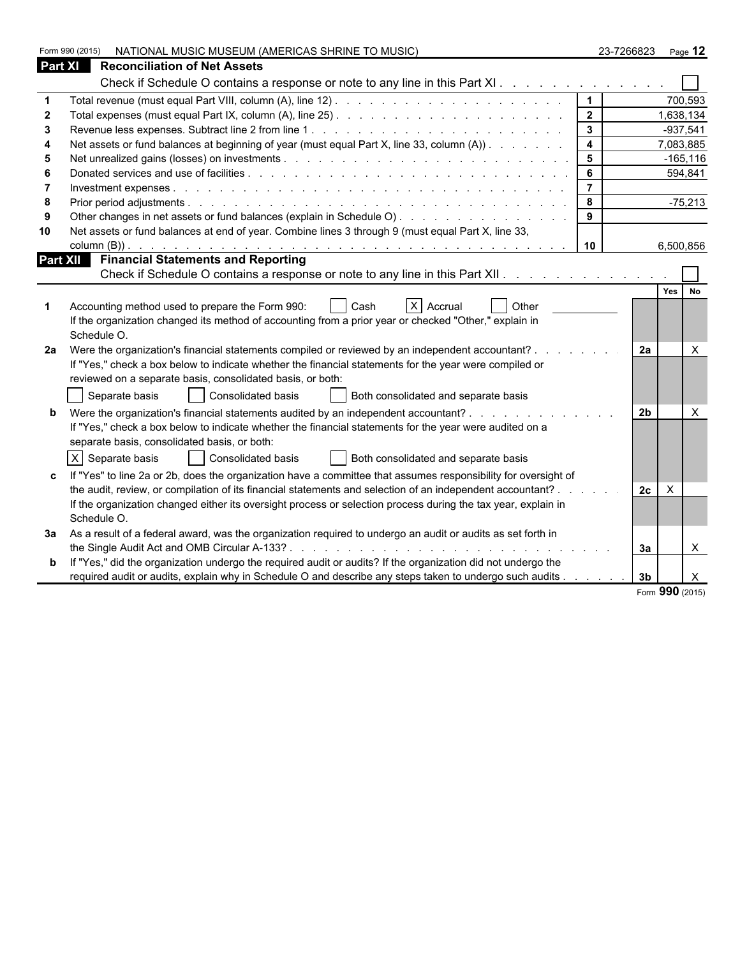|    | Form 990 (2015)<br>NATIONAL MUSIC MUSEUM (AMERICAS SHRINE TO MUSIC)                                                                                                                                                                                                                                                                                       |                | 23-7266823     | Page 12            |
|----|-----------------------------------------------------------------------------------------------------------------------------------------------------------------------------------------------------------------------------------------------------------------------------------------------------------------------------------------------------------|----------------|----------------|--------------------|
|    | <b>Part XI</b> Reconciliation of Net Assets                                                                                                                                                                                                                                                                                                               |                |                |                    |
|    | Check if Schedule O contains a response or note to any line in this Part XI                                                                                                                                                                                                                                                                               |                |                |                    |
|    |                                                                                                                                                                                                                                                                                                                                                           | $\mathbf 1$    |                | 700,593            |
| 2  |                                                                                                                                                                                                                                                                                                                                                           | $\overline{2}$ |                | 1,638,134          |
|    |                                                                                                                                                                                                                                                                                                                                                           | $\mathbf{3}$   |                | $-937,541$         |
|    | Net assets or fund balances at beginning of year (must equal Part X, line 33, column (A))                                                                                                                                                                                                                                                                 | $\overline{4}$ |                | 7,083,885          |
| 5  |                                                                                                                                                                                                                                                                                                                                                           | 5              |                | $-165.116$         |
| -6 |                                                                                                                                                                                                                                                                                                                                                           | 6              |                | 594,841            |
|    |                                                                                                                                                                                                                                                                                                                                                           | $\overline{7}$ |                |                    |
| 8  |                                                                                                                                                                                                                                                                                                                                                           | 8              |                | $-75,213$          |
| -9 | Other changes in net assets or fund balances (explain in Schedule O)                                                                                                                                                                                                                                                                                      | 9              |                |                    |
| 10 | Net assets or fund balances at end of year. Combine lines 3 through 9 (must equal Part X, line 33,                                                                                                                                                                                                                                                        |                |                |                    |
|    |                                                                                                                                                                                                                                                                                                                                                           | 10             |                | 6,500,856          |
|    | <b>Part XII Financial Statements and Reporting</b>                                                                                                                                                                                                                                                                                                        |                |                |                    |
|    | Check if Schedule O contains a response or note to any line in this Part XII. A contact the state of the conta                                                                                                                                                                                                                                            |                |                |                    |
|    | X Accrual<br>Accounting method used to prepare the Form 990:<br>Other<br>Cash<br>If the organization changed its method of accounting from a prior year or checked "Other," explain in<br>Schedule O.                                                                                                                                                     |                |                | Yes  <br><b>No</b> |
| 2a | Were the organization's financial statements compiled or reviewed by an independent accountant? .<br>If "Yes," check a box below to indicate whether the financial statements for the year were compiled or<br>reviewed on a separate basis, consolidated basis, or both:<br>Separate basis<br>Consolidated basis<br>Both consolidated and separate basis |                | 2a             | X                  |
|    |                                                                                                                                                                                                                                                                                                                                                           |                |                |                    |
|    | Were the organization's financial statements audited by an independent accountant?<br>If "Yes," check a box below to indicate whether the financial statements for the year were audited on a<br>separate basis, consolidated basis, or both:                                                                                                             |                | 2b             | $\times$           |
|    | $X$ Separate basis<br>Consolidated basis<br>Both consolidated and separate basis                                                                                                                                                                                                                                                                          |                |                |                    |
|    | If "Yes" to line 2a or 2b, does the organization have a committee that assumes responsibility for oversight of                                                                                                                                                                                                                                            |                |                |                    |
|    | the audit, review, or compilation of its financial statements and selection of an independent accountant? .                                                                                                                                                                                                                                               |                | 2c             | $\times$           |
|    | If the organization changed either its oversight process or selection process during the tax year, explain in<br>Schedule O.                                                                                                                                                                                                                              |                |                |                    |
|    | 3a As a result of a federal award, was the organization required to undergo an audit or audits as set forth in                                                                                                                                                                                                                                            |                |                |                    |
|    |                                                                                                                                                                                                                                                                                                                                                           |                | За             | $\mathsf{X}$       |
|    | If "Yes," did the organization undergo the required audit or audits? If the organization did not undergo the                                                                                                                                                                                                                                              |                |                |                    |
|    | required audit or audits, explain why in Schedule O and describe any steps taken to undergo such audits                                                                                                                                                                                                                                                   |                | 3 <sub>b</sub> | X                  |
|    |                                                                                                                                                                                                                                                                                                                                                           |                |                | Form 990 (2015)    |

|  |  | Form $990$ (2015) |
|--|--|-------------------|
|--|--|-------------------|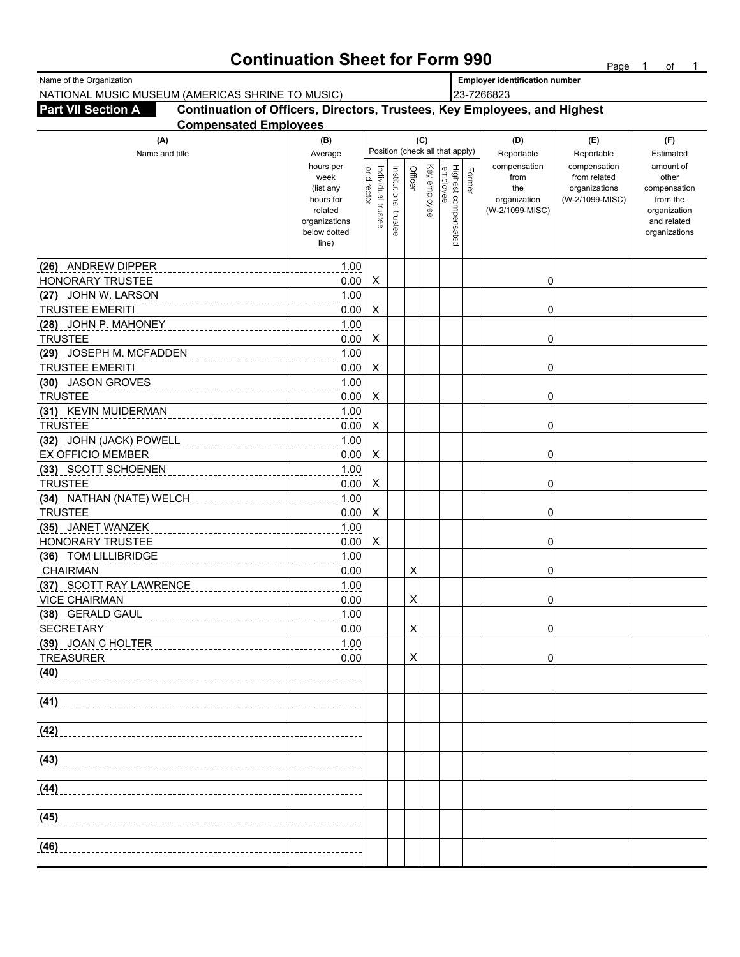### **Continuation Sheet for Form 990** Page 1 of 1

| Name of the Organization                         |                              |                                                                                         |                    |                       |         |              |                                 |        | <b>Employer identification number</b> |                              |                             |  |
|--------------------------------------------------|------------------------------|-----------------------------------------------------------------------------------------|--------------------|-----------------------|---------|--------------|---------------------------------|--------|---------------------------------------|------------------------------|-----------------------------|--|
| NATIONAL MUSIC MUSEUM (AMERICAS SHRINE TO MUSIC) |                              | 23-7266823<br>Continuation of Officers, Directors, Trustees, Key Employees, and Highest |                    |                       |         |              |                                 |        |                                       |                              |                             |  |
| <b>Part VII Section A</b>                        |                              |                                                                                         |                    |                       |         |              |                                 |        |                                       |                              |                             |  |
|                                                  | <b>Compensated Employees</b> |                                                                                         |                    |                       |         |              |                                 |        |                                       |                              |                             |  |
| (A)                                              |                              | (B)                                                                                     |                    |                       |         | (C)          |                                 |        | (D)                                   | (E)                          | (F)                         |  |
| Name and title                                   |                              | Average                                                                                 |                    |                       |         |              | Position (check all that apply) |        | Reportable                            | Reportable                   | Estimated                   |  |
|                                                  |                              | hours per<br>week                                                                       |                    |                       | Officer |              |                                 |        | compensation<br>from                  | compensation<br>from related | amount of<br>other          |  |
|                                                  |                              | (list any                                                                               | or director        |                       |         |              |                                 | Former | the                                   | organizations                | compensation                |  |
|                                                  |                              | hours for                                                                               |                    |                       |         | Key employee |                                 |        | organization                          | (W-2/1099-MISC)              | from the                    |  |
|                                                  |                              | related                                                                                 | Individual trustee | Institutional trustee |         |              | Highest compensated<br>employee |        | (W-2/1099-MISC)                       |                              | organization<br>and related |  |
|                                                  |                              | organizations<br>below dotted                                                           |                    |                       |         |              |                                 |        |                                       |                              | organizations               |  |
|                                                  |                              | line)                                                                                   |                    |                       |         |              |                                 |        |                                       |                              |                             |  |
| (26) ANDREW DIPPER                               |                              | 1.00                                                                                    |                    |                       |         |              |                                 |        |                                       |                              |                             |  |
| HONORARY TRUSTEE                                 |                              | 0.00                                                                                    | X                  |                       |         |              |                                 |        | 0                                     |                              |                             |  |
| (27) JOHN W. LARSON                              |                              | 1.00                                                                                    |                    |                       |         |              |                                 |        |                                       |                              |                             |  |
| <b>TRUSTEE EMERITI</b>                           |                              | 0.00                                                                                    | X                  |                       |         |              |                                 |        | 0                                     |                              |                             |  |
| (28) JOHN P. MAHONEY                             |                              | 1.00                                                                                    |                    |                       |         |              |                                 |        |                                       |                              |                             |  |
| <b>TRUSTEE</b>                                   |                              | 0.00                                                                                    | X                  |                       |         |              |                                 |        | 0                                     |                              |                             |  |
| (29) JOSEPH M. MCFADDEN                          |                              | 1.00                                                                                    |                    |                       |         |              |                                 |        |                                       |                              |                             |  |
| <b>TRUSTEE EMERITI</b>                           |                              | 0.00                                                                                    | X                  |                       |         |              |                                 |        | 0                                     |                              |                             |  |
| (30) JASON GROVES                                |                              | 1.00                                                                                    |                    |                       |         |              |                                 |        |                                       |                              |                             |  |
| <b>TRUSTEE</b>                                   |                              | 0.00                                                                                    | X                  |                       |         |              |                                 |        | 0                                     |                              |                             |  |
| (31) KEVIN MUIDERMAN                             |                              | 1.00                                                                                    |                    |                       |         |              |                                 |        |                                       |                              |                             |  |
| <b>TRUSTEE</b>                                   |                              | 0.00                                                                                    | X                  |                       |         |              |                                 |        | 0                                     |                              |                             |  |
| (32) JOHN (JACK) POWELL                          |                              | 1.00                                                                                    |                    |                       |         |              |                                 |        |                                       |                              |                             |  |
| <b>EX OFFICIO MEMBER</b>                         |                              | 0.00                                                                                    | X                  |                       |         |              |                                 |        | 0                                     |                              |                             |  |
| (33) SCOTT SCHOENEN                              |                              | 1.00                                                                                    |                    |                       |         |              |                                 |        |                                       |                              |                             |  |
| <b>TRUSTEE</b><br>(34) NATHAN (NATE) WELCH       |                              | 0.00<br>1.00                                                                            | X                  |                       |         |              |                                 |        | 0                                     |                              |                             |  |
| <b>TRUSTEE</b>                                   |                              | 0.00                                                                                    | X                  |                       |         |              |                                 |        | 0                                     |                              |                             |  |
| (35) JANET WANZEK                                |                              | 1.00                                                                                    |                    |                       |         |              |                                 |        |                                       |                              |                             |  |
| HONORARY TRUSTEE                                 |                              | 0.00                                                                                    | X                  |                       |         |              |                                 |        | 0                                     |                              |                             |  |
| (36) TOM LILLIBRIDGE                             |                              | 1.00                                                                                    |                    |                       |         |              |                                 |        |                                       |                              |                             |  |
| <b>CHAIRMAN</b>                                  |                              | 0.00                                                                                    |                    |                       | X       |              |                                 |        | 0                                     |                              |                             |  |
| (37) SCOTT RAY LAWRENCE                          |                              | 1.00                                                                                    |                    |                       |         |              |                                 |        |                                       |                              |                             |  |
| <b>VICE CHAIRMAN</b>                             |                              | 0.00                                                                                    |                    |                       | X       |              |                                 |        | 0                                     |                              |                             |  |
| (38) GERALD GAUL                                 |                              | 1.00                                                                                    |                    |                       |         |              |                                 |        |                                       |                              |                             |  |
| <b>SECRETARY</b>                                 |                              | 0.00                                                                                    |                    |                       | X       |              |                                 |        | 0                                     |                              |                             |  |
| (39) JOAN C HOLTER                               |                              | 1.00                                                                                    |                    |                       |         |              |                                 |        |                                       |                              |                             |  |
| <b>TREASURER</b>                                 |                              | 0.00                                                                                    |                    |                       | X       |              |                                 |        | 0                                     |                              |                             |  |
| (40)                                             |                              |                                                                                         |                    |                       |         |              |                                 |        |                                       |                              |                             |  |
|                                                  |                              |                                                                                         |                    |                       |         |              |                                 |        |                                       |                              |                             |  |
| (41)                                             |                              |                                                                                         |                    |                       |         |              |                                 |        |                                       |                              |                             |  |
| (42)                                             |                              |                                                                                         |                    |                       |         |              |                                 |        |                                       |                              |                             |  |
|                                                  |                              |                                                                                         |                    |                       |         |              |                                 |        |                                       |                              |                             |  |
| (43)                                             |                              |                                                                                         |                    |                       |         |              |                                 |        |                                       |                              |                             |  |
|                                                  |                              |                                                                                         |                    |                       |         |              |                                 |        |                                       |                              |                             |  |
| (44)                                             |                              |                                                                                         |                    |                       |         |              |                                 |        |                                       |                              |                             |  |
| (45)                                             |                              |                                                                                         |                    |                       |         |              |                                 |        |                                       |                              |                             |  |
|                                                  |                              |                                                                                         |                    |                       |         |              |                                 |        |                                       |                              |                             |  |
| (46)                                             |                              |                                                                                         |                    |                       |         |              |                                 |        |                                       |                              |                             |  |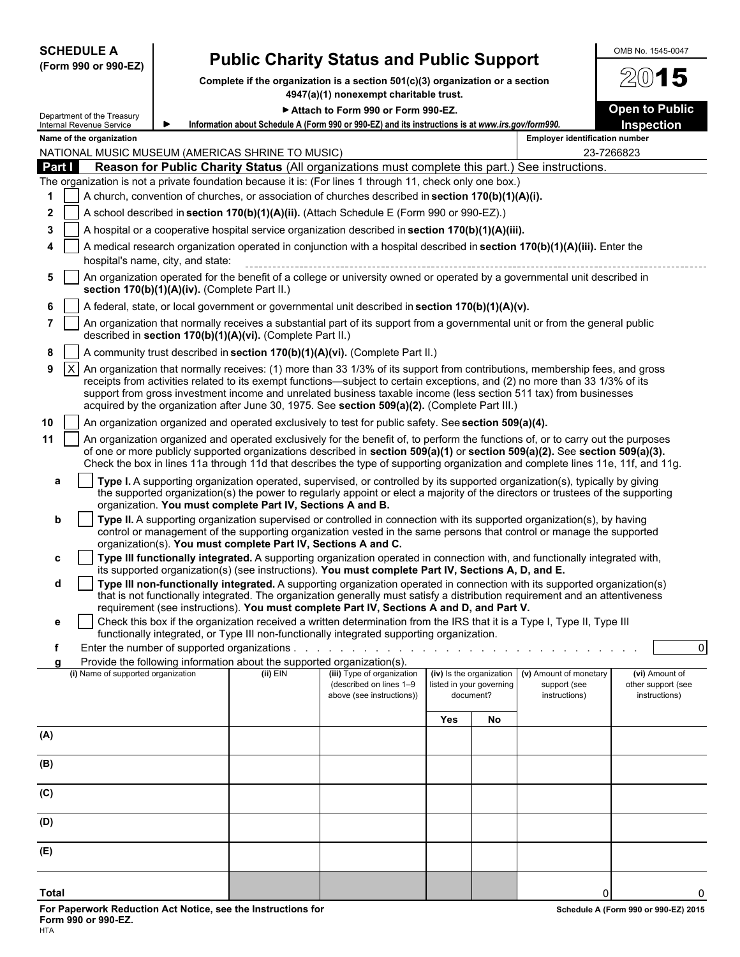| <b>SCHEDULE A</b><br><b>Public Charity Status and Public Support</b><br>(Form 990 or 990-EZ)<br>Complete if the organization is a section $501(c)(3)$ organization or a section |                                    |                                                                                                                                                                                                                 |                                                                                      |                                                                                                                                                                                                                                                                                                                                                                                                                                                                                  |                          |                                       | OMB No. 1545-0047<br>15               |                                     |          |  |  |  |
|---------------------------------------------------------------------------------------------------------------------------------------------------------------------------------|------------------------------------|-----------------------------------------------------------------------------------------------------------------------------------------------------------------------------------------------------------------|--------------------------------------------------------------------------------------|----------------------------------------------------------------------------------------------------------------------------------------------------------------------------------------------------------------------------------------------------------------------------------------------------------------------------------------------------------------------------------------------------------------------------------------------------------------------------------|--------------------------|---------------------------------------|---------------------------------------|-------------------------------------|----------|--|--|--|
|                                                                                                                                                                                 |                                    |                                                                                                                                                                                                                 |                                                                                      | 4947(a)(1) nonexempt charitable trust.                                                                                                                                                                                                                                                                                                                                                                                                                                           |                          |                                       |                                       |                                     |          |  |  |  |
|                                                                                                                                                                                 | Department of the Treasury         |                                                                                                                                                                                                                 |                                                                                      | Attach to Form 990 or Form 990-EZ.                                                                                                                                                                                                                                                                                                                                                                                                                                               |                          |                                       |                                       | <b>Open to Public</b>               |          |  |  |  |
|                                                                                                                                                                                 | Internal Revenue Service           |                                                                                                                                                                                                                 |                                                                                      | Information about Schedule A (Form 990 or 990-EZ) and its instructions is at www.irs.gov/form990.                                                                                                                                                                                                                                                                                                                                                                                |                          |                                       |                                       | Inspection                          |          |  |  |  |
|                                                                                                                                                                                 | Name of the organization           |                                                                                                                                                                                                                 | NATIONAL MUSIC MUSEUM (AMERICAS SHRINE TO MUSIC)                                     |                                                                                                                                                                                                                                                                                                                                                                                                                                                                                  |                          |                                       | <b>Employer identification number</b> | 23-7266823                          |          |  |  |  |
| Part I                                                                                                                                                                          |                                    |                                                                                                                                                                                                                 |                                                                                      | Reason for Public Charity Status (All organizations must complete this part.) See instructions.                                                                                                                                                                                                                                                                                                                                                                                  |                          |                                       |                                       |                                     |          |  |  |  |
|                                                                                                                                                                                 |                                    |                                                                                                                                                                                                                 |                                                                                      | The organization is not a private foundation because it is: (For lines 1 through 11, check only one box.)                                                                                                                                                                                                                                                                                                                                                                        |                          |                                       |                                       |                                     |          |  |  |  |
| 1                                                                                                                                                                               |                                    |                                                                                                                                                                                                                 |                                                                                      | A church, convention of churches, or association of churches described in section 170(b)(1)(A)(i).                                                                                                                                                                                                                                                                                                                                                                               |                          |                                       |                                       |                                     |          |  |  |  |
| $\mathbf{2}$                                                                                                                                                                    |                                    | A school described in section 170(b)(1)(A)(ii). (Attach Schedule E (Form 990 or 990-EZ).)                                                                                                                       |                                                                                      |                                                                                                                                                                                                                                                                                                                                                                                                                                                                                  |                          |                                       |                                       |                                     |          |  |  |  |
| 3                                                                                                                                                                               |                                    | A hospital or a cooperative hospital service organization described in section 170(b)(1)(A)(iii).                                                                                                               |                                                                                      |                                                                                                                                                                                                                                                                                                                                                                                                                                                                                  |                          |                                       |                                       |                                     |          |  |  |  |
| 4                                                                                                                                                                               |                                    | A medical research organization operated in conjunction with a hospital described in section 170(b)(1)(A)(iii). Enter the                                                                                       |                                                                                      |                                                                                                                                                                                                                                                                                                                                                                                                                                                                                  |                          |                                       |                                       |                                     |          |  |  |  |
| 5                                                                                                                                                                               |                                    | hospital's name, city, and state:<br>An organization operated for the benefit of a college or university owned or operated by a governmental unit described in<br>section 170(b)(1)(A)(iv). (Complete Part II.) |                                                                                      |                                                                                                                                                                                                                                                                                                                                                                                                                                                                                  |                          |                                       |                                       |                                     |          |  |  |  |
| 6                                                                                                                                                                               |                                    |                                                                                                                                                                                                                 |                                                                                      | A federal, state, or local government or governmental unit described in section 170(b)(1)(A)(v).                                                                                                                                                                                                                                                                                                                                                                                 |                          |                                       |                                       |                                     |          |  |  |  |
| $\overline{7}$                                                                                                                                                                  |                                    |                                                                                                                                                                                                                 | described in section 170(b)(1)(A)(vi). (Complete Part II.)                           | An organization that normally receives a substantial part of its support from a governmental unit or from the general public                                                                                                                                                                                                                                                                                                                                                     |                          |                                       |                                       |                                     |          |  |  |  |
| 8                                                                                                                                                                               |                                    |                                                                                                                                                                                                                 |                                                                                      | A community trust described in section 170(b)(1)(A)(vi). (Complete Part II.)                                                                                                                                                                                                                                                                                                                                                                                                     |                          |                                       |                                       |                                     |          |  |  |  |
| 9                                                                                                                                                                               | $\times$                           |                                                                                                                                                                                                                 |                                                                                      | An organization that normally receives: (1) more than 33 1/3% of its support from contributions, membership fees, and gross<br>receipts from activities related to its exempt functions—subject to certain exceptions, and (2) no more than 33 1/3% of its<br>support from gross investment income and unrelated business taxable income (less section 511 tax) from businesses<br>acquired by the organization after June 30, 1975. See section 509(a)(2). (Complete Part III.) |                          |                                       |                                       |                                     |          |  |  |  |
| 10                                                                                                                                                                              |                                    |                                                                                                                                                                                                                 |                                                                                      | An organization organized and operated exclusively to test for public safety. See section 509(a)(4).                                                                                                                                                                                                                                                                                                                                                                             |                          |                                       |                                       |                                     |          |  |  |  |
| 11                                                                                                                                                                              |                                    |                                                                                                                                                                                                                 |                                                                                      | An organization organized and operated exclusively for the benefit of, to perform the functions of, or to carry out the purposes<br>of one or more publicly supported organizations described in section 509(a)(1) or section 509(a)(2). See section 509(a)(3).<br>Check the box in lines 11a through 11d that describes the type of supporting organization and complete lines 11e, 11f, and 11g.                                                                               |                          |                                       |                                       |                                     |          |  |  |  |
| a                                                                                                                                                                               |                                    |                                                                                                                                                                                                                 |                                                                                      | Type I. A supporting organization operated, supervised, or controlled by its supported organization(s), typically by giving<br>the supported organization(s) the power to regularly appoint or elect a majority of the directors or trustees of the supporting                                                                                                                                                                                                                   |                          |                                       |                                       |                                     |          |  |  |  |
| b                                                                                                                                                                               |                                    |                                                                                                                                                                                                                 | organization. You must complete Part IV, Sections A and B.                           | Type II. A supporting organization supervised or controlled in connection with its supported organization(s), by having<br>control or management of the supporting organization vested in the same persons that control or manage the supported                                                                                                                                                                                                                                  |                          |                                       |                                       |                                     |          |  |  |  |
| c                                                                                                                                                                               |                                    |                                                                                                                                                                                                                 | organization(s). You must complete Part IV, Sections A and C.                        | Type III functionally integrated. A supporting organization operated in connection with, and functionally integrated with,                                                                                                                                                                                                                                                                                                                                                       |                          |                                       |                                       |                                     |          |  |  |  |
| d                                                                                                                                                                               |                                    |                                                                                                                                                                                                                 |                                                                                      | its supported organization(s) (see instructions). You must complete Part IV, Sections A, D, and E.<br>Type III non-functionally integrated. A supporting organization operated in connection with its supported organization(s)                                                                                                                                                                                                                                                  |                          |                                       |                                       |                                     |          |  |  |  |
|                                                                                                                                                                                 |                                    |                                                                                                                                                                                                                 |                                                                                      | that is not functionally integrated. The organization generally must satisfy a distribution requirement and an attentiveness<br>requirement (see instructions). You must complete Part IV, Sections A and D, and Part V.                                                                                                                                                                                                                                                         |                          |                                       |                                       |                                     |          |  |  |  |
| е                                                                                                                                                                               |                                    |                                                                                                                                                                                                                 |                                                                                      | Check this box if the organization received a written determination from the IRS that it is a Type I, Type II, Type III<br>functionally integrated, or Type III non-functionally integrated supporting organization.                                                                                                                                                                                                                                                             |                          |                                       |                                       |                                     |          |  |  |  |
|                                                                                                                                                                                 |                                    |                                                                                                                                                                                                                 |                                                                                      |                                                                                                                                                                                                                                                                                                                                                                                                                                                                                  |                          |                                       |                                       |                                     | $\Omega$ |  |  |  |
|                                                                                                                                                                                 | (i) Name of supported organization |                                                                                                                                                                                                                 | Provide the following information about the supported organization(s).<br>$(ii)$ EIN | (iii) Type of organization                                                                                                                                                                                                                                                                                                                                                                                                                                                       | (iv) Is the organization |                                       | (v) Amount of monetary                | (vi) Amount of                      |          |  |  |  |
|                                                                                                                                                                                 |                                    |                                                                                                                                                                                                                 |                                                                                      | (described on lines 1-9<br>above (see instructions))                                                                                                                                                                                                                                                                                                                                                                                                                             |                          | listed in your governing<br>document? | support (see<br>instructions)         | other support (see<br>instructions) |          |  |  |  |
|                                                                                                                                                                                 |                                    |                                                                                                                                                                                                                 |                                                                                      |                                                                                                                                                                                                                                                                                                                                                                                                                                                                                  | Yes                      | No                                    |                                       |                                     |          |  |  |  |
| (A)                                                                                                                                                                             |                                    |                                                                                                                                                                                                                 |                                                                                      |                                                                                                                                                                                                                                                                                                                                                                                                                                                                                  |                          |                                       |                                       |                                     |          |  |  |  |
| (B)                                                                                                                                                                             |                                    |                                                                                                                                                                                                                 |                                                                                      |                                                                                                                                                                                                                                                                                                                                                                                                                                                                                  |                          |                                       |                                       |                                     |          |  |  |  |
| (C)                                                                                                                                                                             |                                    |                                                                                                                                                                                                                 |                                                                                      |                                                                                                                                                                                                                                                                                                                                                                                                                                                                                  |                          |                                       |                                       |                                     |          |  |  |  |
| (D)                                                                                                                                                                             |                                    |                                                                                                                                                                                                                 |                                                                                      |                                                                                                                                                                                                                                                                                                                                                                                                                                                                                  |                          |                                       |                                       |                                     |          |  |  |  |
| (E)                                                                                                                                                                             |                                    |                                                                                                                                                                                                                 |                                                                                      |                                                                                                                                                                                                                                                                                                                                                                                                                                                                                  |                          |                                       |                                       |                                     |          |  |  |  |
| Total                                                                                                                                                                           |                                    |                                                                                                                                                                                                                 |                                                                                      |                                                                                                                                                                                                                                                                                                                                                                                                                                                                                  |                          |                                       |                                       | $\overline{0}$                      |          |  |  |  |
|                                                                                                                                                                                 |                                    |                                                                                                                                                                                                                 |                                                                                      |                                                                                                                                                                                                                                                                                                                                                                                                                                                                                  |                          |                                       |                                       |                                     |          |  |  |  |

**For Paperwork Reduction Act Notice, see the Instructions for Schedule A (Form 990 or 990-EZ) 2015 Form 990 or 990-EZ)** 2015 **Form 990 or 990-EZ.** HTA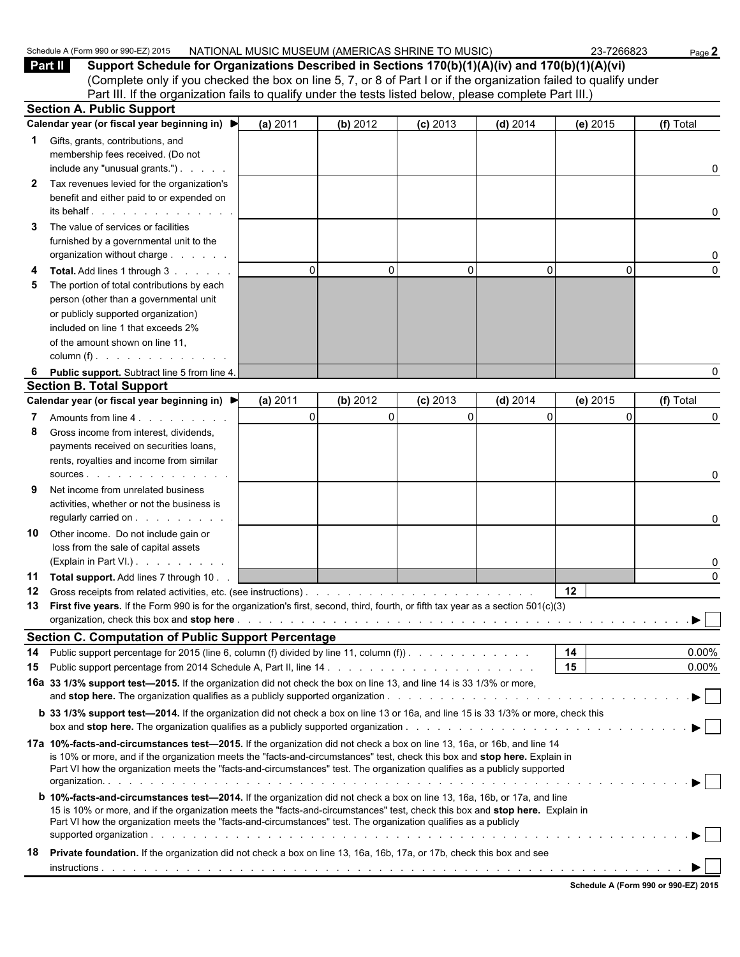|              | Part II<br>Support Schedule for Organizations Described in Sections 170(b)(1)(A)(iv) and 170(b)(1)(A)(vi)                                                                                                                                                                                                                                                                                                                                                                                                            |             |          |              |              |          |           |
|--------------|----------------------------------------------------------------------------------------------------------------------------------------------------------------------------------------------------------------------------------------------------------------------------------------------------------------------------------------------------------------------------------------------------------------------------------------------------------------------------------------------------------------------|-------------|----------|--------------|--------------|----------|-----------|
|              | (Complete only if you checked the box on line 5, 7, or 8 of Part I or if the organization failed to qualify under<br>Part III. If the organization fails to qualify under the tests listed below, please complete Part III.)                                                                                                                                                                                                                                                                                         |             |          |              |              |          |           |
|              | <b>Section A. Public Support</b>                                                                                                                                                                                                                                                                                                                                                                                                                                                                                     |             |          |              |              |          |           |
|              | Calendar year (or fiscal year beginning in) $\blacktriangleright$                                                                                                                                                                                                                                                                                                                                                                                                                                                    | (a) 2011    | (b) 2012 | $(c)$ 2013   | $(d)$ 2014   | (e) 2015 | (f) Total |
| 1.           | Gifts, grants, contributions, and                                                                                                                                                                                                                                                                                                                                                                                                                                                                                    |             |          |              |              |          |           |
|              | membership fees received. (Do not<br>include any "unusual grants.")                                                                                                                                                                                                                                                                                                                                                                                                                                                  |             |          |              |              |          | 0         |
| $\mathbf{2}$ | Tax revenues levied for the organization's                                                                                                                                                                                                                                                                                                                                                                                                                                                                           |             |          |              |              |          |           |
|              | benefit and either paid to or expended on<br>its behalf entitled and the set of the set of the set of the set of the set of the set of the set of the set of the set of the set of the set of the set of the set of the set of the set of the set of the set of the set of                                                                                                                                                                                                                                           |             |          |              |              |          | 0         |
| 3            | The value of services or facilities                                                                                                                                                                                                                                                                                                                                                                                                                                                                                  |             |          |              |              |          |           |
|              | furnished by a governmental unit to the<br>organization without charge                                                                                                                                                                                                                                                                                                                                                                                                                                               |             |          |              |              |          | 0         |
|              | Total. Add lines 1 through 3                                                                                                                                                                                                                                                                                                                                                                                                                                                                                         | $\mathbf 0$ | $\Omega$ | $\mathbf{0}$ | $\mathbf{0}$ | $\Omega$ | $\Omega$  |
| 5            | The portion of total contributions by each<br>person (other than a governmental unit                                                                                                                                                                                                                                                                                                                                                                                                                                 |             |          |              |              |          |           |
|              | or publicly supported organization)                                                                                                                                                                                                                                                                                                                                                                                                                                                                                  |             |          |              |              |          |           |
|              | included on line 1 that exceeds 2%                                                                                                                                                                                                                                                                                                                                                                                                                                                                                   |             |          |              |              |          |           |
|              | of the amount shown on line 11.                                                                                                                                                                                                                                                                                                                                                                                                                                                                                      |             |          |              |              |          |           |
|              | column $(f)$ . $\ldots$ . $\ldots$ .                                                                                                                                                                                                                                                                                                                                                                                                                                                                                 |             |          |              |              |          |           |
| 6            | Public support. Subtract line 5 from line 4.                                                                                                                                                                                                                                                                                                                                                                                                                                                                         |             |          |              |              |          | 0         |
|              | <b>Section B. Total Support</b>                                                                                                                                                                                                                                                                                                                                                                                                                                                                                      |             |          |              |              |          |           |
|              | Calendar year (or fiscal year beginning in) ▶                                                                                                                                                                                                                                                                                                                                                                                                                                                                        | (a) 2011    | (b) 2012 | $(c)$ 2013   | $(d)$ 2014   | (e) 2015 | (f) Total |
|              | Amounts from line 4.                                                                                                                                                                                                                                                                                                                                                                                                                                                                                                 | $\mathbf 0$ | $\Omega$ | $\Omega$     | $\Omega$     | $\Omega$ | 0         |
| 8            | Gross income from interest, dividends,                                                                                                                                                                                                                                                                                                                                                                                                                                                                               |             |          |              |              |          |           |
|              | payments received on securities loans,<br>rents, royalties and income from similar                                                                                                                                                                                                                                                                                                                                                                                                                                   |             |          |              |              |          |           |
|              | SOUICES                                                                                                                                                                                                                                                                                                                                                                                                                                                                                                              |             |          |              |              |          | 0         |
| 9            | Net income from unrelated business                                                                                                                                                                                                                                                                                                                                                                                                                                                                                   |             |          |              |              |          |           |
|              | activities, whether or not the business is<br>regularly carried on                                                                                                                                                                                                                                                                                                                                                                                                                                                   |             |          |              |              |          | 0         |
| 10           | Other income. Do not include gain or                                                                                                                                                                                                                                                                                                                                                                                                                                                                                 |             |          |              |              |          |           |
|              | loss from the sale of capital assets<br>(Explain in Part VI.).                                                                                                                                                                                                                                                                                                                                                                                                                                                       |             |          |              |              |          | 0         |
| 11           | Total support. Add lines 7 through 10                                                                                                                                                                                                                                                                                                                                                                                                                                                                                |             |          |              |              |          | 0         |
| 12           | Gross receipts from related activities, etc. (see instructions).                                                                                                                                                                                                                                                                                                                                                                                                                                                     |             |          |              |              | 12       |           |
| 13           | First five years. If the Form 990 is for the organization's first, second, third, fourth, or fifth tax year as a section 501(c)(3)                                                                                                                                                                                                                                                                                                                                                                                   |             |          |              |              |          |           |
|              |                                                                                                                                                                                                                                                                                                                                                                                                                                                                                                                      |             |          |              |              |          | ▶         |
|              | <b>Section C. Computation of Public Support Percentage</b>                                                                                                                                                                                                                                                                                                                                                                                                                                                           |             |          |              |              | 14       | $0.00\%$  |
| 14<br>15     | Public support percentage for 2015 (line 6, column (f) divided by line 11, column (f)                                                                                                                                                                                                                                                                                                                                                                                                                                |             |          |              |              | 15       | $0.00\%$  |
|              | 16a 33 1/3% support test-2015. If the organization did not check the box on line 13, and line 14 is 33 1/3% or more,                                                                                                                                                                                                                                                                                                                                                                                                 |             |          |              |              |          |           |
|              |                                                                                                                                                                                                                                                                                                                                                                                                                                                                                                                      |             |          |              |              |          |           |
|              | <b>b</b> 33 1/3% support test-2014. If the organization did not check a box on line 13 or 16a, and line 15 is 33 1/3% or more, check this                                                                                                                                                                                                                                                                                                                                                                            |             |          |              |              |          |           |
|              | 17a 10%-facts-and-circumstances test-2015. If the organization did not check a box on line 13, 16a, or 16b, and line 14<br>is 10% or more, and if the organization meets the "facts-and-circumstances" test, check this box and stop here. Explain in<br>Part VI how the organization meets the "facts-and-circumstances" test. The organization qualifies as a publicly supported<br><b>b</b> 10%-facts-and-circumstances test-2014. If the organization did not check a box on line 13, 16a, 16b, or 17a, and line |             |          |              |              |          |           |
|              | 15 is 10% or more, and if the organization meets the "facts-and-circumstances" test, check this box and stop here. Explain in<br>Part VI how the organization meets the "facts-and-circumstances" test. The organization qualifies as a publicly                                                                                                                                                                                                                                                                     |             |          |              |              |          |           |
| 18           | Private foundation. If the organization did not check a box on line 13, 16a, 16b, 17a, or 17b, check this box and see                                                                                                                                                                                                                                                                                                                                                                                                |             |          |              |              |          |           |
|              |                                                                                                                                                                                                                                                                                                                                                                                                                                                                                                                      |             |          |              |              |          |           |

Schedule A (Form 990 or 990-EZ) 2015 NATIONAL MUSIC MUSEUM (AMERICAS SHRINE TO MUSIC) 23-7266823 Page 2

| Schedule A (Form 990 or 990-EZ) 2015 |  |  |  |
|--------------------------------------|--|--|--|
|                                      |  |  |  |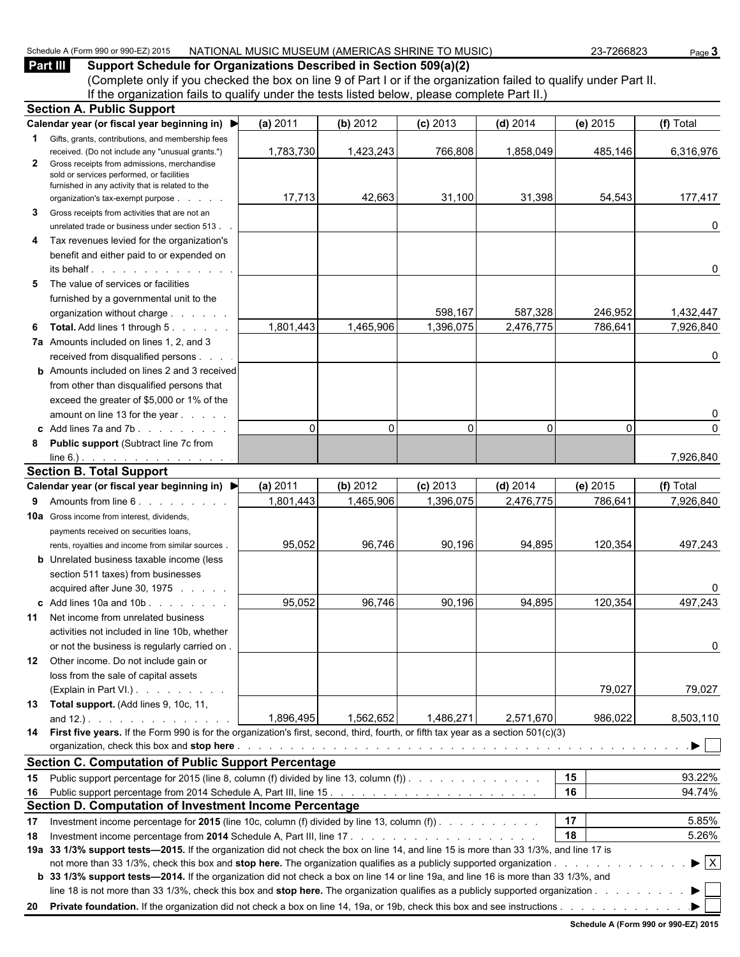#### Schedule A (Form 990 or 990-EZ) 2015 NATIONAL MUSIC MUSEUM (AMERICAS SHRINE TO MUSIC) 23-7266823 Page 3

**Part III Support Schedule for Organizations Described in Section 509(a)(2)** (Complete only if you checked the box on line 9 of Part I or if the organization failed to qualify under Part II. If the organization fails to qualify under the tests listed below, please complete Part II.)<br>Public Support

|              | <b>Section A. Public Support</b>                                                                                                       |           |           |            |              |                |                                      |
|--------------|----------------------------------------------------------------------------------------------------------------------------------------|-----------|-----------|------------|--------------|----------------|--------------------------------------|
|              | Calendar year (or fiscal year beginning in) ▶                                                                                          | (a) 2011  | (b) 2012  | $(c)$ 2013 | $(d)$ 2014   | (e) 2015       | (f) Total                            |
|              | 1 Gifts, grants, contributions, and membership fees                                                                                    |           |           |            |              |                |                                      |
|              | received. (Do not include any "unusual grants.")                                                                                       | 1,783,730 | 1,423,243 | 766,808    | 1,858,049    | 485,146        | 6,316,976                            |
| $\mathbf{2}$ | Gross receipts from admissions, merchandise<br>sold or services performed, or facilities                                               |           |           |            |              |                |                                      |
|              | furnished in any activity that is related to the                                                                                       |           |           |            |              |                |                                      |
|              | organization's tax-exempt purpose                                                                                                      | 17,713    | 42,663    | 31,100     | 31,398       | 54,543         | 177,417                              |
| 3            | Gross receipts from activities that are not an                                                                                         |           |           |            |              |                |                                      |
|              | unrelated trade or business under section 513.                                                                                         |           |           |            |              |                | 0                                    |
| 4            | Tax revenues levied for the organization's                                                                                             |           |           |            |              |                |                                      |
|              | benefit and either paid to or expended on                                                                                              |           |           |            |              |                |                                      |
|              | its behalf is a controller to be a set of the set of the set of the set of the set of the set of the set of the                        |           |           |            |              |                | 0                                    |
| 5            | The value of services or facilities                                                                                                    |           |           |            |              |                |                                      |
|              | furnished by a governmental unit to the                                                                                                |           |           |            |              |                |                                      |
|              | organization without charge                                                                                                            |           |           | 598,167    | 587,328      | 246,952        | 1,432,447                            |
| 6            | <b>Total.</b> Add lines 1 through 5.                                                                                                   | 1,801,443 | 1,465,906 | 1,396,075  | 2,476,775    | 786,641        | 7,926,840                            |
|              | 7a Amounts included on lines 1, 2, and 3                                                                                               |           |           |            |              |                | 0                                    |
|              | received from disqualified persons.<br><b>b</b> Amounts included on lines 2 and 3 received                                             |           |           |            |              |                |                                      |
|              | from other than disqualified persons that                                                                                              |           |           |            |              |                |                                      |
|              | exceed the greater of \$5,000 or 1% of the                                                                                             |           |           |            |              |                |                                      |
|              | amount on line 13 for the year                                                                                                         |           |           |            |              |                | 0                                    |
|              | c Add lines 7a and 7b. $\ldots$                                                                                                        | $\Omega$  | $\Omega$  | 0          | $\mathbf{0}$ | $\overline{0}$ | $\Omega$                             |
| 8            | Public support (Subtract line 7c from                                                                                                  |           |           |            |              |                |                                      |
|              | $line 6.)$ . <u>.</u>                                                                                                                  |           |           |            |              |                | 7,926,840                            |
|              | <b>Section B. Total Support</b>                                                                                                        |           |           |            |              |                |                                      |
|              | Calendar year (or fiscal year beginning in) ▶                                                                                          | (a) 2011  | (b) 2012  | $(c)$ 2013 | $(d)$ 2014   | (e) 2015       | (f) Total                            |
|              | 9 Amounts from line 6.                                                                                                                 | 1,801,443 | 1,465,906 | 1,396,075  | 2,476,775    | 786,641        | 7,926,840                            |
|              | <b>10a</b> Gross income from interest, dividends,                                                                                      |           |           |            |              |                |                                      |
|              | payments received on securities loans,                                                                                                 |           |           |            |              |                |                                      |
|              | rents, royalties and income from similar sources.                                                                                      | 95,052    | 96,746    | 90,196     | 94,895       | 120,354        | 497,243                              |
|              | <b>b</b> Unrelated business taxable income (less                                                                                       |           |           |            |              |                |                                      |
|              | section 511 taxes) from businesses                                                                                                     |           |           |            |              |                |                                      |
|              | acquired after June 30, 1975                                                                                                           | 95,052    |           |            |              |                | 0                                    |
|              | c Add lines 10a and 10b<br>11 Net income from unrelated business                                                                       |           | 96,746    | 90,196     | 94,895       | 120,354        | 497,243                              |
|              | activities not included in line 10b, whether                                                                                           |           |           |            |              |                |                                      |
|              | or not the business is regularly carried on.                                                                                           |           |           |            |              |                | 0                                    |
|              | 12 Other income. Do not include gain or                                                                                                |           |           |            |              |                |                                      |
|              | loss from the sale of capital assets                                                                                                   |           |           |            |              |                |                                      |
|              | (Explain in Part VI.).                                                                                                                 |           |           |            |              | 79,027         | 79,027                               |
|              | 13 Total support. (Add lines 9, 10c, 11,                                                                                               |           |           |            |              |                |                                      |
|              | and 12.). $\ldots$ $\ldots$ $\ldots$ $\ldots$ $\ldots$                                                                                 | 1,896,495 | 1,562,652 | 1,486,271  | 2,571,670    | 986,022        | 8,503,110                            |
|              | 14 First five years. If the Form 990 is for the organization's first, second, third, fourth, or fifth tax year as a section 501(c)(3)  |           |           |            |              |                |                                      |
|              |                                                                                                                                        |           |           |            |              |                |                                      |
|              | <b>Section C. Computation of Public Support Percentage</b>                                                                             |           |           |            |              |                |                                      |
|              | 15 Public support percentage for 2015 (line 8, column (f) divided by line 13, column (f)).                                             |           |           |            |              | 15             | 93.22%                               |
|              |                                                                                                                                        |           |           |            |              | 16             | 94.74%                               |
|              | <b>Section D. Computation of Investment Income Percentage</b>                                                                          |           |           |            |              |                |                                      |
|              | 17 Investment income percentage for 2015 (line 10c, column (f) divided by line 13, column (f)).                                        |           |           |            |              | 17             | 5.85%                                |
| 18           |                                                                                                                                        |           |           |            |              | 18             | 5.26%                                |
|              | 19a 33 1/3% support tests-2015. If the organization did not check the box on line 14, and line 15 is more than 33 1/3%, and line 17 is |           |           |            |              |                | $\blacktriangleright$ $\overline{X}$ |
|              | b 33 1/3% support tests—2014. If the organization did not check a box on line 14 or line 19a, and line 16 is more than 33 1/3%, and    |           |           |            |              |                |                                      |
|              | line 18 is not more than 33 1/3%, check this box and stop here. The organization qualifies as a publicly supported organization        |           |           |            |              |                | ▶                                    |
|              |                                                                                                                                        |           |           |            |              |                |                                      |
|              |                                                                                                                                        |           |           |            |              |                |                                      |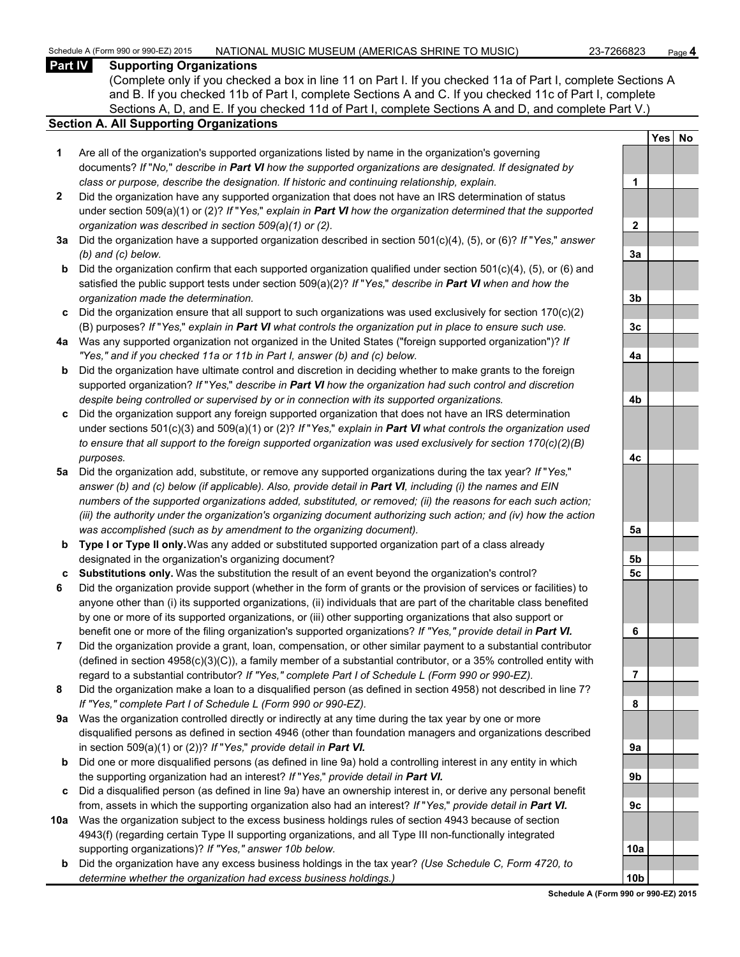#### **Part IV Supporting Organizations**

(Complete only if you checked a box in line 11 on Part I. If you checked 11a of Part I, complete Sections A and B. If you checked 11b of Part I, complete Sections A and C. If you checked 11c of Part I, complete Sections A, D, and E. If you checked 11d of Part I, complete Sections A and D, and complete Part V.)

#### **Section A. All Supporting Organizations**

- **1** Are all of the organization's supported organizations listed by name in the organization's governing documents? *If* "*No,*" *describe in Part VI how the supported organizations are designated. If designated by class or purpose, describe the designation. If historic and continuing relationship, explain.* **1**
- **2** Did the organization have any supported organization that does not have an IRS determination of status under section 509(a)(1) or (2)? *If* "*Yes,*" *explain in Part VI how the organization determined that the supported organization was described in section 509(a)(1) or (2).*
- **3a** Did the organization have a supported organization described in section 501(c)(4), (5), or (6)? *If* "*Yes,*" *answer (b) and (c) below.* **3a**
- **b** Did the organization confirm that each supported organization qualified under section 501(c)(4), (5), or (6) and satisfied the public support tests under section 509(a)(2)? *If* "*Yes,*" *describe in Part VI when and how the organization made the determination.* **3b**
- **c** Did the organization ensure that all support to such organizations was used exclusively for section 170(c)(2) (B) purposes? *If* "*Yes,*" *explain in Part VI what controls the organization put in place to ensure such use.* **3c**
- **4a** Was any supported organization not organized in the United States ("foreign supported organization")? *If "Yes," and if you checked 11a or 11b in Part I, answer (b) and (c) below.* **4a**
- **b** Did the organization have ultimate control and discretion in deciding whether to make grants to the foreign supported organization? *If* "*Yes,*" *describe in Part VI how the organization had such control and discretion despite being controlled or supervised by or in connection with its supported organizations.* **4b**
- **c** Did the organization support any foreign supported organization that does not have an IRS determination under sections 501(c)(3) and 509(a)(1) or (2)? *If* "*Yes,*" *explain in Part VI what controls the organization used to ensure that all support to the foreign supported organization was used exclusively for section 170(c)(2)(B) purposes.* **4c**
- **5a** Did the organization add, substitute, or remove any supported organizations during the tax year? *If* "*Yes,*" *answer (b) and (c) below (if applicable). Also, provide detail in Part VI, including (i) the names and EIN numbers of the supported organizations added, substituted, or removed; (ii) the reasons for each such action; (iii) the authority under the organization's organizing document authorizing such action; and (iv) how the action was accomplished (such as by amendment to the organizing document).* **5a**
- **b Type I or Type II only.** Was any added or substituted supported organization part of a class already designated in the organization's organizing document? **5b**
- **c Substitutions only.** Was the substitution the result of an event beyond the organization's control? **5c**
- **6** Did the organization provide support (whether in the form of grants or the provision of services or facilities) to anyone other than (i) its supported organizations, (ii) individuals that are part of the charitable class benefited by one or more of its supported organizations, or (iii) other supporting organizations that also support or benefit one or more of the filing organization's supported organizations? *If "Yes," provide detail in Part VI.* **6**
- **7** Did the organization provide a grant, loan, compensation, or other similar payment to a substantial contributor (defined in section 4958(c)(3)(C)), a family member of a substantial contributor, or a 35% controlled entity with regard to a substantial contributor? *If "Yes," complete Part I of Schedule L (Form 990 or 990-EZ).* **7**
- **8** Did the organization make a loan to a disqualified person (as defined in section 4958) not described in line 7? *If "Yes," complete Part I of Schedule L (Form 990 or 990-EZ).* **8**
- **9a** Was the organization controlled directly or indirectly at any time during the tax year by one or more disqualified persons as defined in section 4946 (other than foundation managers and organizations described in section 509(a)(1) or (2))? *If* "*Yes*," *provide detail in Part VI.*
- **b** Did one or more disqualified persons (as defined in line 9a) hold a controlling interest in any entity in which the supporting organization had an interest? *If* "*Yes,*" *provide detail in Part VI.* **9b**
- **c** Did a disqualified person (as defined in line 9a) have an ownership interest in, or derive any personal benefit from, assets in which the supporting organization also had an interest? *If* "*Yes,*" *provide detail in Part VI.* **9c**
- **10a** Was the organization subject to the excess business holdings rules of section 4943 because of section 4943(f) (regarding certain Type II supporting organizations, and all Type III non-functionally integrated supporting organizations)? If "Yes," answer 10b below.
	- **b** Did the organization have any excess business holdings in the tax year? *(Use Schedule C, Form 4720, to determine whether the organization had excess business holdings.)*

|                  | Yes <sub>l</sub> | No |
|------------------|------------------|----|
|                  |                  |    |
| 1                |                  |    |
|                  |                  |    |
| $\overline{2}$   |                  |    |
|                  |                  |    |
| 3a               |                  |    |
|                  |                  |    |
| 3 <sub>b</sub>   |                  |    |
| 3c               |                  |    |
|                  |                  |    |
| 4a               |                  |    |
|                  |                  |    |
| 4 <sub>b</sub>   |                  |    |
|                  |                  |    |
| 4c               |                  |    |
|                  |                  |    |
| $\frac{5a}{2}$   |                  |    |
|                  |                  |    |
| <u>5b</u>        |                  |    |
| $5\underline{c}$ |                  |    |
|                  |                  |    |
| 6                |                  |    |
|                  |                  |    |
| j<br>7           |                  |    |
|                  |                  |    |
| 8                |                  |    |
|                  |                  |    |
| 9а               |                  |    |
| 9b               |                  |    |
|                  |                  |    |
| 9с               |                  |    |
|                  |                  |    |
| 10a              |                  |    |
|                  |                  |    |
| 10 <sub>b</sub>  |                  |    |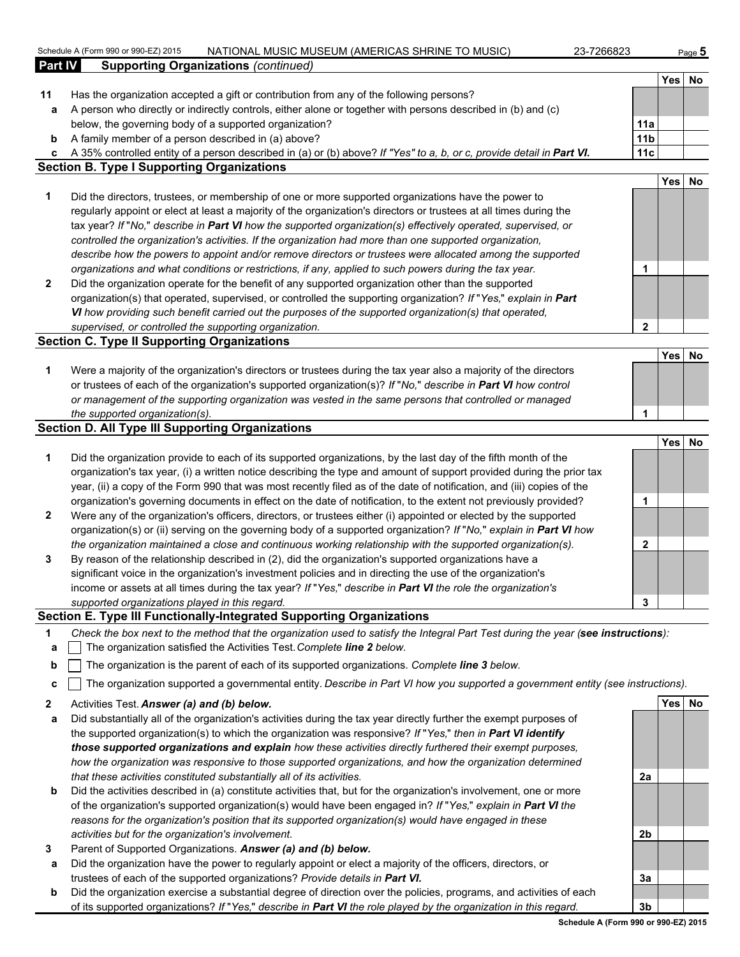|                | Schedule A (Form 990 or 990-EZ) 2015<br>NATIONAL MUSIC MUSEUM (AMERICAS SHRINE TO MUSIC)                                          | 23-7266823      |            | Page $5$ |
|----------------|-----------------------------------------------------------------------------------------------------------------------------------|-----------------|------------|----------|
| <b>Part IV</b> | <b>Supporting Organizations (continued)</b>                                                                                       |                 |            |          |
|                |                                                                                                                                   |                 | Yes No     |          |
| 11             | Has the organization accepted a gift or contribution from any of the following persons?                                           |                 |            |          |
| a              | A person who directly or indirectly controls, either alone or together with persons described in (b) and (c)                      |                 |            |          |
|                | below, the governing body of a supported organization?                                                                            | 11a             |            |          |
| b              | A family member of a person described in (a) above?                                                                               | 11 <sub>b</sub> |            |          |
| с              | A 35% controlled entity of a person described in (a) or (b) above? If "Yes" to a, b, or c, provide detail in Part VI.             | 11c             |            |          |
|                | <b>Section B. Type I Supporting Organizations</b>                                                                                 |                 | <b>Yes</b> | No       |
| 1              | Did the directors, trustees, or membership of one or more supported organizations have the power to                               |                 |            |          |
|                | regularly appoint or elect at least a majority of the organization's directors or trustees at all times during the                |                 |            |          |
|                | tax year? If "No," describe in Part VI how the supported organization(s) effectively operated, supervised, or                     |                 |            |          |
|                | controlled the organization's activities. If the organization had more than one supported organization,                           |                 |            |          |
|                | describe how the powers to appoint and/or remove directors or trustees were allocated among the supported                         |                 |            |          |
|                | organizations and what conditions or restrictions, if any, applied to such powers during the tax year.                            | 1               |            |          |
| $\mathbf{2}$   | Did the organization operate for the benefit of any supported organization other than the supported                               |                 |            |          |
|                | organization(s) that operated, supervised, or controlled the supporting organization? If "Yes," explain in Part                   |                 |            |          |
|                | VI how providing such benefit carried out the purposes of the supported organization(s) that operated,                            |                 |            |          |
|                | supervised, or controlled the supporting organization.                                                                            | 2               |            |          |
|                | <b>Section C. Type II Supporting Organizations</b>                                                                                |                 |            |          |
|                |                                                                                                                                   |                 | Yes        | No       |
| 1              | Were a majority of the organization's directors or trustees during the tax year also a majority of the directors                  |                 |            |          |
|                | or trustees of each of the organization's supported organization(s)? If "No," describe in Part VI how control                     |                 |            |          |
|                | or management of the supporting organization was vested in the same persons that controlled or managed                            |                 |            |          |
|                | the supported organization(s).                                                                                                    | 1               |            |          |
|                | <b>Section D. All Type III Supporting Organizations</b>                                                                           |                 |            |          |
|                |                                                                                                                                   |                 | Yes        | No       |
| 1              | Did the organization provide to each of its supported organizations, by the last day of the fifth month of the                    |                 |            |          |
|                | organization's tax year, (i) a written notice describing the type and amount of support provided during the prior tax             |                 |            |          |
|                | year, (ii) a copy of the Form 990 that was most recently filed as of the date of notification, and (iii) copies of the            |                 |            |          |
|                | organization's governing documents in effect on the date of notification, to the extent not previously provided?                  | 1               |            |          |
| $\mathbf{2}$   | Were any of the organization's officers, directors, or trustees either (i) appointed or elected by the supported                  |                 |            |          |
|                | organization(s) or (ii) serving on the governing body of a supported organization? If "No," explain in Part VI how                |                 |            |          |
|                | the organization maintained a close and continuous working relationship with the supported organization(s).                       | 2               |            |          |
| 3              | By reason of the relationship described in (2), did the organization's supported organizations have a                             |                 |            |          |
|                | significant voice in the organization's investment policies and in directing the use of the organization's                        |                 |            |          |
|                | income or assets at all times during the tax year? If "Yes," describe in Part VI the role the organization's                      |                 |            |          |
|                | supported organizations played in this regard.                                                                                    | 3               |            |          |
|                | Section E. Type III Functionally-Integrated Supporting Organizations                                                              |                 |            |          |
| 1              | Check the box next to the method that the organization used to satisfy the Integral Part Test during the year (see instructions): |                 |            |          |
| а              | The organization satisfied the Activities Test. Complete line 2 below.                                                            |                 |            |          |
| b              | The organization is the parent of each of its supported organizations. Complete line 3 below.                                     |                 |            |          |
| c              | The organization supported a governmental entity. Describe in Part VI how you supported a government entity (see instructions).   |                 |            |          |
| $\mathbf{2}$   | Activities Test. Answer (a) and (b) below.                                                                                        |                 | Yes No     |          |
|                |                                                                                                                                   |                 |            |          |

- **a** Did substantially all of the organization's activities during the tax year directly further the exempt purposes of the supported organization(s) to which the organization was responsive? *If* "*Yes,*" *then in Part VI identify those supported organizations and explain how these activities directly furthered their exempt purposes, how the organization was responsive to those supported organizations, and how the organization determined that these activities constituted substantially all of its activities.* **2a**
- **b** Did the activities described in (a) constitute activities that, but for the organization's involvement, one or more of the organization's supported organization(s) would have been engaged in? *If* "*Yes,*" *explain in Part VI the reasons for the organization's position that its supported organization(s) would have engaged in these activities but for the organization's involvement.* **2b**
- **3** Parent of Supported Organizations. *Answer (a) and (b) below.*
- **a** Did the organization have the power to regularly appoint or elect a majority of the officers, directors, or trustees of each of the supported organizations? *Provide details in Part VI.* **3a**
- **b** Did the organization exercise a substantial degree of direction over the policies, programs, and activities of each of its supported organizations? *If* "*Yes,*" *describe in Part VI the role played by the organization in this regard.* **3b**

**Schedule A (Form 990 or 990-EZ) 2015**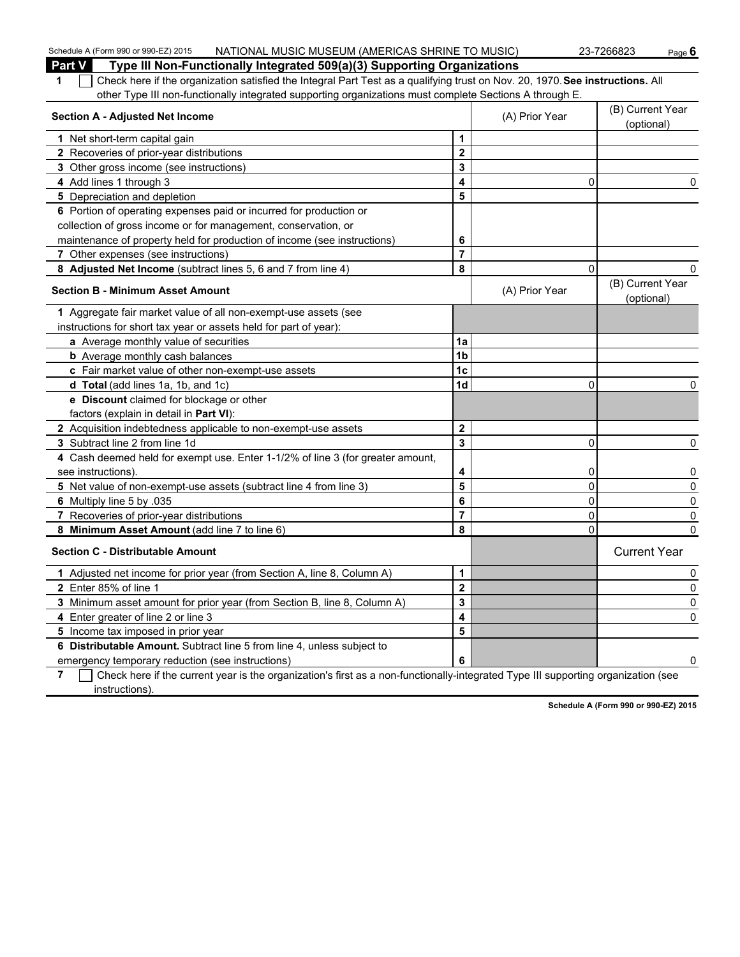| Schedule A (Form 990 or 990-EZ) 2015<br>NATIONAL MUSIC MUSEUM (AMERICAS SHRINE TO MUSIC)                                           |                         |                | 23-7266823<br>Page $6$         |
|------------------------------------------------------------------------------------------------------------------------------------|-------------------------|----------------|--------------------------------|
| <b>Part V</b><br>Type III Non-Functionally Integrated 509(a)(3) Supporting Organizations                                           |                         |                |                                |
| Check here if the organization satisfied the Integral Part Test as a qualifying trust on Nov. 20, 1970. See instructions. All<br>1 |                         |                |                                |
| other Type III non-functionally integrated supporting organizations must complete Sections A through E.                            |                         |                |                                |
| <b>Section A - Adjusted Net Income</b>                                                                                             |                         | (A) Prior Year | (B) Current Year<br>(optional) |
| 1 Net short-term capital gain                                                                                                      | 1                       |                |                                |
| 2 Recoveries of prior-year distributions                                                                                           | $\overline{\mathbf{2}}$ |                |                                |
| 3 Other gross income (see instructions)                                                                                            | 3                       |                |                                |
| 4 Add lines 1 through 3                                                                                                            | 4                       | 0              | 0                              |
| 5 Depreciation and depletion                                                                                                       | 5                       |                |                                |
| 6 Portion of operating expenses paid or incurred for production or                                                                 |                         |                |                                |
| collection of gross income or for management, conservation, or                                                                     |                         |                |                                |
| maintenance of property held for production of income (see instructions)                                                           | 6                       |                |                                |
| 7 Other expenses (see instructions)                                                                                                | $\overline{7}$          |                |                                |
| 8 Adjusted Net Income (subtract lines 5, 6 and 7 from line 4)                                                                      | 8                       | 0              | 0                              |
| <b>Section B - Minimum Asset Amount</b>                                                                                            |                         | (A) Prior Year | (B) Current Year<br>(optional) |
| 1 Aggregate fair market value of all non-exempt-use assets (see                                                                    |                         |                |                                |
| instructions for short tax year or assets held for part of year):                                                                  |                         |                |                                |
| a Average monthly value of securities                                                                                              | 1a                      |                |                                |
| <b>b</b> Average monthly cash balances                                                                                             | 1 <sub>b</sub>          |                |                                |
| c Fair market value of other non-exempt-use assets                                                                                 | 1 <sub>c</sub>          |                |                                |
| d Total (add lines 1a, 1b, and 1c)                                                                                                 | 1 <sub>d</sub>          | 0              | 0                              |
| e Discount claimed for blockage or other                                                                                           |                         |                |                                |
| factors (explain in detail in Part VI):                                                                                            |                         |                |                                |
| 2 Acquisition indebtedness applicable to non-exempt-use assets                                                                     | $\mathbf 2$             |                |                                |
| 3 Subtract line 2 from line 1d                                                                                                     | 3                       | 0              | 0                              |
| 4 Cash deemed held for exempt use. Enter 1-1/2% of line 3 (for greater amount,                                                     |                         |                |                                |
| see instructions).                                                                                                                 | 4                       | 0              | 0                              |
| 5 Net value of non-exempt-use assets (subtract line 4 from line 3)                                                                 | 5                       | $\mathbf 0$    | 0                              |
| 6 Multiply line 5 by .035                                                                                                          | 6                       | $\mathbf 0$    | 0                              |
| 7 Recoveries of prior-year distributions                                                                                           | $\overline{7}$          | 0              | 0                              |
| 8 Minimum Asset Amount (add line 7 to line 6)                                                                                      | 8                       | $\mathbf 0$    | $\Omega$                       |
| <b>Section C - Distributable Amount</b>                                                                                            |                         |                | <b>Current Year</b>            |
| 1 Adjusted net income for prior year (from Section A, line 8, Column A)                                                            | 1                       |                | 0                              |
| 2 Enter 85% of line 1                                                                                                              | $\overline{\mathbf{2}}$ |                | 0                              |
| 3 Minimum asset amount for prior year (from Section B, line 8, Column A)                                                           | 3                       |                | 0                              |
| 4 Enter greater of line 2 or line 3                                                                                                | 4                       |                | 0                              |
| 5 Income tax imposed in prior year                                                                                                 | 5                       |                |                                |
| 6 Distributable Amount. Subtract line 5 from line 4, unless subject to                                                             |                         |                |                                |
| emergency temporary reduction (see instructions)                                                                                   | 6                       |                | 0                              |

**7** Check here if the current year is the organization's first as a non-functionally-integrated Type III supporting organization (see instructions).

**Schedule A (Form 990 or 990-EZ) 2015**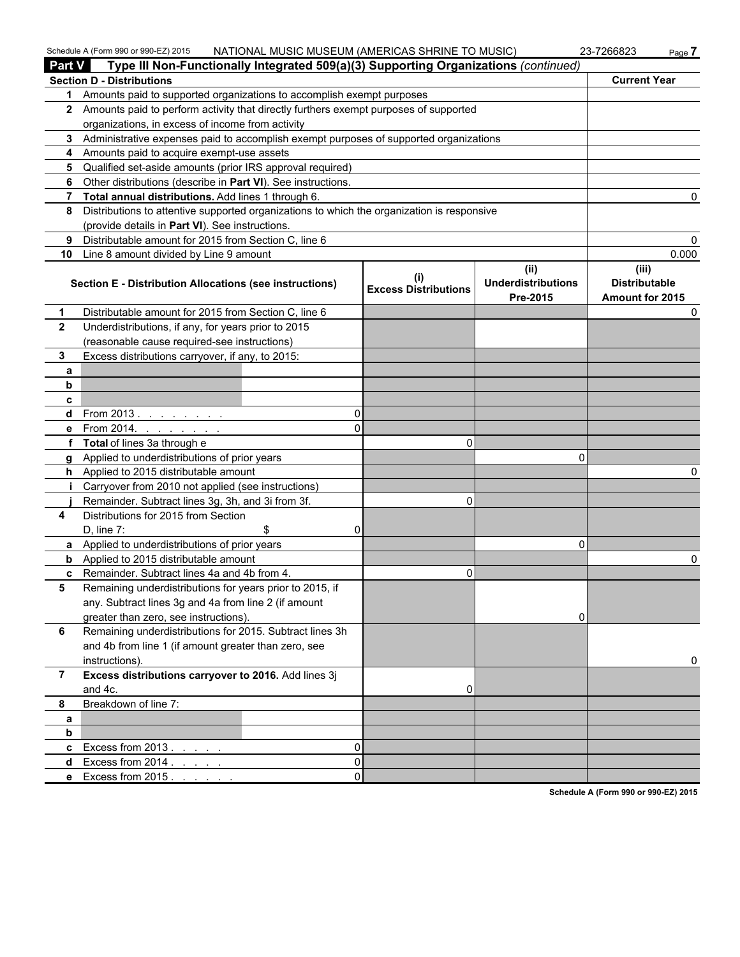| <b>Part V</b>  | NATIONAL MUSIC MUSEUM (AMERICAS SHRINE TO MUSIC)<br>Schedule A (Form 990 or 990-EZ) 2015<br>Type III Non-Functionally Integrated 509(a)(3) Supporting Organizations (continued) |                             |                                               | 23-7266823<br>Page 7                                    |
|----------------|---------------------------------------------------------------------------------------------------------------------------------------------------------------------------------|-----------------------------|-----------------------------------------------|---------------------------------------------------------|
|                | <b>Section D - Distributions</b>                                                                                                                                                |                             |                                               | <b>Current Year</b>                                     |
| 1.             | Amounts paid to supported organizations to accomplish exempt purposes                                                                                                           |                             |                                               |                                                         |
|                | 2 Amounts paid to perform activity that directly furthers exempt purposes of supported                                                                                          |                             |                                               |                                                         |
|                | organizations, in excess of income from activity                                                                                                                                |                             |                                               |                                                         |
|                | 3 Administrative expenses paid to accomplish exempt purposes of supported organizations                                                                                         |                             |                                               |                                                         |
|                |                                                                                                                                                                                 |                             |                                               |                                                         |
| 4              | Amounts paid to acquire exempt-use assets                                                                                                                                       |                             |                                               |                                                         |
| 5              | Qualified set-aside amounts (prior IRS approval required)                                                                                                                       |                             |                                               |                                                         |
| 6              | Other distributions (describe in Part VI). See instructions.                                                                                                                    |                             |                                               |                                                         |
| $\mathbf{7}$   | Total annual distributions. Add lines 1 through 6.                                                                                                                              |                             |                                               |                                                         |
| 8              | Distributions to attentive supported organizations to which the organization is responsive                                                                                      |                             |                                               |                                                         |
|                | (provide details in Part VI). See instructions.                                                                                                                                 |                             |                                               |                                                         |
| 9              | Distributable amount for 2015 from Section C, line 6                                                                                                                            |                             |                                               |                                                         |
| 10             | Line 8 amount divided by Line 9 amount                                                                                                                                          |                             |                                               | 0.000                                                   |
|                | <b>Section E - Distribution Allocations (see instructions)</b>                                                                                                                  | <b>Excess Distributions</b> | (ii)<br><b>Underdistributions</b><br>Pre-2015 | (iii)<br><b>Distributable</b><br><b>Amount for 2015</b> |
| 1              | Distributable amount for 2015 from Section C, line 6                                                                                                                            |                             |                                               | O                                                       |
| $\mathbf{2}$   | Underdistributions, if any, for years prior to 2015                                                                                                                             |                             |                                               |                                                         |
|                | (reasonable cause required-see instructions)                                                                                                                                    |                             |                                               |                                                         |
| 3              | Excess distributions carryover, if any, to 2015:                                                                                                                                |                             |                                               |                                                         |
| a              |                                                                                                                                                                                 |                             |                                               |                                                         |
| b              |                                                                                                                                                                                 |                             |                                               |                                                         |
| C              |                                                                                                                                                                                 |                             |                                               |                                                         |
| d              | From 2013. $\ldots$<br>$\Omega$                                                                                                                                                 |                             |                                               |                                                         |
| е              | From 2014.<br>$\Omega$<br>and the company of the company                                                                                                                        |                             |                                               |                                                         |
| f              | Total of lines 3a through e                                                                                                                                                     | 0                           |                                               |                                                         |
| q              | Applied to underdistributions of prior years                                                                                                                                    |                             | $\Omega$                                      |                                                         |
| h.             | Applied to 2015 distributable amount                                                                                                                                            |                             |                                               |                                                         |
|                | Carryover from 2010 not applied (see instructions)                                                                                                                              |                             |                                               |                                                         |
|                | Remainder. Subtract lines 3g, 3h, and 3i from 3f.                                                                                                                               | $\Omega$                    |                                               |                                                         |
| 4              | Distributions for 2015 from Section                                                                                                                                             |                             |                                               |                                                         |
|                | D, line $7$ :<br>\$<br>$\Omega$                                                                                                                                                 |                             |                                               |                                                         |
|                | a Applied to underdistributions of prior years                                                                                                                                  |                             | $\Omega$                                      |                                                         |
| b              | Applied to 2015 distributable amount                                                                                                                                            |                             |                                               |                                                         |
|                | c Remainder. Subtract lines 4a and 4b from 4.                                                                                                                                   | 0                           |                                               |                                                         |
| 5              | Remaining underdistributions for years prior to 2015, if                                                                                                                        |                             |                                               |                                                         |
|                | any. Subtract lines 3g and 4a from line 2 (if amount                                                                                                                            |                             |                                               |                                                         |
|                | greater than zero, see instructions)                                                                                                                                            |                             | 0                                             |                                                         |
| 6              | Remaining underdistributions for 2015. Subtract lines 3h                                                                                                                        |                             |                                               |                                                         |
|                | and 4b from line 1 (if amount greater than zero, see                                                                                                                            |                             |                                               |                                                         |
|                | instructions)                                                                                                                                                                   |                             |                                               | 0                                                       |
| $\overline{7}$ | Excess distributions carryover to 2016. Add lines 3j                                                                                                                            |                             |                                               |                                                         |
|                | and 4c.                                                                                                                                                                         | 0                           |                                               |                                                         |
| 8              | Breakdown of line 7:                                                                                                                                                            |                             |                                               |                                                         |
| a              |                                                                                                                                                                                 |                             |                                               |                                                         |
| b              |                                                                                                                                                                                 |                             |                                               |                                                         |
| c              | $\Omega$<br>Excess from $2013$ .                                                                                                                                                |                             |                                               |                                                         |
| d              | Excess from $2014$ .<br>$\Omega$                                                                                                                                                |                             |                                               |                                                         |
|                | $\overline{0}$<br>e Excess from 2015.                                                                                                                                           |                             |                                               |                                                         |
|                |                                                                                                                                                                                 |                             |                                               |                                                         |

**Schedule A (Form 990 or 990-EZ) 2015**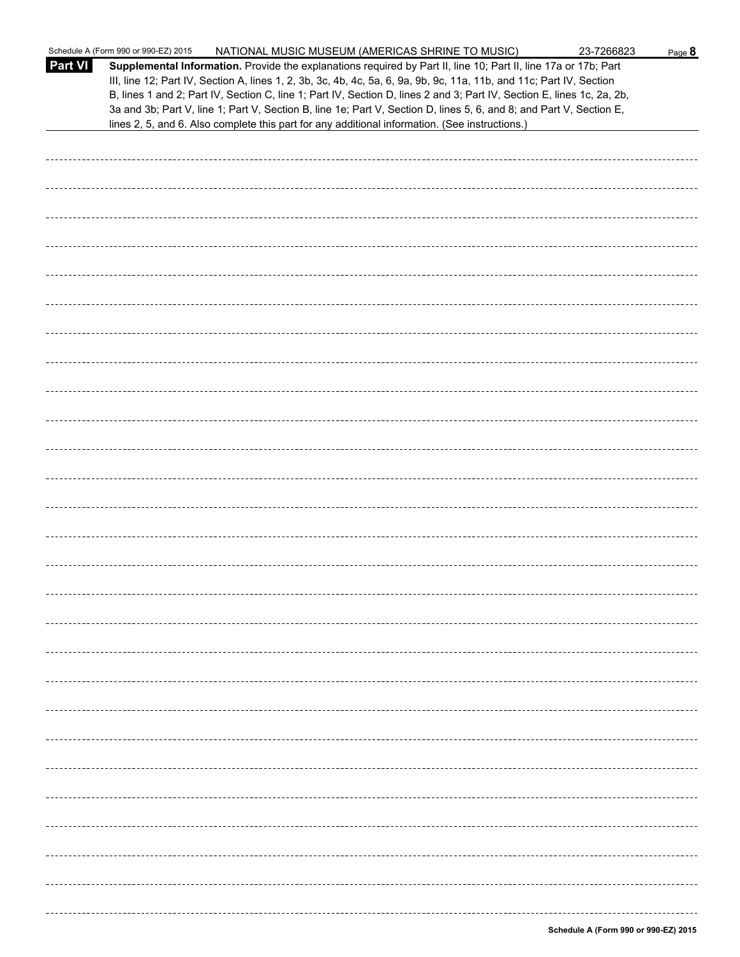|                | Schedule A (Form 990 or 990-EZ) 2015<br>NATIONAL MUSIC MUSEUM (AMERICAS SHRINE TO MUSIC)                                                                                                                                                                                                                                                                                                                                                                                                 | 23-7266823 | Page 8 |
|----------------|------------------------------------------------------------------------------------------------------------------------------------------------------------------------------------------------------------------------------------------------------------------------------------------------------------------------------------------------------------------------------------------------------------------------------------------------------------------------------------------|------------|--------|
| <b>Part VI</b> | Supplemental Information. Provide the explanations required by Part II, line 10; Part II, line 17a or 17b; Part<br>III, line 12; Part IV, Section A, lines 1, 2, 3b, 3c, 4b, 4c, 5a, 6, 9a, 9b, 9c, 11a, 11b, and 11c; Part IV, Section<br>B, lines 1 and 2; Part IV, Section C, line 1; Part IV, Section D, lines 2 and 3; Part IV, Section E, lines 1c, 2a, 2b,<br>3a and 3b; Part V, line 1; Part V, Section B, line 1e; Part V, Section D, lines 5, 6, and 8; and Part V, Section E, |            |        |
|                | lines 2, 5, and 6. Also complete this part for any additional information. (See instructions.)                                                                                                                                                                                                                                                                                                                                                                                           |            |        |
|                |                                                                                                                                                                                                                                                                                                                                                                                                                                                                                          |            |        |
|                |                                                                                                                                                                                                                                                                                                                                                                                                                                                                                          |            |        |
|                |                                                                                                                                                                                                                                                                                                                                                                                                                                                                                          |            |        |
|                |                                                                                                                                                                                                                                                                                                                                                                                                                                                                                          |            |        |
|                |                                                                                                                                                                                                                                                                                                                                                                                                                                                                                          |            |        |
|                |                                                                                                                                                                                                                                                                                                                                                                                                                                                                                          |            |        |
|                |                                                                                                                                                                                                                                                                                                                                                                                                                                                                                          |            |        |
|                |                                                                                                                                                                                                                                                                                                                                                                                                                                                                                          |            |        |
|                |                                                                                                                                                                                                                                                                                                                                                                                                                                                                                          |            |        |
|                |                                                                                                                                                                                                                                                                                                                                                                                                                                                                                          |            |        |
|                |                                                                                                                                                                                                                                                                                                                                                                                                                                                                                          |            |        |
|                |                                                                                                                                                                                                                                                                                                                                                                                                                                                                                          |            |        |
|                |                                                                                                                                                                                                                                                                                                                                                                                                                                                                                          |            |        |
|                |                                                                                                                                                                                                                                                                                                                                                                                                                                                                                          |            |        |
|                |                                                                                                                                                                                                                                                                                                                                                                                                                                                                                          |            |        |
|                |                                                                                                                                                                                                                                                                                                                                                                                                                                                                                          |            |        |
|                |                                                                                                                                                                                                                                                                                                                                                                                                                                                                                          |            |        |
|                |                                                                                                                                                                                                                                                                                                                                                                                                                                                                                          |            |        |
|                |                                                                                                                                                                                                                                                                                                                                                                                                                                                                                          |            |        |
|                |                                                                                                                                                                                                                                                                                                                                                                                                                                                                                          |            |        |
|                |                                                                                                                                                                                                                                                                                                                                                                                                                                                                                          |            |        |
|                |                                                                                                                                                                                                                                                                                                                                                                                                                                                                                          |            |        |
|                |                                                                                                                                                                                                                                                                                                                                                                                                                                                                                          |            |        |
|                |                                                                                                                                                                                                                                                                                                                                                                                                                                                                                          |            |        |
|                |                                                                                                                                                                                                                                                                                                                                                                                                                                                                                          |            |        |
|                |                                                                                                                                                                                                                                                                                                                                                                                                                                                                                          |            |        |
|                |                                                                                                                                                                                                                                                                                                                                                                                                                                                                                          |            |        |
|                |                                                                                                                                                                                                                                                                                                                                                                                                                                                                                          |            |        |
|                |                                                                                                                                                                                                                                                                                                                                                                                                                                                                                          |            |        |
|                |                                                                                                                                                                                                                                                                                                                                                                                                                                                                                          |            |        |
|                |                                                                                                                                                                                                                                                                                                                                                                                                                                                                                          |            |        |
|                |                                                                                                                                                                                                                                                                                                                                                                                                                                                                                          |            |        |
|                |                                                                                                                                                                                                                                                                                                                                                                                                                                                                                          |            |        |
|                |                                                                                                                                                                                                                                                                                                                                                                                                                                                                                          |            |        |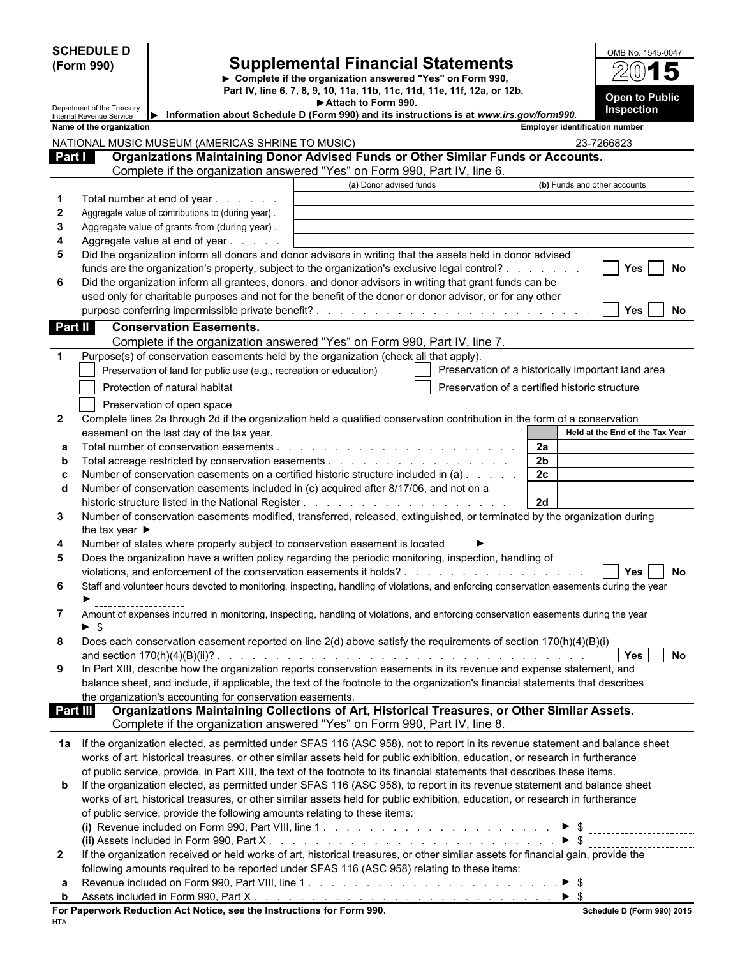| Department of the Treasury<br>Inspection<br>Information about Schedule D (Form 990) and its instructions is at www.irs.gov/form990.<br>Internal Revenue Service<br>Name of the organization<br><b>Employer identification number</b><br>NATIONAL MUSIC MUSEUM (AMERICAS SHRINE TO MUSIC)<br>23-7266823<br>Organizations Maintaining Donor Advised Funds or Other Similar Funds or Accounts.<br>Part I<br>Complete if the organization answered "Yes" on Form 990, Part IV, line 6.<br>(a) Donor advised funds<br>(b) Funds and other accounts<br>Total number at end of year<br>$\mathbf 1$<br>$\mathbf{2}$<br>Aggregate value of contributions to (during year).<br>3<br>Aggregate value of grants from (during year).<br>Aggregate value at end of year<br>4<br>Did the organization inform all donors and donor advisors in writing that the assets held in donor advised<br>5<br>funds are the organization's property, subject to the organization's exclusive legal control?<br><b>Yes</b><br>No<br>Did the organization inform all grantees, donors, and donor advisors in writing that grant funds can be<br>6<br>used only for charitable purposes and not for the benefit of the donor or donor advisor, or for any other<br>No<br>Yes<br>Part II<br><b>Conservation Easements.</b><br>Complete if the organization answered "Yes" on Form 990, Part IV, line 7.<br>Purpose(s) of conservation easements held by the organization (check all that apply).<br>-1<br>Preservation of a historically important land area<br>Preservation of land for public use (e.g., recreation or education)<br>Protection of natural habitat<br>Preservation of a certified historic structure<br>Preservation of open space<br>Complete lines 2a through 2d if the organization held a qualified conservation contribution in the form of a conservation<br>$\mathbf{2}$<br>easement on the last day of the tax year.<br>Held at the End of the Tax Year<br>Total number of conservation easements.<br>2a<br>de la caractería de la caractería de la caractería de<br>а<br>2 <sub>b</sub><br>b<br>2 <sub>c</sub><br>Number of conservation easements on a certified historic structure included in (a)<br>c<br>Number of conservation easements included in (c) acquired after 8/17/06, and not on a<br>d<br>2d<br>Number of conservation easements modified, transferred, released, extinguished, or terminated by the organization during<br>3<br>the tax year $\blacktriangleright$<br>Number of states where property subject to conservation easement is located<br>4<br>Does the organization have a written policy regarding the periodic monitoring, inspection, handling of<br>5<br>No<br>Yes<br>Staff and volunteer hours devoted to monitoring, inspecting, handling of violations, and enforcing conservation easements during the year<br>6<br>Amount of expenses incurred in monitoring, inspecting, handling of violations, and enforcing conservation easements during the year<br>7<br>$\blacktriangleright$ \$<br>Does each conservation easement reported on line 2(d) above satisfy the requirements of section 170(h)(4)(B)(i)<br>8<br>Yes I<br>No<br>In Part XIII, describe how the organization reports conservation easements in its revenue and expense statement, and<br>9<br>balance sheet, and include, if applicable, the text of the footnote to the organization's financial statements that describes<br>the organization's accounting for conservation easements.<br>Organizations Maintaining Collections of Art, Historical Treasures, or Other Similar Assets.<br>Part III<br>Complete if the organization answered "Yes" on Form 990, Part IV, line 8.<br>1a If the organization elected, as permitted under SFAS 116 (ASC 958), not to report in its revenue statement and balance sheet<br>works of art, historical treasures, or other similar assets held for public exhibition, education, or research in furtherance<br>of public service, provide, in Part XIII, the text of the footnote to its financial statements that describes these items.<br>If the organization elected, as permitted under SFAS 116 (ASC 958), to report in its revenue statement and balance sheet<br>b<br>works of art, historical treasures, or other similar assets held for public exhibition, education, or research in furtherance<br>of public service, provide the following amounts relating to these items:<br>__________________________<br>If the organization received or held works of art, historical treasures, or other similar assets for financial gain, provide the<br>$\mathbf{2}$<br>following amounts required to be reported under SFAS 116 (ASC 958) relating to these items:<br>a<br>------------------------<br>$\triangleright$ \$<br>b | <b>SCHEDULE D</b><br>(Form 990) | <b>Supplemental Financial Statements</b><br>Complete if the organization answered "Yes" on Form 990,<br>Part IV, line 6, 7, 8, 9, 10, 11a, 11b, 11c, 11d, 11e, 11f, 12a, or 12b.<br>Attach to Form 990. |  | OMB No. 1545-0047<br><b>Open to Public</b> |
|----------------------------------------------------------------------------------------------------------------------------------------------------------------------------------------------------------------------------------------------------------------------------------------------------------------------------------------------------------------------------------------------------------------------------------------------------------------------------------------------------------------------------------------------------------------------------------------------------------------------------------------------------------------------------------------------------------------------------------------------------------------------------------------------------------------------------------------------------------------------------------------------------------------------------------------------------------------------------------------------------------------------------------------------------------------------------------------------------------------------------------------------------------------------------------------------------------------------------------------------------------------------------------------------------------------------------------------------------------------------------------------------------------------------------------------------------------------------------------------------------------------------------------------------------------------------------------------------------------------------------------------------------------------------------------------------------------------------------------------------------------------------------------------------------------------------------------------------------------------------------------------------------------------------------------------------------------------------------------------------------------------------------------------------------------------------------------------------------------------------------------------------------------------------------------------------------------------------------------------------------------------------------------------------------------------------------------------------------------------------------------------------------------------------------------------------------------------------------------------------------------------------------------------------------------------------------------------------------------------------------------------------------------------------------------------------------------------------------------------------------------------------------------------------------------------------------------------------------------------------------------------------------------------------------------------------------------------------------------------------------------------------------------------------------------------------------------------------------------------------------------------------------------------------------------------------------------------------------------------------------------------------------------------------------------------------------------------------------------------------------------------------------------------------------------------------------------------------------------------------------------------------------------------------------------------------------------------------------------------------------------------------------------------------------------------------------------------------------------------------------------------------------------------------------------------------------------------------------------------------------------------------------------------------------------------------------------------------------------------------------------------------------------------------------------------------------------------------------------------------------------------------------------------------------------------------------------------------------------------------------------------------------------------------------------------------------------------------------------------------------------------------------------------------------------------------------------------------------------------------------------------------------------------------------------------------------------------------------------------------------------------------------------------------------------------------------------------------------------------------------------------------------------------|---------------------------------|---------------------------------------------------------------------------------------------------------------------------------------------------------------------------------------------------------|--|--------------------------------------------|
|                                                                                                                                                                                                                                                                                                                                                                                                                                                                                                                                                                                                                                                                                                                                                                                                                                                                                                                                                                                                                                                                                                                                                                                                                                                                                                                                                                                                                                                                                                                                                                                                                                                                                                                                                                                                                                                                                                                                                                                                                                                                                                                                                                                                                                                                                                                                                                                                                                                                                                                                                                                                                                                                                                                                                                                                                                                                                                                                                                                                                                                                                                                                                                                                                                                                                                                                                                                                                                                                                                                                                                                                                                                                                                                                                                                                                                                                                                                                                                                                                                                                                                                                                                                                                                                                                                                                                                                                                                                                                                                                                                                                                                                                                                                                                                                        |                                 |                                                                                                                                                                                                         |  |                                            |
|                                                                                                                                                                                                                                                                                                                                                                                                                                                                                                                                                                                                                                                                                                                                                                                                                                                                                                                                                                                                                                                                                                                                                                                                                                                                                                                                                                                                                                                                                                                                                                                                                                                                                                                                                                                                                                                                                                                                                                                                                                                                                                                                                                                                                                                                                                                                                                                                                                                                                                                                                                                                                                                                                                                                                                                                                                                                                                                                                                                                                                                                                                                                                                                                                                                                                                                                                                                                                                                                                                                                                                                                                                                                                                                                                                                                                                                                                                                                                                                                                                                                                                                                                                                                                                                                                                                                                                                                                                                                                                                                                                                                                                                                                                                                                                                        |                                 |                                                                                                                                                                                                         |  |                                            |
|                                                                                                                                                                                                                                                                                                                                                                                                                                                                                                                                                                                                                                                                                                                                                                                                                                                                                                                                                                                                                                                                                                                                                                                                                                                                                                                                                                                                                                                                                                                                                                                                                                                                                                                                                                                                                                                                                                                                                                                                                                                                                                                                                                                                                                                                                                                                                                                                                                                                                                                                                                                                                                                                                                                                                                                                                                                                                                                                                                                                                                                                                                                                                                                                                                                                                                                                                                                                                                                                                                                                                                                                                                                                                                                                                                                                                                                                                                                                                                                                                                                                                                                                                                                                                                                                                                                                                                                                                                                                                                                                                                                                                                                                                                                                                                                        |                                 |                                                                                                                                                                                                         |  |                                            |
|                                                                                                                                                                                                                                                                                                                                                                                                                                                                                                                                                                                                                                                                                                                                                                                                                                                                                                                                                                                                                                                                                                                                                                                                                                                                                                                                                                                                                                                                                                                                                                                                                                                                                                                                                                                                                                                                                                                                                                                                                                                                                                                                                                                                                                                                                                                                                                                                                                                                                                                                                                                                                                                                                                                                                                                                                                                                                                                                                                                                                                                                                                                                                                                                                                                                                                                                                                                                                                                                                                                                                                                                                                                                                                                                                                                                                                                                                                                                                                                                                                                                                                                                                                                                                                                                                                                                                                                                                                                                                                                                                                                                                                                                                                                                                                                        |                                 |                                                                                                                                                                                                         |  |                                            |
|                                                                                                                                                                                                                                                                                                                                                                                                                                                                                                                                                                                                                                                                                                                                                                                                                                                                                                                                                                                                                                                                                                                                                                                                                                                                                                                                                                                                                                                                                                                                                                                                                                                                                                                                                                                                                                                                                                                                                                                                                                                                                                                                                                                                                                                                                                                                                                                                                                                                                                                                                                                                                                                                                                                                                                                                                                                                                                                                                                                                                                                                                                                                                                                                                                                                                                                                                                                                                                                                                                                                                                                                                                                                                                                                                                                                                                                                                                                                                                                                                                                                                                                                                                                                                                                                                                                                                                                                                                                                                                                                                                                                                                                                                                                                                                                        |                                 |                                                                                                                                                                                                         |  |                                            |
|                                                                                                                                                                                                                                                                                                                                                                                                                                                                                                                                                                                                                                                                                                                                                                                                                                                                                                                                                                                                                                                                                                                                                                                                                                                                                                                                                                                                                                                                                                                                                                                                                                                                                                                                                                                                                                                                                                                                                                                                                                                                                                                                                                                                                                                                                                                                                                                                                                                                                                                                                                                                                                                                                                                                                                                                                                                                                                                                                                                                                                                                                                                                                                                                                                                                                                                                                                                                                                                                                                                                                                                                                                                                                                                                                                                                                                                                                                                                                                                                                                                                                                                                                                                                                                                                                                                                                                                                                                                                                                                                                                                                                                                                                                                                                                                        |                                 |                                                                                                                                                                                                         |  |                                            |
|                                                                                                                                                                                                                                                                                                                                                                                                                                                                                                                                                                                                                                                                                                                                                                                                                                                                                                                                                                                                                                                                                                                                                                                                                                                                                                                                                                                                                                                                                                                                                                                                                                                                                                                                                                                                                                                                                                                                                                                                                                                                                                                                                                                                                                                                                                                                                                                                                                                                                                                                                                                                                                                                                                                                                                                                                                                                                                                                                                                                                                                                                                                                                                                                                                                                                                                                                                                                                                                                                                                                                                                                                                                                                                                                                                                                                                                                                                                                                                                                                                                                                                                                                                                                                                                                                                                                                                                                                                                                                                                                                                                                                                                                                                                                                                                        |                                 |                                                                                                                                                                                                         |  |                                            |
|                                                                                                                                                                                                                                                                                                                                                                                                                                                                                                                                                                                                                                                                                                                                                                                                                                                                                                                                                                                                                                                                                                                                                                                                                                                                                                                                                                                                                                                                                                                                                                                                                                                                                                                                                                                                                                                                                                                                                                                                                                                                                                                                                                                                                                                                                                                                                                                                                                                                                                                                                                                                                                                                                                                                                                                                                                                                                                                                                                                                                                                                                                                                                                                                                                                                                                                                                                                                                                                                                                                                                                                                                                                                                                                                                                                                                                                                                                                                                                                                                                                                                                                                                                                                                                                                                                                                                                                                                                                                                                                                                                                                                                                                                                                                                                                        |                                 |                                                                                                                                                                                                         |  |                                            |
|                                                                                                                                                                                                                                                                                                                                                                                                                                                                                                                                                                                                                                                                                                                                                                                                                                                                                                                                                                                                                                                                                                                                                                                                                                                                                                                                                                                                                                                                                                                                                                                                                                                                                                                                                                                                                                                                                                                                                                                                                                                                                                                                                                                                                                                                                                                                                                                                                                                                                                                                                                                                                                                                                                                                                                                                                                                                                                                                                                                                                                                                                                                                                                                                                                                                                                                                                                                                                                                                                                                                                                                                                                                                                                                                                                                                                                                                                                                                                                                                                                                                                                                                                                                                                                                                                                                                                                                                                                                                                                                                                                                                                                                                                                                                                                                        |                                 |                                                                                                                                                                                                         |  |                                            |
|                                                                                                                                                                                                                                                                                                                                                                                                                                                                                                                                                                                                                                                                                                                                                                                                                                                                                                                                                                                                                                                                                                                                                                                                                                                                                                                                                                                                                                                                                                                                                                                                                                                                                                                                                                                                                                                                                                                                                                                                                                                                                                                                                                                                                                                                                                                                                                                                                                                                                                                                                                                                                                                                                                                                                                                                                                                                                                                                                                                                                                                                                                                                                                                                                                                                                                                                                                                                                                                                                                                                                                                                                                                                                                                                                                                                                                                                                                                                                                                                                                                                                                                                                                                                                                                                                                                                                                                                                                                                                                                                                                                                                                                                                                                                                                                        |                                 |                                                                                                                                                                                                         |  |                                            |
|                                                                                                                                                                                                                                                                                                                                                                                                                                                                                                                                                                                                                                                                                                                                                                                                                                                                                                                                                                                                                                                                                                                                                                                                                                                                                                                                                                                                                                                                                                                                                                                                                                                                                                                                                                                                                                                                                                                                                                                                                                                                                                                                                                                                                                                                                                                                                                                                                                                                                                                                                                                                                                                                                                                                                                                                                                                                                                                                                                                                                                                                                                                                                                                                                                                                                                                                                                                                                                                                                                                                                                                                                                                                                                                                                                                                                                                                                                                                                                                                                                                                                                                                                                                                                                                                                                                                                                                                                                                                                                                                                                                                                                                                                                                                                                                        |                                 |                                                                                                                                                                                                         |  |                                            |
|                                                                                                                                                                                                                                                                                                                                                                                                                                                                                                                                                                                                                                                                                                                                                                                                                                                                                                                                                                                                                                                                                                                                                                                                                                                                                                                                                                                                                                                                                                                                                                                                                                                                                                                                                                                                                                                                                                                                                                                                                                                                                                                                                                                                                                                                                                                                                                                                                                                                                                                                                                                                                                                                                                                                                                                                                                                                                                                                                                                                                                                                                                                                                                                                                                                                                                                                                                                                                                                                                                                                                                                                                                                                                                                                                                                                                                                                                                                                                                                                                                                                                                                                                                                                                                                                                                                                                                                                                                                                                                                                                                                                                                                                                                                                                                                        |                                 |                                                                                                                                                                                                         |  |                                            |
|                                                                                                                                                                                                                                                                                                                                                                                                                                                                                                                                                                                                                                                                                                                                                                                                                                                                                                                                                                                                                                                                                                                                                                                                                                                                                                                                                                                                                                                                                                                                                                                                                                                                                                                                                                                                                                                                                                                                                                                                                                                                                                                                                                                                                                                                                                                                                                                                                                                                                                                                                                                                                                                                                                                                                                                                                                                                                                                                                                                                                                                                                                                                                                                                                                                                                                                                                                                                                                                                                                                                                                                                                                                                                                                                                                                                                                                                                                                                                                                                                                                                                                                                                                                                                                                                                                                                                                                                                                                                                                                                                                                                                                                                                                                                                                                        |                                 |                                                                                                                                                                                                         |  |                                            |
|                                                                                                                                                                                                                                                                                                                                                                                                                                                                                                                                                                                                                                                                                                                                                                                                                                                                                                                                                                                                                                                                                                                                                                                                                                                                                                                                                                                                                                                                                                                                                                                                                                                                                                                                                                                                                                                                                                                                                                                                                                                                                                                                                                                                                                                                                                                                                                                                                                                                                                                                                                                                                                                                                                                                                                                                                                                                                                                                                                                                                                                                                                                                                                                                                                                                                                                                                                                                                                                                                                                                                                                                                                                                                                                                                                                                                                                                                                                                                                                                                                                                                                                                                                                                                                                                                                                                                                                                                                                                                                                                                                                                                                                                                                                                                                                        |                                 |                                                                                                                                                                                                         |  |                                            |
|                                                                                                                                                                                                                                                                                                                                                                                                                                                                                                                                                                                                                                                                                                                                                                                                                                                                                                                                                                                                                                                                                                                                                                                                                                                                                                                                                                                                                                                                                                                                                                                                                                                                                                                                                                                                                                                                                                                                                                                                                                                                                                                                                                                                                                                                                                                                                                                                                                                                                                                                                                                                                                                                                                                                                                                                                                                                                                                                                                                                                                                                                                                                                                                                                                                                                                                                                                                                                                                                                                                                                                                                                                                                                                                                                                                                                                                                                                                                                                                                                                                                                                                                                                                                                                                                                                                                                                                                                                                                                                                                                                                                                                                                                                                                                                                        |                                 |                                                                                                                                                                                                         |  |                                            |
|                                                                                                                                                                                                                                                                                                                                                                                                                                                                                                                                                                                                                                                                                                                                                                                                                                                                                                                                                                                                                                                                                                                                                                                                                                                                                                                                                                                                                                                                                                                                                                                                                                                                                                                                                                                                                                                                                                                                                                                                                                                                                                                                                                                                                                                                                                                                                                                                                                                                                                                                                                                                                                                                                                                                                                                                                                                                                                                                                                                                                                                                                                                                                                                                                                                                                                                                                                                                                                                                                                                                                                                                                                                                                                                                                                                                                                                                                                                                                                                                                                                                                                                                                                                                                                                                                                                                                                                                                                                                                                                                                                                                                                                                                                                                                                                        |                                 |                                                                                                                                                                                                         |  |                                            |
|                                                                                                                                                                                                                                                                                                                                                                                                                                                                                                                                                                                                                                                                                                                                                                                                                                                                                                                                                                                                                                                                                                                                                                                                                                                                                                                                                                                                                                                                                                                                                                                                                                                                                                                                                                                                                                                                                                                                                                                                                                                                                                                                                                                                                                                                                                                                                                                                                                                                                                                                                                                                                                                                                                                                                                                                                                                                                                                                                                                                                                                                                                                                                                                                                                                                                                                                                                                                                                                                                                                                                                                                                                                                                                                                                                                                                                                                                                                                                                                                                                                                                                                                                                                                                                                                                                                                                                                                                                                                                                                                                                                                                                                                                                                                                                                        |                                 |                                                                                                                                                                                                         |  |                                            |
|                                                                                                                                                                                                                                                                                                                                                                                                                                                                                                                                                                                                                                                                                                                                                                                                                                                                                                                                                                                                                                                                                                                                                                                                                                                                                                                                                                                                                                                                                                                                                                                                                                                                                                                                                                                                                                                                                                                                                                                                                                                                                                                                                                                                                                                                                                                                                                                                                                                                                                                                                                                                                                                                                                                                                                                                                                                                                                                                                                                                                                                                                                                                                                                                                                                                                                                                                                                                                                                                                                                                                                                                                                                                                                                                                                                                                                                                                                                                                                                                                                                                                                                                                                                                                                                                                                                                                                                                                                                                                                                                                                                                                                                                                                                                                                                        |                                 |                                                                                                                                                                                                         |  |                                            |
|                                                                                                                                                                                                                                                                                                                                                                                                                                                                                                                                                                                                                                                                                                                                                                                                                                                                                                                                                                                                                                                                                                                                                                                                                                                                                                                                                                                                                                                                                                                                                                                                                                                                                                                                                                                                                                                                                                                                                                                                                                                                                                                                                                                                                                                                                                                                                                                                                                                                                                                                                                                                                                                                                                                                                                                                                                                                                                                                                                                                                                                                                                                                                                                                                                                                                                                                                                                                                                                                                                                                                                                                                                                                                                                                                                                                                                                                                                                                                                                                                                                                                                                                                                                                                                                                                                                                                                                                                                                                                                                                                                                                                                                                                                                                                                                        |                                 |                                                                                                                                                                                                         |  |                                            |
|                                                                                                                                                                                                                                                                                                                                                                                                                                                                                                                                                                                                                                                                                                                                                                                                                                                                                                                                                                                                                                                                                                                                                                                                                                                                                                                                                                                                                                                                                                                                                                                                                                                                                                                                                                                                                                                                                                                                                                                                                                                                                                                                                                                                                                                                                                                                                                                                                                                                                                                                                                                                                                                                                                                                                                                                                                                                                                                                                                                                                                                                                                                                                                                                                                                                                                                                                                                                                                                                                                                                                                                                                                                                                                                                                                                                                                                                                                                                                                                                                                                                                                                                                                                                                                                                                                                                                                                                                                                                                                                                                                                                                                                                                                                                                                                        |                                 |                                                                                                                                                                                                         |  |                                            |
|                                                                                                                                                                                                                                                                                                                                                                                                                                                                                                                                                                                                                                                                                                                                                                                                                                                                                                                                                                                                                                                                                                                                                                                                                                                                                                                                                                                                                                                                                                                                                                                                                                                                                                                                                                                                                                                                                                                                                                                                                                                                                                                                                                                                                                                                                                                                                                                                                                                                                                                                                                                                                                                                                                                                                                                                                                                                                                                                                                                                                                                                                                                                                                                                                                                                                                                                                                                                                                                                                                                                                                                                                                                                                                                                                                                                                                                                                                                                                                                                                                                                                                                                                                                                                                                                                                                                                                                                                                                                                                                                                                                                                                                                                                                                                                                        |                                 |                                                                                                                                                                                                         |  |                                            |
|                                                                                                                                                                                                                                                                                                                                                                                                                                                                                                                                                                                                                                                                                                                                                                                                                                                                                                                                                                                                                                                                                                                                                                                                                                                                                                                                                                                                                                                                                                                                                                                                                                                                                                                                                                                                                                                                                                                                                                                                                                                                                                                                                                                                                                                                                                                                                                                                                                                                                                                                                                                                                                                                                                                                                                                                                                                                                                                                                                                                                                                                                                                                                                                                                                                                                                                                                                                                                                                                                                                                                                                                                                                                                                                                                                                                                                                                                                                                                                                                                                                                                                                                                                                                                                                                                                                                                                                                                                                                                                                                                                                                                                                                                                                                                                                        |                                 |                                                                                                                                                                                                         |  |                                            |
|                                                                                                                                                                                                                                                                                                                                                                                                                                                                                                                                                                                                                                                                                                                                                                                                                                                                                                                                                                                                                                                                                                                                                                                                                                                                                                                                                                                                                                                                                                                                                                                                                                                                                                                                                                                                                                                                                                                                                                                                                                                                                                                                                                                                                                                                                                                                                                                                                                                                                                                                                                                                                                                                                                                                                                                                                                                                                                                                                                                                                                                                                                                                                                                                                                                                                                                                                                                                                                                                                                                                                                                                                                                                                                                                                                                                                                                                                                                                                                                                                                                                                                                                                                                                                                                                                                                                                                                                                                                                                                                                                                                                                                                                                                                                                                                        |                                 |                                                                                                                                                                                                         |  |                                            |
|                                                                                                                                                                                                                                                                                                                                                                                                                                                                                                                                                                                                                                                                                                                                                                                                                                                                                                                                                                                                                                                                                                                                                                                                                                                                                                                                                                                                                                                                                                                                                                                                                                                                                                                                                                                                                                                                                                                                                                                                                                                                                                                                                                                                                                                                                                                                                                                                                                                                                                                                                                                                                                                                                                                                                                                                                                                                                                                                                                                                                                                                                                                                                                                                                                                                                                                                                                                                                                                                                                                                                                                                                                                                                                                                                                                                                                                                                                                                                                                                                                                                                                                                                                                                                                                                                                                                                                                                                                                                                                                                                                                                                                                                                                                                                                                        |                                 |                                                                                                                                                                                                         |  |                                            |
|                                                                                                                                                                                                                                                                                                                                                                                                                                                                                                                                                                                                                                                                                                                                                                                                                                                                                                                                                                                                                                                                                                                                                                                                                                                                                                                                                                                                                                                                                                                                                                                                                                                                                                                                                                                                                                                                                                                                                                                                                                                                                                                                                                                                                                                                                                                                                                                                                                                                                                                                                                                                                                                                                                                                                                                                                                                                                                                                                                                                                                                                                                                                                                                                                                                                                                                                                                                                                                                                                                                                                                                                                                                                                                                                                                                                                                                                                                                                                                                                                                                                                                                                                                                                                                                                                                                                                                                                                                                                                                                                                                                                                                                                                                                                                                                        |                                 |                                                                                                                                                                                                         |  |                                            |
|                                                                                                                                                                                                                                                                                                                                                                                                                                                                                                                                                                                                                                                                                                                                                                                                                                                                                                                                                                                                                                                                                                                                                                                                                                                                                                                                                                                                                                                                                                                                                                                                                                                                                                                                                                                                                                                                                                                                                                                                                                                                                                                                                                                                                                                                                                                                                                                                                                                                                                                                                                                                                                                                                                                                                                                                                                                                                                                                                                                                                                                                                                                                                                                                                                                                                                                                                                                                                                                                                                                                                                                                                                                                                                                                                                                                                                                                                                                                                                                                                                                                                                                                                                                                                                                                                                                                                                                                                                                                                                                                                                                                                                                                                                                                                                                        |                                 |                                                                                                                                                                                                         |  |                                            |
|                                                                                                                                                                                                                                                                                                                                                                                                                                                                                                                                                                                                                                                                                                                                                                                                                                                                                                                                                                                                                                                                                                                                                                                                                                                                                                                                                                                                                                                                                                                                                                                                                                                                                                                                                                                                                                                                                                                                                                                                                                                                                                                                                                                                                                                                                                                                                                                                                                                                                                                                                                                                                                                                                                                                                                                                                                                                                                                                                                                                                                                                                                                                                                                                                                                                                                                                                                                                                                                                                                                                                                                                                                                                                                                                                                                                                                                                                                                                                                                                                                                                                                                                                                                                                                                                                                                                                                                                                                                                                                                                                                                                                                                                                                                                                                                        |                                 |                                                                                                                                                                                                         |  |                                            |
|                                                                                                                                                                                                                                                                                                                                                                                                                                                                                                                                                                                                                                                                                                                                                                                                                                                                                                                                                                                                                                                                                                                                                                                                                                                                                                                                                                                                                                                                                                                                                                                                                                                                                                                                                                                                                                                                                                                                                                                                                                                                                                                                                                                                                                                                                                                                                                                                                                                                                                                                                                                                                                                                                                                                                                                                                                                                                                                                                                                                                                                                                                                                                                                                                                                                                                                                                                                                                                                                                                                                                                                                                                                                                                                                                                                                                                                                                                                                                                                                                                                                                                                                                                                                                                                                                                                                                                                                                                                                                                                                                                                                                                                                                                                                                                                        |                                 |                                                                                                                                                                                                         |  |                                            |
|                                                                                                                                                                                                                                                                                                                                                                                                                                                                                                                                                                                                                                                                                                                                                                                                                                                                                                                                                                                                                                                                                                                                                                                                                                                                                                                                                                                                                                                                                                                                                                                                                                                                                                                                                                                                                                                                                                                                                                                                                                                                                                                                                                                                                                                                                                                                                                                                                                                                                                                                                                                                                                                                                                                                                                                                                                                                                                                                                                                                                                                                                                                                                                                                                                                                                                                                                                                                                                                                                                                                                                                                                                                                                                                                                                                                                                                                                                                                                                                                                                                                                                                                                                                                                                                                                                                                                                                                                                                                                                                                                                                                                                                                                                                                                                                        |                                 |                                                                                                                                                                                                         |  |                                            |
|                                                                                                                                                                                                                                                                                                                                                                                                                                                                                                                                                                                                                                                                                                                                                                                                                                                                                                                                                                                                                                                                                                                                                                                                                                                                                                                                                                                                                                                                                                                                                                                                                                                                                                                                                                                                                                                                                                                                                                                                                                                                                                                                                                                                                                                                                                                                                                                                                                                                                                                                                                                                                                                                                                                                                                                                                                                                                                                                                                                                                                                                                                                                                                                                                                                                                                                                                                                                                                                                                                                                                                                                                                                                                                                                                                                                                                                                                                                                                                                                                                                                                                                                                                                                                                                                                                                                                                                                                                                                                                                                                                                                                                                                                                                                                                                        |                                 |                                                                                                                                                                                                         |  |                                            |
|                                                                                                                                                                                                                                                                                                                                                                                                                                                                                                                                                                                                                                                                                                                                                                                                                                                                                                                                                                                                                                                                                                                                                                                                                                                                                                                                                                                                                                                                                                                                                                                                                                                                                                                                                                                                                                                                                                                                                                                                                                                                                                                                                                                                                                                                                                                                                                                                                                                                                                                                                                                                                                                                                                                                                                                                                                                                                                                                                                                                                                                                                                                                                                                                                                                                                                                                                                                                                                                                                                                                                                                                                                                                                                                                                                                                                                                                                                                                                                                                                                                                                                                                                                                                                                                                                                                                                                                                                                                                                                                                                                                                                                                                                                                                                                                        |                                 |                                                                                                                                                                                                         |  |                                            |
|                                                                                                                                                                                                                                                                                                                                                                                                                                                                                                                                                                                                                                                                                                                                                                                                                                                                                                                                                                                                                                                                                                                                                                                                                                                                                                                                                                                                                                                                                                                                                                                                                                                                                                                                                                                                                                                                                                                                                                                                                                                                                                                                                                                                                                                                                                                                                                                                                                                                                                                                                                                                                                                                                                                                                                                                                                                                                                                                                                                                                                                                                                                                                                                                                                                                                                                                                                                                                                                                                                                                                                                                                                                                                                                                                                                                                                                                                                                                                                                                                                                                                                                                                                                                                                                                                                                                                                                                                                                                                                                                                                                                                                                                                                                                                                                        |                                 |                                                                                                                                                                                                         |  |                                            |
|                                                                                                                                                                                                                                                                                                                                                                                                                                                                                                                                                                                                                                                                                                                                                                                                                                                                                                                                                                                                                                                                                                                                                                                                                                                                                                                                                                                                                                                                                                                                                                                                                                                                                                                                                                                                                                                                                                                                                                                                                                                                                                                                                                                                                                                                                                                                                                                                                                                                                                                                                                                                                                                                                                                                                                                                                                                                                                                                                                                                                                                                                                                                                                                                                                                                                                                                                                                                                                                                                                                                                                                                                                                                                                                                                                                                                                                                                                                                                                                                                                                                                                                                                                                                                                                                                                                                                                                                                                                                                                                                                                                                                                                                                                                                                                                        |                                 |                                                                                                                                                                                                         |  |                                            |
|                                                                                                                                                                                                                                                                                                                                                                                                                                                                                                                                                                                                                                                                                                                                                                                                                                                                                                                                                                                                                                                                                                                                                                                                                                                                                                                                                                                                                                                                                                                                                                                                                                                                                                                                                                                                                                                                                                                                                                                                                                                                                                                                                                                                                                                                                                                                                                                                                                                                                                                                                                                                                                                                                                                                                                                                                                                                                                                                                                                                                                                                                                                                                                                                                                                                                                                                                                                                                                                                                                                                                                                                                                                                                                                                                                                                                                                                                                                                                                                                                                                                                                                                                                                                                                                                                                                                                                                                                                                                                                                                                                                                                                                                                                                                                                                        |                                 |                                                                                                                                                                                                         |  |                                            |
|                                                                                                                                                                                                                                                                                                                                                                                                                                                                                                                                                                                                                                                                                                                                                                                                                                                                                                                                                                                                                                                                                                                                                                                                                                                                                                                                                                                                                                                                                                                                                                                                                                                                                                                                                                                                                                                                                                                                                                                                                                                                                                                                                                                                                                                                                                                                                                                                                                                                                                                                                                                                                                                                                                                                                                                                                                                                                                                                                                                                                                                                                                                                                                                                                                                                                                                                                                                                                                                                                                                                                                                                                                                                                                                                                                                                                                                                                                                                                                                                                                                                                                                                                                                                                                                                                                                                                                                                                                                                                                                                                                                                                                                                                                                                                                                        |                                 |                                                                                                                                                                                                         |  |                                            |
|                                                                                                                                                                                                                                                                                                                                                                                                                                                                                                                                                                                                                                                                                                                                                                                                                                                                                                                                                                                                                                                                                                                                                                                                                                                                                                                                                                                                                                                                                                                                                                                                                                                                                                                                                                                                                                                                                                                                                                                                                                                                                                                                                                                                                                                                                                                                                                                                                                                                                                                                                                                                                                                                                                                                                                                                                                                                                                                                                                                                                                                                                                                                                                                                                                                                                                                                                                                                                                                                                                                                                                                                                                                                                                                                                                                                                                                                                                                                                                                                                                                                                                                                                                                                                                                                                                                                                                                                                                                                                                                                                                                                                                                                                                                                                                                        |                                 |                                                                                                                                                                                                         |  |                                            |
|                                                                                                                                                                                                                                                                                                                                                                                                                                                                                                                                                                                                                                                                                                                                                                                                                                                                                                                                                                                                                                                                                                                                                                                                                                                                                                                                                                                                                                                                                                                                                                                                                                                                                                                                                                                                                                                                                                                                                                                                                                                                                                                                                                                                                                                                                                                                                                                                                                                                                                                                                                                                                                                                                                                                                                                                                                                                                                                                                                                                                                                                                                                                                                                                                                                                                                                                                                                                                                                                                                                                                                                                                                                                                                                                                                                                                                                                                                                                                                                                                                                                                                                                                                                                                                                                                                                                                                                                                                                                                                                                                                                                                                                                                                                                                                                        |                                 |                                                                                                                                                                                                         |  |                                            |
|                                                                                                                                                                                                                                                                                                                                                                                                                                                                                                                                                                                                                                                                                                                                                                                                                                                                                                                                                                                                                                                                                                                                                                                                                                                                                                                                                                                                                                                                                                                                                                                                                                                                                                                                                                                                                                                                                                                                                                                                                                                                                                                                                                                                                                                                                                                                                                                                                                                                                                                                                                                                                                                                                                                                                                                                                                                                                                                                                                                                                                                                                                                                                                                                                                                                                                                                                                                                                                                                                                                                                                                                                                                                                                                                                                                                                                                                                                                                                                                                                                                                                                                                                                                                                                                                                                                                                                                                                                                                                                                                                                                                                                                                                                                                                                                        |                                 |                                                                                                                                                                                                         |  |                                            |
|                                                                                                                                                                                                                                                                                                                                                                                                                                                                                                                                                                                                                                                                                                                                                                                                                                                                                                                                                                                                                                                                                                                                                                                                                                                                                                                                                                                                                                                                                                                                                                                                                                                                                                                                                                                                                                                                                                                                                                                                                                                                                                                                                                                                                                                                                                                                                                                                                                                                                                                                                                                                                                                                                                                                                                                                                                                                                                                                                                                                                                                                                                                                                                                                                                                                                                                                                                                                                                                                                                                                                                                                                                                                                                                                                                                                                                                                                                                                                                                                                                                                                                                                                                                                                                                                                                                                                                                                                                                                                                                                                                                                                                                                                                                                                                                        |                                 |                                                                                                                                                                                                         |  |                                            |
|                                                                                                                                                                                                                                                                                                                                                                                                                                                                                                                                                                                                                                                                                                                                                                                                                                                                                                                                                                                                                                                                                                                                                                                                                                                                                                                                                                                                                                                                                                                                                                                                                                                                                                                                                                                                                                                                                                                                                                                                                                                                                                                                                                                                                                                                                                                                                                                                                                                                                                                                                                                                                                                                                                                                                                                                                                                                                                                                                                                                                                                                                                                                                                                                                                                                                                                                                                                                                                                                                                                                                                                                                                                                                                                                                                                                                                                                                                                                                                                                                                                                                                                                                                                                                                                                                                                                                                                                                                                                                                                                                                                                                                                                                                                                                                                        |                                 |                                                                                                                                                                                                         |  |                                            |
|                                                                                                                                                                                                                                                                                                                                                                                                                                                                                                                                                                                                                                                                                                                                                                                                                                                                                                                                                                                                                                                                                                                                                                                                                                                                                                                                                                                                                                                                                                                                                                                                                                                                                                                                                                                                                                                                                                                                                                                                                                                                                                                                                                                                                                                                                                                                                                                                                                                                                                                                                                                                                                                                                                                                                                                                                                                                                                                                                                                                                                                                                                                                                                                                                                                                                                                                                                                                                                                                                                                                                                                                                                                                                                                                                                                                                                                                                                                                                                                                                                                                                                                                                                                                                                                                                                                                                                                                                                                                                                                                                                                                                                                                                                                                                                                        |                                 |                                                                                                                                                                                                         |  |                                            |
|                                                                                                                                                                                                                                                                                                                                                                                                                                                                                                                                                                                                                                                                                                                                                                                                                                                                                                                                                                                                                                                                                                                                                                                                                                                                                                                                                                                                                                                                                                                                                                                                                                                                                                                                                                                                                                                                                                                                                                                                                                                                                                                                                                                                                                                                                                                                                                                                                                                                                                                                                                                                                                                                                                                                                                                                                                                                                                                                                                                                                                                                                                                                                                                                                                                                                                                                                                                                                                                                                                                                                                                                                                                                                                                                                                                                                                                                                                                                                                                                                                                                                                                                                                                                                                                                                                                                                                                                                                                                                                                                                                                                                                                                                                                                                                                        |                                 |                                                                                                                                                                                                         |  |                                            |
|                                                                                                                                                                                                                                                                                                                                                                                                                                                                                                                                                                                                                                                                                                                                                                                                                                                                                                                                                                                                                                                                                                                                                                                                                                                                                                                                                                                                                                                                                                                                                                                                                                                                                                                                                                                                                                                                                                                                                                                                                                                                                                                                                                                                                                                                                                                                                                                                                                                                                                                                                                                                                                                                                                                                                                                                                                                                                                                                                                                                                                                                                                                                                                                                                                                                                                                                                                                                                                                                                                                                                                                                                                                                                                                                                                                                                                                                                                                                                                                                                                                                                                                                                                                                                                                                                                                                                                                                                                                                                                                                                                                                                                                                                                                                                                                        |                                 |                                                                                                                                                                                                         |  |                                            |
|                                                                                                                                                                                                                                                                                                                                                                                                                                                                                                                                                                                                                                                                                                                                                                                                                                                                                                                                                                                                                                                                                                                                                                                                                                                                                                                                                                                                                                                                                                                                                                                                                                                                                                                                                                                                                                                                                                                                                                                                                                                                                                                                                                                                                                                                                                                                                                                                                                                                                                                                                                                                                                                                                                                                                                                                                                                                                                                                                                                                                                                                                                                                                                                                                                                                                                                                                                                                                                                                                                                                                                                                                                                                                                                                                                                                                                                                                                                                                                                                                                                                                                                                                                                                                                                                                                                                                                                                                                                                                                                                                                                                                                                                                                                                                                                        |                                 |                                                                                                                                                                                                         |  |                                            |
|                                                                                                                                                                                                                                                                                                                                                                                                                                                                                                                                                                                                                                                                                                                                                                                                                                                                                                                                                                                                                                                                                                                                                                                                                                                                                                                                                                                                                                                                                                                                                                                                                                                                                                                                                                                                                                                                                                                                                                                                                                                                                                                                                                                                                                                                                                                                                                                                                                                                                                                                                                                                                                                                                                                                                                                                                                                                                                                                                                                                                                                                                                                                                                                                                                                                                                                                                                                                                                                                                                                                                                                                                                                                                                                                                                                                                                                                                                                                                                                                                                                                                                                                                                                                                                                                                                                                                                                                                                                                                                                                                                                                                                                                                                                                                                                        |                                 |                                                                                                                                                                                                         |  |                                            |
|                                                                                                                                                                                                                                                                                                                                                                                                                                                                                                                                                                                                                                                                                                                                                                                                                                                                                                                                                                                                                                                                                                                                                                                                                                                                                                                                                                                                                                                                                                                                                                                                                                                                                                                                                                                                                                                                                                                                                                                                                                                                                                                                                                                                                                                                                                                                                                                                                                                                                                                                                                                                                                                                                                                                                                                                                                                                                                                                                                                                                                                                                                                                                                                                                                                                                                                                                                                                                                                                                                                                                                                                                                                                                                                                                                                                                                                                                                                                                                                                                                                                                                                                                                                                                                                                                                                                                                                                                                                                                                                                                                                                                                                                                                                                                                                        |                                 |                                                                                                                                                                                                         |  |                                            |
|                                                                                                                                                                                                                                                                                                                                                                                                                                                                                                                                                                                                                                                                                                                                                                                                                                                                                                                                                                                                                                                                                                                                                                                                                                                                                                                                                                                                                                                                                                                                                                                                                                                                                                                                                                                                                                                                                                                                                                                                                                                                                                                                                                                                                                                                                                                                                                                                                                                                                                                                                                                                                                                                                                                                                                                                                                                                                                                                                                                                                                                                                                                                                                                                                                                                                                                                                                                                                                                                                                                                                                                                                                                                                                                                                                                                                                                                                                                                                                                                                                                                                                                                                                                                                                                                                                                                                                                                                                                                                                                                                                                                                                                                                                                                                                                        |                                 |                                                                                                                                                                                                         |  |                                            |
|                                                                                                                                                                                                                                                                                                                                                                                                                                                                                                                                                                                                                                                                                                                                                                                                                                                                                                                                                                                                                                                                                                                                                                                                                                                                                                                                                                                                                                                                                                                                                                                                                                                                                                                                                                                                                                                                                                                                                                                                                                                                                                                                                                                                                                                                                                                                                                                                                                                                                                                                                                                                                                                                                                                                                                                                                                                                                                                                                                                                                                                                                                                                                                                                                                                                                                                                                                                                                                                                                                                                                                                                                                                                                                                                                                                                                                                                                                                                                                                                                                                                                                                                                                                                                                                                                                                                                                                                                                                                                                                                                                                                                                                                                                                                                                                        |                                 |                                                                                                                                                                                                         |  |                                            |
|                                                                                                                                                                                                                                                                                                                                                                                                                                                                                                                                                                                                                                                                                                                                                                                                                                                                                                                                                                                                                                                                                                                                                                                                                                                                                                                                                                                                                                                                                                                                                                                                                                                                                                                                                                                                                                                                                                                                                                                                                                                                                                                                                                                                                                                                                                                                                                                                                                                                                                                                                                                                                                                                                                                                                                                                                                                                                                                                                                                                                                                                                                                                                                                                                                                                                                                                                                                                                                                                                                                                                                                                                                                                                                                                                                                                                                                                                                                                                                                                                                                                                                                                                                                                                                                                                                                                                                                                                                                                                                                                                                                                                                                                                                                                                                                        |                                 |                                                                                                                                                                                                         |  |                                            |
|                                                                                                                                                                                                                                                                                                                                                                                                                                                                                                                                                                                                                                                                                                                                                                                                                                                                                                                                                                                                                                                                                                                                                                                                                                                                                                                                                                                                                                                                                                                                                                                                                                                                                                                                                                                                                                                                                                                                                                                                                                                                                                                                                                                                                                                                                                                                                                                                                                                                                                                                                                                                                                                                                                                                                                                                                                                                                                                                                                                                                                                                                                                                                                                                                                                                                                                                                                                                                                                                                                                                                                                                                                                                                                                                                                                                                                                                                                                                                                                                                                                                                                                                                                                                                                                                                                                                                                                                                                                                                                                                                                                                                                                                                                                                                                                        |                                 |                                                                                                                                                                                                         |  |                                            |
|                                                                                                                                                                                                                                                                                                                                                                                                                                                                                                                                                                                                                                                                                                                                                                                                                                                                                                                                                                                                                                                                                                                                                                                                                                                                                                                                                                                                                                                                                                                                                                                                                                                                                                                                                                                                                                                                                                                                                                                                                                                                                                                                                                                                                                                                                                                                                                                                                                                                                                                                                                                                                                                                                                                                                                                                                                                                                                                                                                                                                                                                                                                                                                                                                                                                                                                                                                                                                                                                                                                                                                                                                                                                                                                                                                                                                                                                                                                                                                                                                                                                                                                                                                                                                                                                                                                                                                                                                                                                                                                                                                                                                                                                                                                                                                                        |                                 |                                                                                                                                                                                                         |  |                                            |
| For Paperwork Reduction Act Notice, see the Instructions for Form 990.                                                                                                                                                                                                                                                                                                                                                                                                                                                                                                                                                                                                                                                                                                                                                                                                                                                                                                                                                                                                                                                                                                                                                                                                                                                                                                                                                                                                                                                                                                                                                                                                                                                                                                                                                                                                                                                                                                                                                                                                                                                                                                                                                                                                                                                                                                                                                                                                                                                                                                                                                                                                                                                                                                                                                                                                                                                                                                                                                                                                                                                                                                                                                                                                                                                                                                                                                                                                                                                                                                                                                                                                                                                                                                                                                                                                                                                                                                                                                                                                                                                                                                                                                                                                                                                                                                                                                                                                                                                                                                                                                                                                                                                                                                                 |                                 |                                                                                                                                                                                                         |  | Schedule D (Form 990) 2015                 |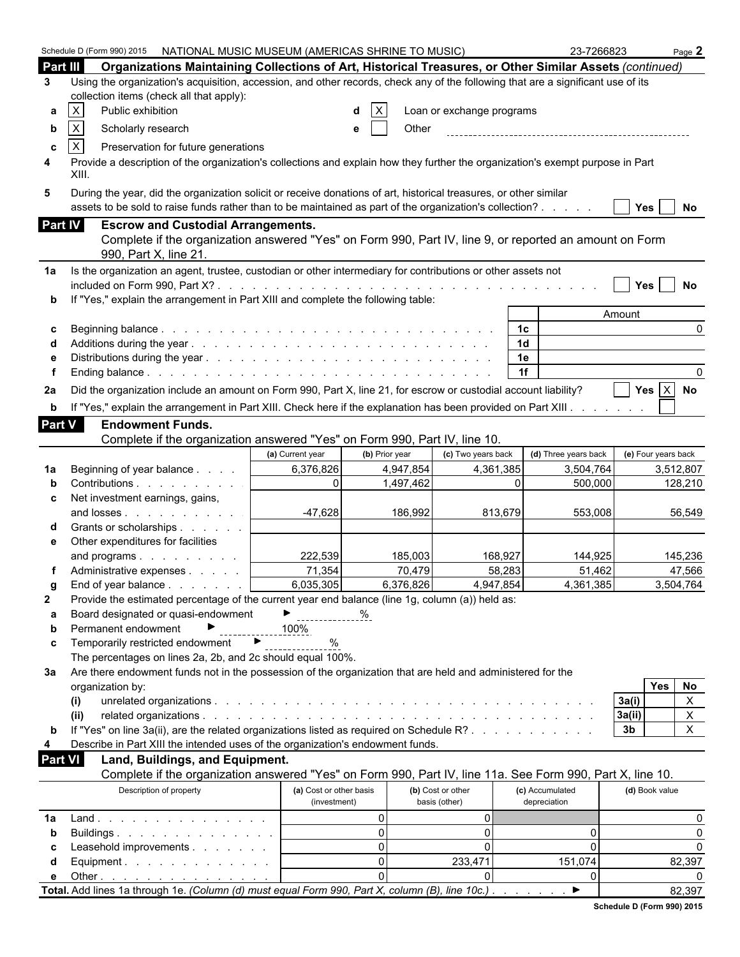|                | Schedule D (Form 990) 2015  NATIONAL MUSIC MUSEUM (AMERICAS SHRINE TO MUSIC)                                                     |                                         |                |                                    |                | 23-7266823                      |                | Page $2$            |
|----------------|----------------------------------------------------------------------------------------------------------------------------------|-----------------------------------------|----------------|------------------------------------|----------------|---------------------------------|----------------|---------------------|
| Part III       | Organizations Maintaining Collections of Art, Historical Treasures, or Other Similar Assets (continued)                          |                                         |                |                                    |                |                                 |                |                     |
| 3              | Using the organization's acquisition, accession, and other records, check any of the following that are a significant use of its |                                         |                |                                    |                |                                 |                |                     |
|                | collection items (check all that apply):                                                                                         |                                         |                |                                    |                |                                 |                |                     |
| а              | X<br>Public exhibition                                                                                                           |                                         |                | Loan or exchange programs          |                |                                 |                |                     |
| b              | X<br>Scholarly research                                                                                                          |                                         | Other<br>e     |                                    |                |                                 |                |                     |
| c              | $\mathsf X$<br>Preservation for future generations                                                                               |                                         |                |                                    |                |                                 |                |                     |
| 4              | Provide a description of the organization's collections and explain how they further the organization's exempt purpose in Part   |                                         |                |                                    |                |                                 |                |                     |
|                | XIII.                                                                                                                            |                                         |                |                                    |                |                                 |                |                     |
| 5              | During the year, did the organization solicit or receive donations of art, historical treasures, or other similar                |                                         |                |                                    |                |                                 |                |                     |
|                | assets to be sold to raise funds rather than to be maintained as part of the organization's collection?                          |                                         |                |                                    |                |                                 | <b>Yes</b>     | No                  |
| Part IV        | <b>Escrow and Custodial Arrangements.</b>                                                                                        |                                         |                |                                    |                |                                 |                |                     |
|                | Complete if the organization answered "Yes" on Form 990, Part IV, line 9, or reported an amount on Form                          |                                         |                |                                    |                |                                 |                |                     |
|                | 990, Part X, line 21.                                                                                                            |                                         |                |                                    |                |                                 |                |                     |
| 1a             | Is the organization an agent, trustee, custodian or other intermediary for contributions or other assets not                     |                                         |                |                                    |                |                                 |                |                     |
|                |                                                                                                                                  |                                         |                |                                    |                |                                 | Yes            | No                  |
|                | If "Yes," explain the arrangement in Part XIII and complete the following table:                                                 |                                         |                |                                    |                |                                 |                |                     |
|                |                                                                                                                                  |                                         |                |                                    |                |                                 | Amount         |                     |
| c              |                                                                                                                                  |                                         |                |                                    | 1 <sub>c</sub> |                                 |                | $\Omega$            |
|                |                                                                                                                                  |                                         |                |                                    | 1 <sub>d</sub> |                                 |                |                     |
|                |                                                                                                                                  |                                         |                |                                    | 1e             |                                 |                |                     |
|                |                                                                                                                                  |                                         |                |                                    | 1f             |                                 |                | $\Omega$            |
| 2a             | Did the organization include an amount on Form 990, Part X, line 21, for escrow or custodial account liability?                  |                                         |                |                                    |                |                                 |                | Yes $X$ No          |
| $\mathbf b$    | If "Yes," explain the arrangement in Part XIII. Check here if the explanation has been provided on Part XIII.                    |                                         |                |                                    |                |                                 |                |                     |
| <b>Part V</b>  | <b>Endowment Funds.</b>                                                                                                          |                                         |                |                                    |                |                                 |                |                     |
|                | Complete if the organization answered "Yes" on Form 990, Part IV, line 10.                                                       |                                         |                |                                    |                |                                 |                |                     |
|                |                                                                                                                                  | (a) Current year                        | (b) Prior year | (c) Two years back                 |                | (d) Three years back            |                | (e) Four years back |
| 1a             | Beginning of year balance                                                                                                        | 6,376,826                               | 4,947,854      | 4,361,385                          |                | 3,504,764                       |                | 3,512,807           |
| b              | Contributions                                                                                                                    | $\Omega$                                | 1,497,462      |                                    | $\Omega$       | 500,000                         |                | 128,210             |
| c              | Net investment earnings, gains,                                                                                                  |                                         |                |                                    |                |                                 |                |                     |
|                | and losses                                                                                                                       | $-47,628$                               | 186,992        |                                    | 813,679        | 553,008                         |                | 56,549              |
|                | Grants or scholarships                                                                                                           |                                         |                |                                    |                |                                 |                |                     |
| е              | Other expenditures for facilities                                                                                                |                                         |                |                                    |                |                                 |                |                     |
|                | and programs                                                                                                                     | 222,539                                 | 185,003        |                                    | 168,927        | 144,925                         |                | 145,236             |
|                | Administrative expenses                                                                                                          | 71,354                                  | 70,479         |                                    | 58,283         | 51,462                          |                | 47,566              |
| g              | End of year balance                                                                                                              | 6,035,305                               | 6,376,826      | 4,947,854                          |                | 4,361,385                       |                | 3.504.764           |
| $\mathbf{2}$   | Provide the estimated percentage of the current year end balance (line 1g, column (a)) held as:                                  |                                         |                |                                    |                |                                 |                |                     |
| a              | Board designated or quasi-endowment                                                                                              | $\triangleright$ %                      |                |                                    |                |                                 |                |                     |
| b              | Permanent endowment                                                                                                              | 100%                                    |                |                                    |                |                                 |                |                     |
| c              | Temporarily restricted endowment                                                                                                 | $\blacktriangleright$<br>%              |                |                                    |                |                                 |                |                     |
|                | The percentages on lines 2a, 2b, and 2c should equal 100%.                                                                       |                                         |                |                                    |                |                                 |                |                     |
| За             | Are there endowment funds not in the possession of the organization that are held and administered for the                       |                                         |                |                                    |                |                                 |                |                     |
|                | organization by:                                                                                                                 |                                         |                |                                    |                |                                 |                | <b>Yes</b><br>No    |
|                | (i)                                                                                                                              |                                         |                |                                    |                |                                 | 3a(i)          | $\mathsf{X}$        |
|                | (ii)                                                                                                                             |                                         |                |                                    |                |                                 | 3a(ii)         | $\mathsf{X}$        |
| b              | If "Yes" on line 3a(ii), are the related organizations listed as required on Schedule R?                                         |                                         |                |                                    |                |                                 | 3 <sub>b</sub> | $\mathsf{X}$        |
| 4              | Describe in Part XIII the intended uses of the organization's endowment funds.                                                   |                                         |                |                                    |                |                                 |                |                     |
| <b>Part VI</b> | Land, Buildings, and Equipment.                                                                                                  |                                         |                |                                    |                |                                 |                |                     |
|                | Complete if the organization answered "Yes" on Form 990, Part IV, line 11a. See Form 990, Part X, line 10.                       |                                         |                |                                    |                |                                 |                |                     |
|                | Description of property                                                                                                          | (a) Cost or other basis<br>(investment) |                | (b) Cost or other<br>basis (other) |                | (c) Accumulated<br>depreciation | (d) Book value |                     |
|                | $Land.$                                                                                                                          |                                         | $\overline{0}$ | 01                                 |                |                                 |                | 0                   |
| 1a             | Buildings                                                                                                                        |                                         | $\Omega$       | $\overline{0}$                     |                | 0                               |                | $\Omega$            |
| b<br>С         | Leasehold improvements                                                                                                           |                                         | $\Omega$       | $\Omega$                           |                | 0                               |                | $\Omega$            |
| d              | Equipment. $\ldots$                                                                                                              |                                         | $\Omega$       | 233,471                            |                | 151,074                         |                | 82,397              |
| е              | Other $\ldots$ $\ldots$ $\ldots$ $\ldots$ $\ldots$ $\ldots$                                                                      |                                         | $\Omega$       | $\Omega$                           |                | 0                               |                |                     |
|                | Total. Add lines 1a through 1e. (Column (d) must equal Form 990, Part X, column (B), line 10c.).                                 |                                         |                |                                    |                | ▶                               |                | 82,397              |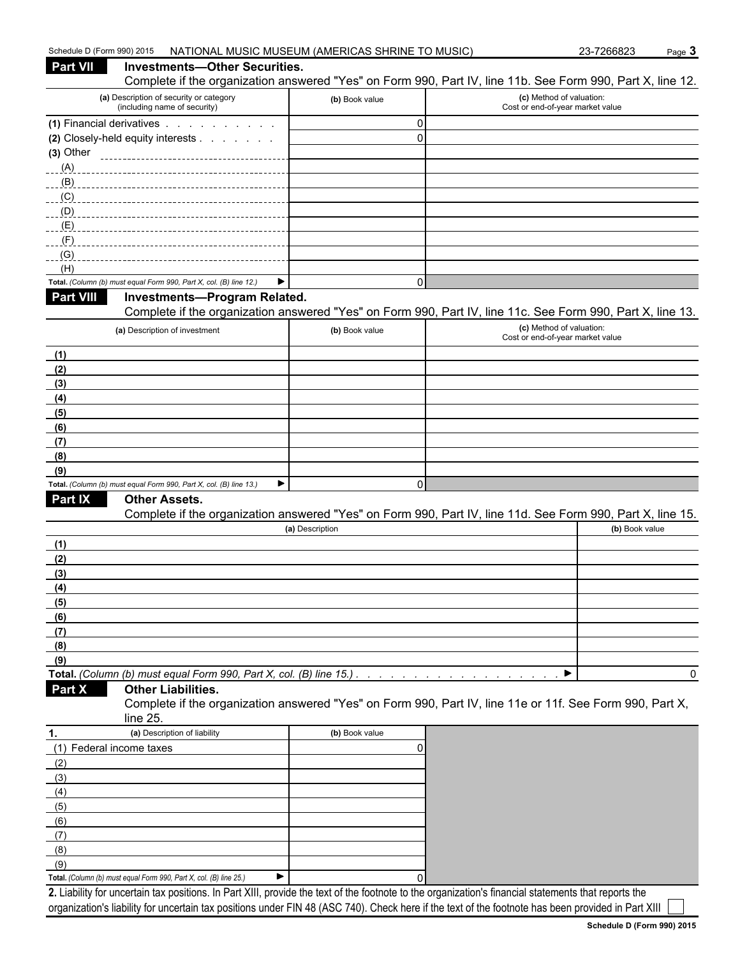| Complete if the organization answered "Yes" on Form 990, Part IV, line 11b. See Form 990, Part X, line 12.                    |                 | (c) Method of valuation:                                                                                   |   |
|-------------------------------------------------------------------------------------------------------------------------------|-----------------|------------------------------------------------------------------------------------------------------------|---|
| (a) Description of security or category<br>(including name of security)                                                       | (b) Book value  | Cost or end-of-year market value                                                                           |   |
| (1) Financial derivatives                                                                                                     | 0               |                                                                                                            |   |
| (2) Closely-held equity interests                                                                                             | $\mathbf{0}$    |                                                                                                            |   |
| (3) Other                                                                                                                     |                 |                                                                                                            |   |
| (A)                                                                                                                           |                 |                                                                                                            |   |
| (C)                                                                                                                           |                 |                                                                                                            |   |
| $\Box$ (D)                                                                                                                    |                 |                                                                                                            |   |
| (E)                                                                                                                           |                 |                                                                                                            |   |
| (F)                                                                                                                           |                 |                                                                                                            |   |
| (G)                                                                                                                           |                 |                                                                                                            |   |
| (H)                                                                                                                           | 0<br>▶          |                                                                                                            |   |
| Total. (Column (b) must equal Form 990, Part X, col. (B) line 12.)<br><b>Part VIII</b><br><b>Investments-Program Related.</b> |                 |                                                                                                            |   |
|                                                                                                                               |                 | Complete if the organization answered "Yes" on Form 990, Part IV, line 11c. See Form 990, Part X, line 13. |   |
| (a) Description of investment                                                                                                 | (b) Book value  | (c) Method of valuation:                                                                                   |   |
|                                                                                                                               |                 | Cost or end-of-year market value                                                                           |   |
| (1)                                                                                                                           |                 |                                                                                                            |   |
| (2)                                                                                                                           |                 |                                                                                                            |   |
| (3)                                                                                                                           |                 |                                                                                                            |   |
| (4)<br>(5)                                                                                                                    |                 |                                                                                                            |   |
| (6)                                                                                                                           |                 |                                                                                                            |   |
| (7)                                                                                                                           |                 |                                                                                                            |   |
|                                                                                                                               |                 |                                                                                                            |   |
|                                                                                                                               |                 |                                                                                                            |   |
| (8)<br>(9)                                                                                                                    |                 |                                                                                                            |   |
| Total. (Column (b) must equal Form 990, Part X, col. (B) line 13.)                                                            | ▶<br>0          |                                                                                                            |   |
| <b>Part IX</b><br><b>Other Assets.</b>                                                                                        |                 |                                                                                                            |   |
|                                                                                                                               |                 | Complete if the organization answered "Yes" on Form 990, Part IV, line 11d. See Form 990, Part X, line 15. |   |
|                                                                                                                               | (a) Description | (b) Book value                                                                                             |   |
|                                                                                                                               |                 |                                                                                                            |   |
|                                                                                                                               |                 |                                                                                                            |   |
|                                                                                                                               |                 |                                                                                                            |   |
|                                                                                                                               |                 |                                                                                                            |   |
| (1)<br>(2)<br>(3)<br>(4)<br>(5)<br>(6)                                                                                        |                 |                                                                                                            |   |
| (7)                                                                                                                           |                 |                                                                                                            |   |
| (8)                                                                                                                           |                 |                                                                                                            |   |
| (9)<br>Total. (Column (b) must equal Form 990, Part X, col. (B) line 15.)                                                     |                 | ▶                                                                                                          |   |
| <b>Other Liabilities.</b><br>Part X                                                                                           |                 |                                                                                                            |   |
|                                                                                                                               |                 | Complete if the organization answered "Yes" on Form 990, Part IV, line 11e or 11f. See Form 990, Part X,   |   |
| line $25$ .                                                                                                                   |                 |                                                                                                            |   |
| (a) Description of liability                                                                                                  | (b) Book value  |                                                                                                            |   |
| (1) Federal income taxes                                                                                                      |                 |                                                                                                            |   |
| (2)                                                                                                                           |                 |                                                                                                            |   |
| (3)                                                                                                                           |                 |                                                                                                            | 0 |
| (4)<br>(5)                                                                                                                    |                 |                                                                                                            |   |
| (6)                                                                                                                           |                 |                                                                                                            |   |
| (7)                                                                                                                           |                 |                                                                                                            |   |
| (8)                                                                                                                           |                 |                                                                                                            |   |
| (9)<br>Total. (Column (b) must equal Form 990, Part X, col. (B) line 25.)                                                     | ▶               |                                                                                                            |   |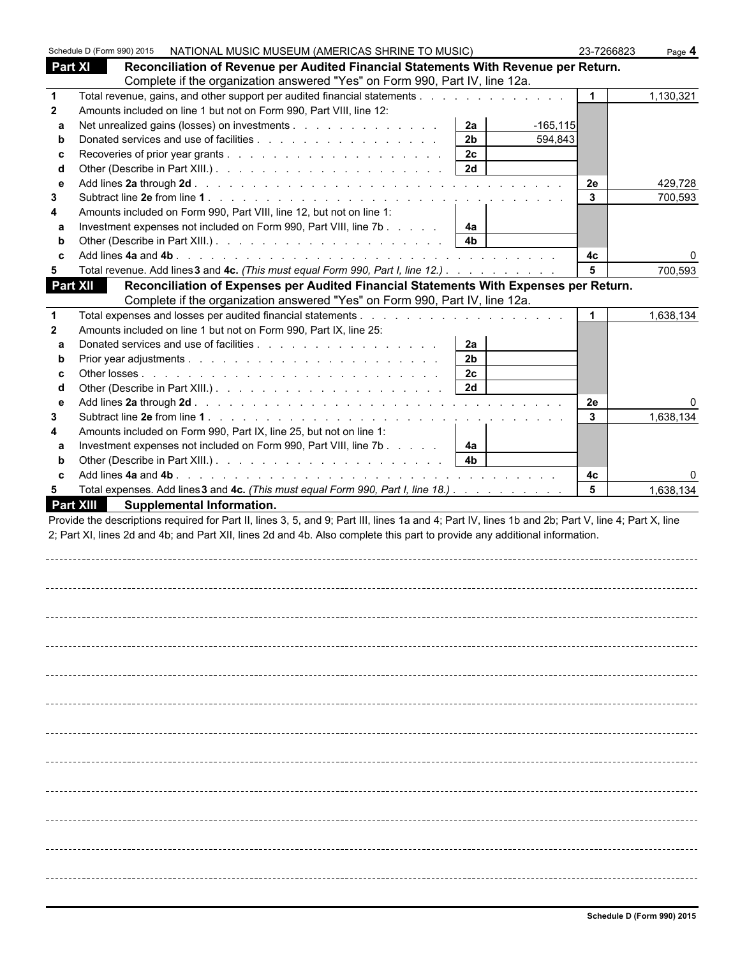|                  | Schedule D (Form 990) 2015 |                                  | NATIONAL MUSIC MUSEUM (AMERICAS SHRINE TO MUSIC)                                                                                                   |                      |             | 23-7266823   | Page 4    |
|------------------|----------------------------|----------------------------------|----------------------------------------------------------------------------------------------------------------------------------------------------|----------------------|-------------|--------------|-----------|
| Part XI          |                            |                                  | Reconciliation of Revenue per Audited Financial Statements With Revenue per Return.                                                                |                      |             |              |           |
|                  |                            |                                  | Complete if the organization answered "Yes" on Form 990, Part IV, line 12a.                                                                        |                      |             |              |           |
| $\mathbf{1}$     |                            |                                  | Total revenue, gains, and other support per audited financial statements                                                                           |                      |             |              | 1,130,321 |
| $\mathbf{2}$     |                            |                                  | Amounts included on line 1 but not on Form 990, Part VIII, line 12:                                                                                |                      |             |              |           |
| a                |                            |                                  | Net unrealized gains (losses) on investments                                                                                                       | 2a                   | $-165, 115$ |              |           |
| b                |                            |                                  |                                                                                                                                                    | 2 <sub>b</sub>       | 594,843     |              |           |
| C                |                            |                                  |                                                                                                                                                    | 2c                   |             |              |           |
| d                |                            |                                  |                                                                                                                                                    | 2d                   |             |              |           |
| e                |                            |                                  |                                                                                                                                                    |                      |             | 2e           | 429,728   |
| 3                |                            |                                  |                                                                                                                                                    |                      |             | $\mathbf{3}$ | 700,593   |
| 4                |                            |                                  | Amounts included on Form 990, Part VIII, line 12, but not on line 1:                                                                               |                      |             |              |           |
| a                |                            |                                  | Investment expenses not included on Form 990, Part VIII, line 7b                                                                                   | 4a                   |             |              |           |
| b                |                            |                                  |                                                                                                                                                    | 4 <sub>b</sub>       |             |              |           |
| C                |                            |                                  |                                                                                                                                                    |                      |             | 4c           |           |
| 5                |                            |                                  | Total revenue. Add lines 3 and 4c. (This must equal Form 990, Part I, line 12.)                                                                    |                      |             | 5            | 700,593   |
| <b>Part XII</b>  |                            |                                  | Reconciliation of Expenses per Audited Financial Statements With Expenses per Return.                                                              |                      |             |              |           |
|                  |                            |                                  | Complete if the organization answered "Yes" on Form 990, Part IV, line 12a.                                                                        |                      |             |              |           |
| 1                |                            |                                  |                                                                                                                                                    |                      |             | $\mathbf 1$  | 1,638,134 |
| $\mathbf 2$      |                            |                                  | Amounts included on line 1 but not on Form 990, Part IX, line 25:                                                                                  |                      |             |              |           |
|                  |                            |                                  |                                                                                                                                                    |                      |             |              |           |
| a                |                            |                                  |                                                                                                                                                    | 2a<br>2 <sub>b</sub> |             |              |           |
| b                |                            |                                  |                                                                                                                                                    |                      |             |              |           |
| C                |                            |                                  |                                                                                                                                                    | 2c<br>2d             |             |              |           |
| d                |                            |                                  |                                                                                                                                                    |                      |             |              |           |
| e                |                            |                                  |                                                                                                                                                    |                      |             | 2e           |           |
| 3                |                            |                                  |                                                                                                                                                    |                      |             | 3            | 1,638,134 |
| 4                |                            |                                  | Amounts included on Form 990, Part IX, line 25, but not on line 1:                                                                                 |                      |             |              |           |
| a                |                            |                                  | Investment expenses not included on Form 990, Part VIII, line 7b                                                                                   | 4a                   |             |              |           |
| b                |                            |                                  |                                                                                                                                                    | 4 <sub>b</sub>       |             |              |           |
| C                |                            |                                  |                                                                                                                                                    |                      |             | 4c           |           |
| 5                |                            |                                  | Total expenses. Add lines 3 and 4c. (This must equal Form 990, Part I, line 18.)                                                                   |                      |             | 5            | 1,638,134 |
| <b>Part XIII</b> |                            | <b>Supplemental Information.</b> |                                                                                                                                                    |                      |             |              |           |
|                  |                            |                                  | Provide the descriptions required for Part II, lines 3, 5, and 9; Part III, lines 1a and 4; Part IV, lines 1b and 2b; Part V, line 4; Part X, line |                      |             |              |           |
|                  |                            |                                  | 2; Part XI, lines 2d and 4b; and Part XII, lines 2d and 4b. Also complete this part to provide any additional information.                         |                      |             |              |           |
|                  |                            |                                  |                                                                                                                                                    |                      |             |              |           |
|                  |                            |                                  |                                                                                                                                                    |                      |             |              |           |
|                  |                            |                                  |                                                                                                                                                    |                      |             |              |           |
|                  |                            |                                  |                                                                                                                                                    |                      |             |              |           |
|                  |                            |                                  |                                                                                                                                                    |                      |             |              |           |
|                  |                            |                                  |                                                                                                                                                    |                      |             |              |           |
|                  |                            |                                  |                                                                                                                                                    |                      |             |              |           |
|                  |                            |                                  |                                                                                                                                                    |                      |             |              |           |
|                  |                            |                                  |                                                                                                                                                    |                      |             |              |           |
|                  |                            |                                  |                                                                                                                                                    |                      |             |              |           |
|                  |                            |                                  |                                                                                                                                                    |                      |             |              |           |
|                  |                            |                                  |                                                                                                                                                    |                      |             |              |           |
|                  |                            |                                  |                                                                                                                                                    |                      |             |              |           |
|                  |                            |                                  |                                                                                                                                                    |                      |             |              |           |
|                  |                            |                                  |                                                                                                                                                    |                      |             |              |           |
|                  |                            |                                  |                                                                                                                                                    |                      |             |              |           |
|                  |                            |                                  |                                                                                                                                                    |                      |             |              |           |
|                  |                            |                                  |                                                                                                                                                    |                      |             |              |           |
|                  |                            |                                  |                                                                                                                                                    |                      |             |              |           |
|                  |                            |                                  |                                                                                                                                                    |                      |             |              |           |
|                  |                            |                                  |                                                                                                                                                    |                      |             |              |           |
|                  |                            |                                  |                                                                                                                                                    |                      |             |              |           |
|                  |                            |                                  |                                                                                                                                                    |                      |             |              |           |
|                  |                            |                                  |                                                                                                                                                    |                      |             |              |           |
|                  |                            |                                  |                                                                                                                                                    |                      |             |              |           |
|                  |                            |                                  |                                                                                                                                                    |                      |             |              |           |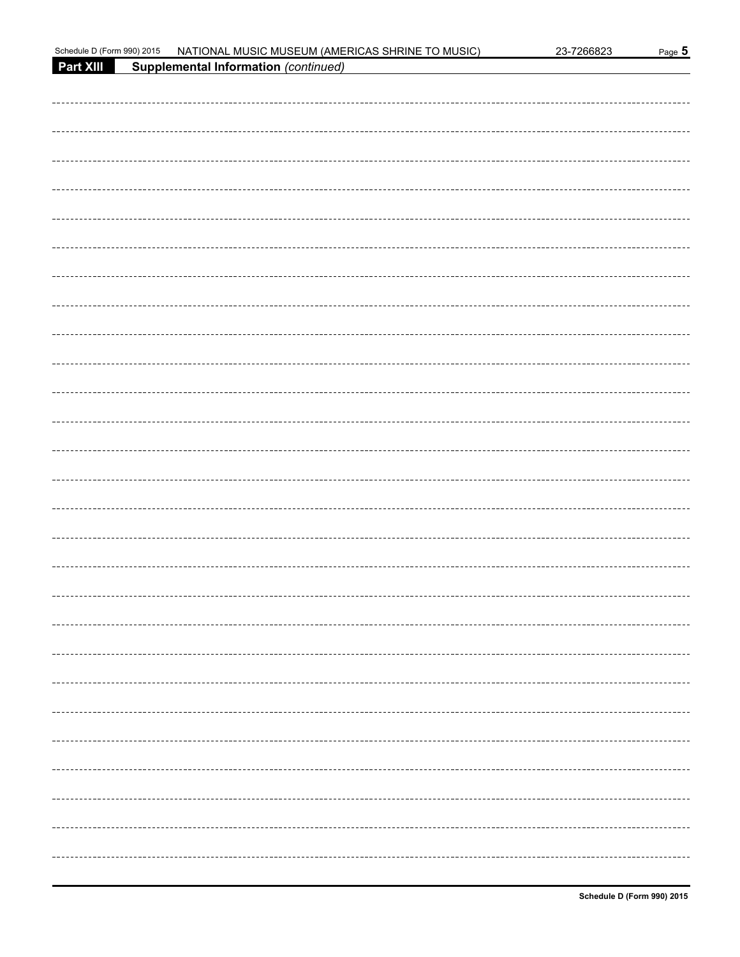| Schedule D (Form 990) 2015 | NATIONAL MUSIC MUSEUM (AMERICAS SHRINE TO MUSIC) | 23-7266823 | Page 5 |
|----------------------------|--------------------------------------------------|------------|--------|
| Part XIII                  | <b>Supplemental Information (continued)</b>      |            |        |
|                            |                                                  |            |        |
|                            |                                                  |            |        |
|                            |                                                  |            |        |
|                            |                                                  |            |        |
|                            |                                                  |            |        |
|                            |                                                  |            |        |
|                            |                                                  |            |        |
|                            |                                                  |            |        |
|                            |                                                  |            |        |
|                            |                                                  |            |        |
|                            |                                                  |            |        |
|                            |                                                  |            |        |
|                            |                                                  |            |        |
|                            |                                                  |            |        |
|                            |                                                  |            |        |
|                            |                                                  |            |        |
|                            |                                                  |            |        |
|                            |                                                  |            |        |
|                            |                                                  |            |        |
|                            |                                                  |            |        |
|                            |                                                  |            |        |
|                            |                                                  |            |        |
|                            |                                                  |            |        |
|                            |                                                  |            |        |
|                            |                                                  |            |        |
|                            |                                                  |            |        |
|                            |                                                  |            |        |
|                            |                                                  |            |        |
|                            |                                                  |            |        |
|                            |                                                  |            |        |
|                            |                                                  |            |        |
|                            |                                                  |            |        |
|                            |                                                  |            |        |
|                            |                                                  |            |        |
|                            |                                                  |            |        |
|                            |                                                  |            |        |
|                            |                                                  |            |        |
|                            |                                                  |            |        |
|                            |                                                  |            |        |
|                            |                                                  |            |        |
|                            |                                                  |            |        |
|                            |                                                  |            |        |
|                            |                                                  |            |        |
|                            |                                                  |            |        |
|                            |                                                  |            |        |
|                            |                                                  |            |        |
|                            |                                                  |            |        |
|                            |                                                  |            |        |
|                            |                                                  |            |        |
|                            |                                                  |            |        |
|                            |                                                  |            |        |
|                            |                                                  |            |        |
|                            |                                                  |            |        |
|                            |                                                  |            |        |
|                            |                                                  |            |        |
|                            |                                                  |            |        |
|                            |                                                  |            |        |
|                            |                                                  |            |        |
|                            |                                                  |            |        |
|                            |                                                  |            |        |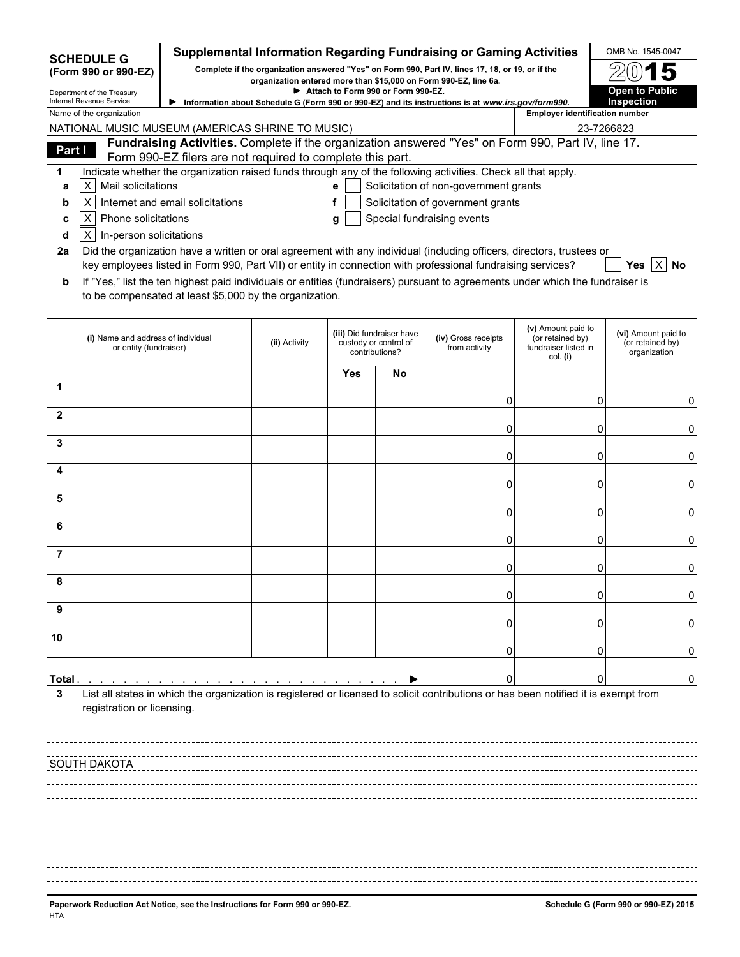| <b>SCHEDULE G</b><br>(Form 990 or 990-EZ)<br>Department of the Treasury<br>Internal Revenue Service |                                                                                                                                                                                           | <b>Supplemental Information Regarding Fundraising or Gaming Activities</b><br>Complete if the organization answered "Yes" on Form 990, Part IV, lines 17, 18, or 19, or if the<br>Information about Schedule G (Form 990 or 990-EZ) and its instructions is at www.irs.gov/form990. |     | Attach to Form 990 or Form 990-EZ.                                   | organization entered more than \$15,000 on Form 990-EZ, line 6a. |                                                                            | OMB No. 1545-0047<br><b>Open to Public</b><br>Inspection |
|-----------------------------------------------------------------------------------------------------|-------------------------------------------------------------------------------------------------------------------------------------------------------------------------------------------|-------------------------------------------------------------------------------------------------------------------------------------------------------------------------------------------------------------------------------------------------------------------------------------|-----|----------------------------------------------------------------------|------------------------------------------------------------------|----------------------------------------------------------------------------|----------------------------------------------------------|
| Name of the organization                                                                            |                                                                                                                                                                                           |                                                                                                                                                                                                                                                                                     |     |                                                                      |                                                                  | <b>Employer identification number</b>                                      |                                                          |
|                                                                                                     | NATIONAL MUSIC MUSEUM (AMERICAS SHRINE TO MUSIC)                                                                                                                                          |                                                                                                                                                                                                                                                                                     |     |                                                                      |                                                                  |                                                                            | 23-7266823                                               |
| Part I                                                                                              | Fundraising Activities. Complete if the organization answered "Yes" on Form 990, Part IV, line 17.                                                                                        |                                                                                                                                                                                                                                                                                     |     |                                                                      |                                                                  |                                                                            |                                                          |
|                                                                                                     | Form 990-EZ filers are not required to complete this part.<br>Indicate whether the organization raised funds through any of the following activities. Check all that apply.               |                                                                                                                                                                                                                                                                                     |     |                                                                      |                                                                  |                                                                            |                                                          |
| 1<br>$\mathsf{X}$<br>a                                                                              | Mail solicitations                                                                                                                                                                        |                                                                                                                                                                                                                                                                                     | e   |                                                                      | Solicitation of non-government grants                            |                                                                            |                                                          |
| $\pmb{\times}$<br>b                                                                                 | Internet and email solicitations                                                                                                                                                          |                                                                                                                                                                                                                                                                                     | f   |                                                                      | Solicitation of government grants                                |                                                                            |                                                          |
| $\boldsymbol{\mathsf{X}}$<br>С                                                                      | Phone solicitations                                                                                                                                                                       |                                                                                                                                                                                                                                                                                     | g   |                                                                      | Special fundraising events                                       |                                                                            |                                                          |
| $\times$<br>d                                                                                       | In-person solicitations                                                                                                                                                                   |                                                                                                                                                                                                                                                                                     |     |                                                                      |                                                                  |                                                                            |                                                          |
| 2a                                                                                                  | Did the organization have a written or oral agreement with any individual (including officers, directors, trustees or                                                                     |                                                                                                                                                                                                                                                                                     |     |                                                                      |                                                                  |                                                                            |                                                          |
|                                                                                                     | key employees listed in Form 990, Part VII) or entity in connection with professional fundraising services?                                                                               |                                                                                                                                                                                                                                                                                     |     |                                                                      |                                                                  |                                                                            | Yes $ X $ No                                             |
| b                                                                                                   | If "Yes," list the ten highest paid individuals or entities (fundraisers) pursuant to agreements under which the fundraiser is<br>to be compensated at least \$5,000 by the organization. |                                                                                                                                                                                                                                                                                     |     |                                                                      |                                                                  |                                                                            |                                                          |
|                                                                                                     | (i) Name and address of individual<br>or entity (fundraiser)                                                                                                                              | (ii) Activity                                                                                                                                                                                                                                                                       |     | (iii) Did fundraiser have<br>custody or control of<br>contributions? | (iv) Gross receipts<br>from activity                             | (v) Amount paid to<br>(or retained by)<br>fundraiser listed in<br>col. (i) | (vi) Amount paid to<br>(or retained by)<br>organization  |
|                                                                                                     |                                                                                                                                                                                           |                                                                                                                                                                                                                                                                                     | Yes | No                                                                   |                                                                  |                                                                            |                                                          |
|                                                                                                     |                                                                                                                                                                                           |                                                                                                                                                                                                                                                                                     |     |                                                                      |                                                                  |                                                                            |                                                          |
|                                                                                                     |                                                                                                                                                                                           |                                                                                                                                                                                                                                                                                     |     |                                                                      | 0                                                                | ი                                                                          | 0                                                        |
| 2                                                                                                   |                                                                                                                                                                                           |                                                                                                                                                                                                                                                                                     |     |                                                                      | 0                                                                | 0                                                                          | 0                                                        |
| 3                                                                                                   |                                                                                                                                                                                           |                                                                                                                                                                                                                                                                                     |     |                                                                      |                                                                  |                                                                            |                                                          |
| 4                                                                                                   |                                                                                                                                                                                           |                                                                                                                                                                                                                                                                                     |     |                                                                      | 0                                                                | 0                                                                          | 0                                                        |
|                                                                                                     |                                                                                                                                                                                           |                                                                                                                                                                                                                                                                                     |     |                                                                      | 0                                                                | 0                                                                          | 0                                                        |
| 5                                                                                                   |                                                                                                                                                                                           |                                                                                                                                                                                                                                                                                     |     |                                                                      |                                                                  |                                                                            |                                                          |
|                                                                                                     |                                                                                                                                                                                           |                                                                                                                                                                                                                                                                                     |     |                                                                      | 0                                                                | 0                                                                          | 0                                                        |
| 6                                                                                                   |                                                                                                                                                                                           |                                                                                                                                                                                                                                                                                     |     |                                                                      |                                                                  |                                                                            |                                                          |
| 7                                                                                                   |                                                                                                                                                                                           |                                                                                                                                                                                                                                                                                     |     |                                                                      | 0                                                                | ი                                                                          | 0                                                        |
|                                                                                                     |                                                                                                                                                                                           |                                                                                                                                                                                                                                                                                     |     |                                                                      | 0                                                                | ი                                                                          | 0                                                        |
| 8                                                                                                   |                                                                                                                                                                                           |                                                                                                                                                                                                                                                                                     |     |                                                                      |                                                                  |                                                                            |                                                          |
|                                                                                                     |                                                                                                                                                                                           |                                                                                                                                                                                                                                                                                     |     |                                                                      | 0                                                                | 0                                                                          | 0                                                        |
| 9                                                                                                   |                                                                                                                                                                                           |                                                                                                                                                                                                                                                                                     |     |                                                                      |                                                                  |                                                                            |                                                          |
|                                                                                                     |                                                                                                                                                                                           |                                                                                                                                                                                                                                                                                     |     |                                                                      | 0                                                                | 0                                                                          | U                                                        |
| 10                                                                                                  |                                                                                                                                                                                           |                                                                                                                                                                                                                                                                                     |     |                                                                      | 0                                                                | O                                                                          | 0                                                        |
|                                                                                                     |                                                                                                                                                                                           |                                                                                                                                                                                                                                                                                     |     |                                                                      |                                                                  |                                                                            |                                                          |
| Total .                                                                                             |                                                                                                                                                                                           |                                                                                                                                                                                                                                                                                     |     |                                                                      | 0                                                                | 0                                                                          | 0                                                        |
| 3                                                                                                   | List all states in which the organization is registered or licensed to solicit contributions or has been notified it is exempt from<br>registration or licensing.                         |                                                                                                                                                                                                                                                                                     |     |                                                                      |                                                                  |                                                                            |                                                          |
|                                                                                                     |                                                                                                                                                                                           |                                                                                                                                                                                                                                                                                     |     |                                                                      |                                                                  |                                                                            |                                                          |
| SOUTH DAKOTA                                                                                        |                                                                                                                                                                                           |                                                                                                                                                                                                                                                                                     |     |                                                                      |                                                                  |                                                                            |                                                          |
|                                                                                                     |                                                                                                                                                                                           |                                                                                                                                                                                                                                                                                     |     |                                                                      |                                                                  |                                                                            |                                                          |
|                                                                                                     |                                                                                                                                                                                           |                                                                                                                                                                                                                                                                                     |     |                                                                      |                                                                  |                                                                            |                                                          |
|                                                                                                     |                                                                                                                                                                                           |                                                                                                                                                                                                                                                                                     |     |                                                                      |                                                                  |                                                                            |                                                          |
|                                                                                                     |                                                                                                                                                                                           |                                                                                                                                                                                                                                                                                     |     |                                                                      |                                                                  |                                                                            |                                                          |
|                                                                                                     |                                                                                                                                                                                           |                                                                                                                                                                                                                                                                                     |     |                                                                      |                                                                  |                                                                            |                                                          |
|                                                                                                     |                                                                                                                                                                                           |                                                                                                                                                                                                                                                                                     |     |                                                                      |                                                                  |                                                                            |                                                          |
|                                                                                                     |                                                                                                                                                                                           |                                                                                                                                                                                                                                                                                     |     |                                                                      |                                                                  |                                                                            |                                                          |
|                                                                                                     | Paperwork Reduction Act Notice, see the Instructions for Form 990 or 990-EZ.                                                                                                              |                                                                                                                                                                                                                                                                                     |     |                                                                      |                                                                  |                                                                            | Schedule G (Form 990 or 990-EZ) 2015                     |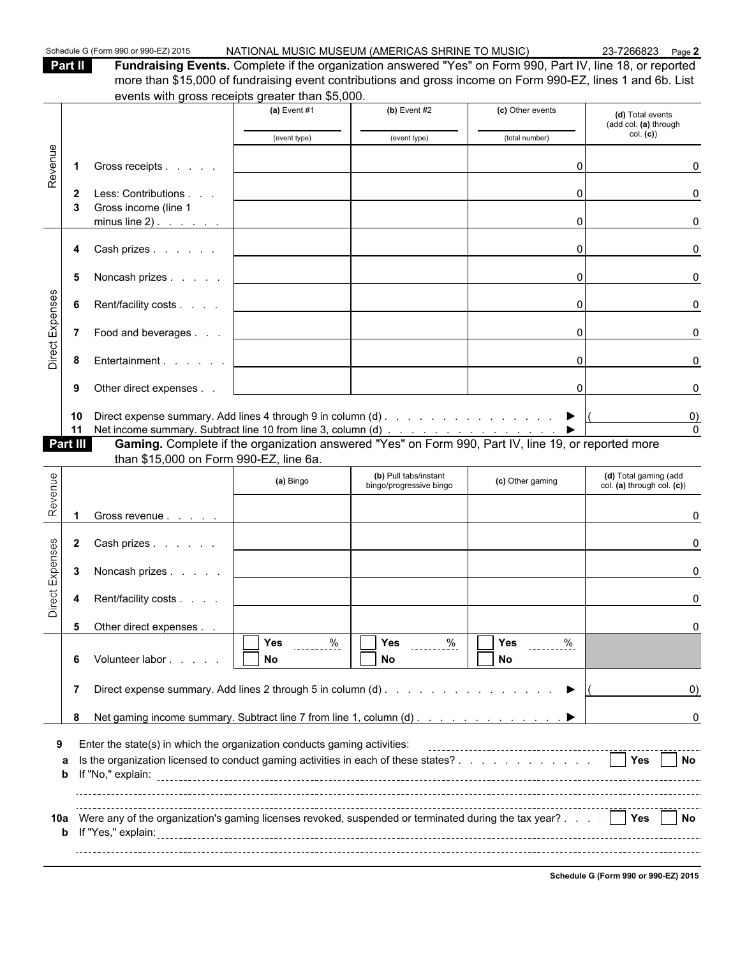Schedule G (Form 990 or 990-EZ) 2015 NATIONAL MUSIC MUSEUM (AMERICAS SHRINE TO MUSIC) 23-7266823 Page 2

**Part II Fundraising Events.** Complete if the organization answered "Yes" on Form 990, Part IV, line 18, or reported more than \$15,000 of fundraising event contributions and gross income on Form 990-EZ, lines 1 and 6b. List events with gross receipts greater than \$5,000.

|                 |                |                                                                                                                                                                         | (a) Event $#1$                        | $(b)$ Event #2                                   | (c) Other events | (d) Total events<br>(add col. (a) through           |
|-----------------|----------------|-------------------------------------------------------------------------------------------------------------------------------------------------------------------------|---------------------------------------|--------------------------------------------------|------------------|-----------------------------------------------------|
|                 |                |                                                                                                                                                                         | (event type)                          | (event type)                                     | (total number)   | col. (c)                                            |
|                 |                |                                                                                                                                                                         |                                       |                                                  |                  |                                                     |
| Revenue         | $\mathbf 1$    | Gross receipts                                                                                                                                                          |                                       |                                                  |                  |                                                     |
|                 | $\mathbf{2}$   | Less: Contributions                                                                                                                                                     |                                       |                                                  |                  | <sup>0</sup>                                        |
|                 | 3              | Gross income (line 1                                                                                                                                                    |                                       |                                                  |                  |                                                     |
|                 |                | minus line $2)$ .                                                                                                                                                       |                                       |                                                  |                  |                                                     |
|                 | 4              | Cash prizes                                                                                                                                                             |                                       |                                                  |                  |                                                     |
|                 |                |                                                                                                                                                                         |                                       |                                                  |                  |                                                     |
|                 | 5              | Noncash prizes                                                                                                                                                          |                                       |                                                  |                  |                                                     |
|                 | 6              | Rent/facility costs                                                                                                                                                     |                                       |                                                  |                  |                                                     |
|                 |                |                                                                                                                                                                         |                                       |                                                  |                  |                                                     |
| Direct Expenses | $\overline{7}$ | Food and beverages                                                                                                                                                      |                                       |                                                  |                  |                                                     |
|                 | 8              | Entertainment                                                                                                                                                           |                                       |                                                  |                  |                                                     |
|                 |                |                                                                                                                                                                         |                                       |                                                  |                  |                                                     |
|                 | 9              | Other direct expenses                                                                                                                                                   |                                       |                                                  |                  |                                                     |
|                 | 10             |                                                                                                                                                                         |                                       |                                                  |                  | $\left( 0\right)$                                   |
|                 | 11             |                                                                                                                                                                         |                                       |                                                  |                  | $\Omega$                                            |
|                 | Part III       | Net income summary. Subtract line 10 from line 3, column (d) ▶  <br>Gaming. Complete if the organization answered "Yes" on Form 990, Part IV, line 19, or reported more |                                       |                                                  |                  |                                                     |
|                 |                | than \$15,000 on Form 990-EZ, line 6a.                                                                                                                                  |                                       |                                                  |                  |                                                     |
|                 |                |                                                                                                                                                                         | (a) Bingo                             | (b) Pull tabs/instant<br>bingo/progressive bingo | (c) Other gaming | (d) Total gaming (add<br>col. (a) through col. (c)) |
| Revenue         |                |                                                                                                                                                                         |                                       |                                                  |                  |                                                     |
|                 |                | Gross revenue                                                                                                                                                           |                                       |                                                  |                  | n                                                   |
|                 |                |                                                                                                                                                                         |                                       |                                                  |                  |                                                     |
|                 |                | 2 Cash prizes                                                                                                                                                           |                                       |                                                  |                  |                                                     |
|                 | 3              | Noncash prizes                                                                                                                                                          |                                       |                                                  |                  |                                                     |
| Direct Expenses |                |                                                                                                                                                                         |                                       |                                                  |                  |                                                     |
|                 | 4              | Rent/facility costs                                                                                                                                                     |                                       |                                                  |                  |                                                     |
|                 |                |                                                                                                                                                                         |                                       |                                                  |                  |                                                     |
|                 |                | 5 Other direct expenses                                                                                                                                                 |                                       |                                                  |                  |                                                     |
|                 |                |                                                                                                                                                                         |                                       |                                                  |                  |                                                     |
|                 |                |                                                                                                                                                                         | $\overline{\prod}$ Yes<br>$rac{9}{2}$ | $\sqrt{ }$ Yes $\sqrt{ }$<br>$rac{9}{2}$         |                  |                                                     |
|                 | 6              | Volunteer labor                                                                                                                                                         | No                                    | No                                               | No               |                                                     |
|                 | 7              |                                                                                                                                                                         |                                       |                                                  |                  | $\left( 0\right)$                                   |
|                 |                |                                                                                                                                                                         |                                       |                                                  |                  |                                                     |
|                 | 8              |                                                                                                                                                                         |                                       |                                                  |                  |                                                     |
|                 |                |                                                                                                                                                                         |                                       |                                                  |                  |                                                     |
| 9               |                | Enter the state(s) in which the organization conducts gaming activities:                                                                                                |                                       |                                                  |                  |                                                     |
|                 | a<br>b         | Is the organization licensed to conduct gaming activities in each of these states? $\Box$ Yes                                                                           |                                       |                                                  |                  |                                                     |
|                 |                |                                                                                                                                                                         |                                       |                                                  |                  |                                                     |
|                 |                |                                                                                                                                                                         |                                       |                                                  |                  |                                                     |
| 10a             |                | Were any of the organization's gaming licenses revoked, suspended or terminated during the tax year? $\ldots$   Yes   No                                                |                                       |                                                  |                  | 0<br>No                                             |

**Schedule G (Form 990 or 990-EZ) 2015**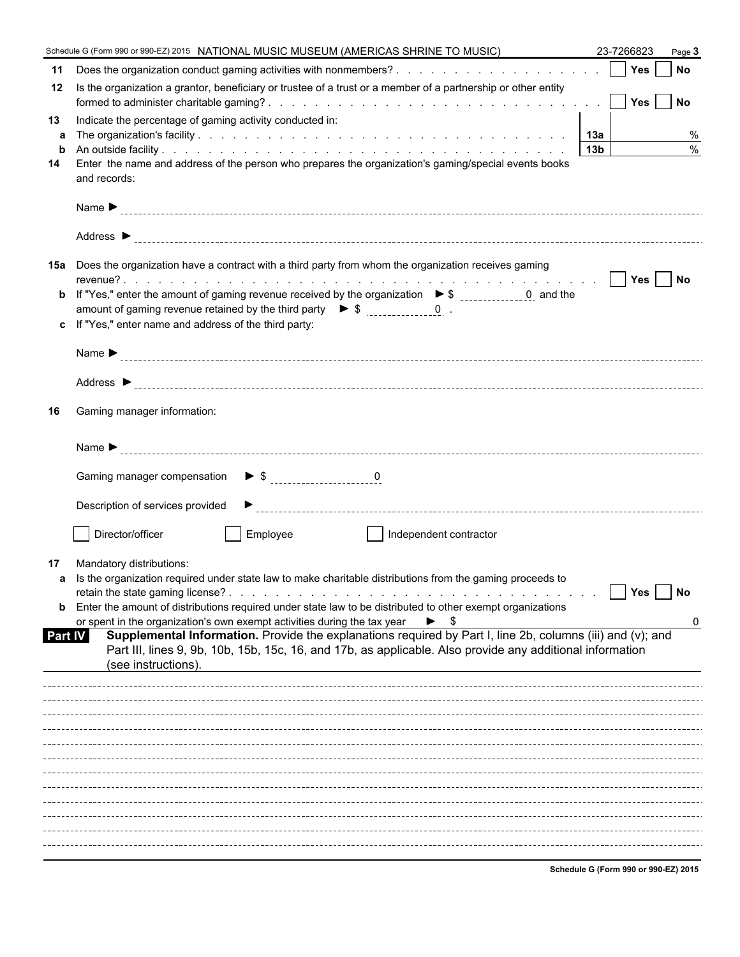|                | Schedule G (Form 990 or 990-EZ) 2015 NATIONAL MUSIC MUSEUM (AMERICAS SHRINE TO MUSIC)<br>23-7266823<br>Page 3                                                                                                                                  |
|----------------|------------------------------------------------------------------------------------------------------------------------------------------------------------------------------------------------------------------------------------------------|
| 11             | Does the organization conduct gaming activities with nonmembers?     Yes     No                                                                                                                                                                |
| 12             | Is the organization a grantor, beneficiary or trustee of a trust or a member of a partnership or other entity                                                                                                                                  |
| 13<br>a        | Indicate the percentage of gaming activity conducted in:<br>%                                                                                                                                                                                  |
| b              | $\%$<br>13b                                                                                                                                                                                                                                    |
| 14             | Enter the name and address of the person who prepares the organization's gaming/special events books<br>and records:                                                                                                                           |
|                |                                                                                                                                                                                                                                                |
|                |                                                                                                                                                                                                                                                |
|                | 15a Does the organization have a contract with a third party from whom the organization receives gaming                                                                                                                                        |
|                |                                                                                                                                                                                                                                                |
|                | amount of gaming revenue retained by the third party $\triangleright$ \$ $\frac{1}{2}$ = $\frac{0}{2}$ .                                                                                                                                       |
|                | c If "Yes," enter name and address of the third party:                                                                                                                                                                                         |
|                |                                                                                                                                                                                                                                                |
|                |                                                                                                                                                                                                                                                |
| 16             | Gaming manager information:                                                                                                                                                                                                                    |
|                |                                                                                                                                                                                                                                                |
|                |                                                                                                                                                                                                                                                |
|                | Description of services provided                                                                                                                                                                                                               |
|                | Director/officer<br>Employee<br>Independent contractor                                                                                                                                                                                         |
| 17             | Mandatory distributions:                                                                                                                                                                                                                       |
|                | a Is the organization required under state law to make charitable distributions from the gaming proceeds to                                                                                                                                    |
|                | Yes<br><b>No</b><br><b>b</b> Enter the amount of distributions required under state law to be distributed to other exempt organizations                                                                                                        |
|                | or spent in the organization's own exempt activities during the tax year<br>$\blacktriangleright$ \$                                                                                                                                           |
| <b>Part IV</b> | Supplemental Information. Provide the explanations required by Part I, line 2b, columns (iii) and (v); and<br>Part III, lines 9, 9b, 10b, 15b, 15c, 16, and 17b, as applicable. Also provide any additional information<br>(see instructions). |
|                |                                                                                                                                                                                                                                                |
|                |                                                                                                                                                                                                                                                |
|                |                                                                                                                                                                                                                                                |
|                |                                                                                                                                                                                                                                                |
|                |                                                                                                                                                                                                                                                |
|                |                                                                                                                                                                                                                                                |
|                |                                                                                                                                                                                                                                                |
|                |                                                                                                                                                                                                                                                |
|                |                                                                                                                                                                                                                                                |
|                |                                                                                                                                                                                                                                                |
|                | Schodule G (Form 990 or 990 EZ) 2011                                                                                                                                                                                                           |

**Schedule G (Form 990 or 990-EZ) 2015**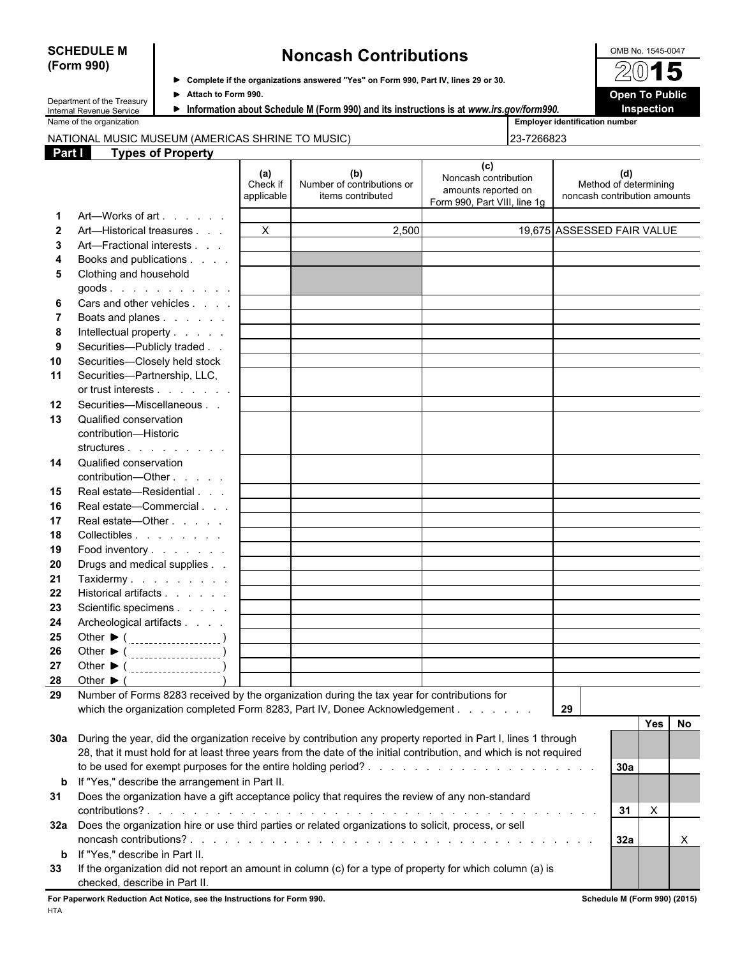## **(Form 990)**

# **SCHEDULE M Noncash Contributions**  $\frac{\text{OMB No. 1545-0047}}{\text{OMB No. 1545-0047}}$

**Complete if the organizations answered "Yes" on Form 990, Part IV, lines 29 or 30.**

|  | Information about Schedule M (Form 990) and its instructions is at www.irs.gov/form |  |
|--|-------------------------------------------------------------------------------------|--|

Department of the Treasury Internal Revenue Service

| <b>Internal Revenue Service</b> | <b>INTERNATIONAL SUPPORT IN LIGHT</b><br>VHIL<br>1 5507 and its msuucuons is at www.ns.gov/formsso. |                                       | шэ |
|---------------------------------|-----------------------------------------------------------------------------------------------------|---------------------------------------|----|
| Name of the organization        |                                                                                                     | <b>Employer identification number</b> |    |

#### NATIONAL MUSIC MUSEUM (AMERICAS SHRINE TO MUSIC) 23-726682

| <b>Employer identification nu</b> |
|-----------------------------------|
| 23-7266823                        |

| Part I         | <b>Types of Property</b>                                                                                            |              |                            |                                                     |                              |                               |
|----------------|---------------------------------------------------------------------------------------------------------------------|--------------|----------------------------|-----------------------------------------------------|------------------------------|-------------------------------|
|                |                                                                                                                     | (a)          | (b)                        | (c)                                                 | (d)                          |                               |
|                |                                                                                                                     | Check if     | Number of contributions or | Noncash contribution                                | Method of determining        |                               |
|                |                                                                                                                     | applicable   | items contributed          | amounts reported on<br>Form 990, Part VIII, line 1g | noncash contribution amounts |                               |
|                | Art—Works of art                                                                                                    |              |                            |                                                     |                              |                               |
| $\mathbf{2}$   | Art-Historical treasures                                                                                            | $\mathsf{X}$ | 2,500                      |                                                     | 19,675 ASSESSED FAIR VALUE   |                               |
| 3              | Art-Fractional interests                                                                                            |              |                            |                                                     |                              |                               |
| 4              | Books and publications                                                                                              |              |                            |                                                     |                              |                               |
| 5              | Clothing and household                                                                                              |              |                            |                                                     |                              |                               |
|                |                                                                                                                     |              |                            |                                                     |                              |                               |
| 6              | Cars and other vehicles                                                                                             |              |                            |                                                     |                              |                               |
| $\overline{7}$ | Boats and planes                                                                                                    |              |                            |                                                     |                              |                               |
| 8              | Intellectual property                                                                                               |              |                            |                                                     |                              |                               |
| 9              | Securities-- Publicly traded                                                                                        |              |                            |                                                     |                              |                               |
| 10             | Securities-Closely held stock                                                                                       |              |                            |                                                     |                              |                               |
| 11             | Securities-Partnership, LLC,                                                                                        |              |                            |                                                     |                              |                               |
|                | or trust interests                                                                                                  |              |                            |                                                     |                              |                               |
| 12             | Securities-Miscellaneous                                                                                            |              |                            |                                                     |                              |                               |
| 13             | Qualified conservation                                                                                              |              |                            |                                                     |                              |                               |
|                | contribution-Historic                                                                                               |              |                            |                                                     |                              |                               |
|                | structures                                                                                                          |              |                            |                                                     |                              |                               |
| 14             | Qualified conservation                                                                                              |              |                            |                                                     |                              |                               |
|                | contribution-Other                                                                                                  |              |                            |                                                     |                              |                               |
| 15             | Real estate-Residential                                                                                             |              |                            |                                                     |                              |                               |
| 16             | Real estate-Commercial                                                                                              |              |                            |                                                     |                              |                               |
| 17             | Real estate—Other                                                                                                   |              |                            |                                                     |                              |                               |
| 18             | Collectibles                                                                                                        |              |                            |                                                     |                              |                               |
| 19             | Food inventory                                                                                                      |              |                            |                                                     |                              |                               |
| 20             | Drugs and medical supplies                                                                                          |              |                            |                                                     |                              |                               |
| 21             | Taxidermy                                                                                                           |              |                            |                                                     |                              |                               |
| 22             | Historical artifacts                                                                                                |              |                            |                                                     |                              |                               |
| 23             | Scientific specimens                                                                                                |              |                            |                                                     |                              |                               |
| 24             | Archeological artifacts                                                                                             |              |                            |                                                     |                              |                               |
| 25             | Other $\triangleright$ ( _____________________)                                                                     |              |                            |                                                     |                              |                               |
| 26             | Other $\blacktriangleright$ (______________________)                                                                |              |                            |                                                     |                              |                               |
| 27             | Other $\triangleright$ ( ______________________)                                                                    |              |                            |                                                     |                              |                               |
| 28             | Other $\blacktriangleright$ (                                                                                       |              |                            |                                                     |                              |                               |
| 29             | Number of Forms 8283 received by the organization during the tax year for contributions for                         |              |                            |                                                     |                              |                               |
|                | which the organization completed Form 8283, Part IV, Donee Acknowledgement                                          |              |                            |                                                     | 29                           |                               |
|                |                                                                                                                     |              |                            |                                                     |                              | Yes <sub>l</sub><br><b>No</b> |
|                | 30a During the year, did the organization receive by contribution any property reported in Part I, lines 1 through  |              |                            |                                                     |                              |                               |
|                | 28, that it must hold for at least three years from the date of the initial contribution, and which is not required |              |                            |                                                     |                              |                               |
|                |                                                                                                                     |              |                            |                                                     | 30a                          |                               |
| b              | If "Yes," describe the arrangement in Part II.                                                                      |              |                            |                                                     |                              |                               |
| 31             | Does the organization have a gift acceptance policy that requires the review of any non-standard                    |              |                            |                                                     |                              |                               |
|                |                                                                                                                     |              |                            |                                                     | 31                           | $\boldsymbol{X}$              |
|                | 32a Does the organization hire or use third parties or related organizations to solicit, process, or sell           |              |                            |                                                     |                              |                               |
|                |                                                                                                                     |              |                            |                                                     | 32a                          | X                             |
| b              | If "Yes," describe in Part II.                                                                                      |              |                            |                                                     |                              |                               |
| 33             | If the organization did not report an amount in column (c) for a type of property for which column (a) is           |              |                            |                                                     |                              |                               |
|                | checked, describe in Part II.                                                                                       |              |                            |                                                     |                              |                               |

**For Paperwork Reduction Act Notice, see the Instructions for Form 990. Schedule M (Form 990) (2015)** HTA

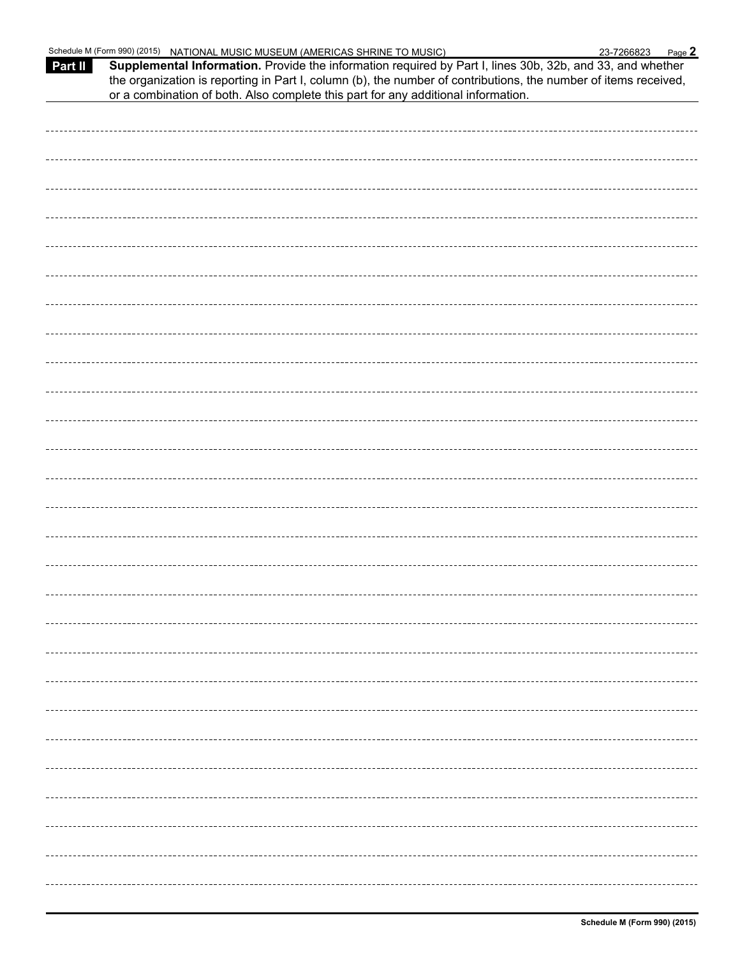| Part II | Schedule M (Form 990) (2015) NATIONAL MUSIC MUSEUM (AMERICAS SHRINE TO MUSIC)<br>Supplemental Information. Provide the information required by Part I, lines 30b, 32b, and 33, and whether<br>the organization is reporting in Part I, column (b), the number of contributions, the number of items received,<br>or a combination of both. Also complete this part for any additional information. | 23-7266823 | Page 2 |
|---------|----------------------------------------------------------------------------------------------------------------------------------------------------------------------------------------------------------------------------------------------------------------------------------------------------------------------------------------------------------------------------------------------------|------------|--------|
|         |                                                                                                                                                                                                                                                                                                                                                                                                    |            |        |
|         |                                                                                                                                                                                                                                                                                                                                                                                                    |            |        |
|         |                                                                                                                                                                                                                                                                                                                                                                                                    |            |        |
|         |                                                                                                                                                                                                                                                                                                                                                                                                    |            |        |
|         |                                                                                                                                                                                                                                                                                                                                                                                                    |            |        |
|         |                                                                                                                                                                                                                                                                                                                                                                                                    |            |        |
|         |                                                                                                                                                                                                                                                                                                                                                                                                    |            |        |
|         |                                                                                                                                                                                                                                                                                                                                                                                                    |            |        |
|         |                                                                                                                                                                                                                                                                                                                                                                                                    |            |        |
|         |                                                                                                                                                                                                                                                                                                                                                                                                    |            |        |
|         |                                                                                                                                                                                                                                                                                                                                                                                                    |            |        |
|         |                                                                                                                                                                                                                                                                                                                                                                                                    |            |        |
|         |                                                                                                                                                                                                                                                                                                                                                                                                    |            |        |
|         |                                                                                                                                                                                                                                                                                                                                                                                                    |            |        |
|         |                                                                                                                                                                                                                                                                                                                                                                                                    |            |        |
|         |                                                                                                                                                                                                                                                                                                                                                                                                    |            |        |
|         |                                                                                                                                                                                                                                                                                                                                                                                                    |            |        |
|         |                                                                                                                                                                                                                                                                                                                                                                                                    |            |        |
|         |                                                                                                                                                                                                                                                                                                                                                                                                    |            |        |
|         |                                                                                                                                                                                                                                                                                                                                                                                                    |            |        |
|         |                                                                                                                                                                                                                                                                                                                                                                                                    |            |        |
|         |                                                                                                                                                                                                                                                                                                                                                                                                    |            |        |
|         |                                                                                                                                                                                                                                                                                                                                                                                                    |            |        |
|         |                                                                                                                                                                                                                                                                                                                                                                                                    |            |        |
|         |                                                                                                                                                                                                                                                                                                                                                                                                    |            |        |
|         |                                                                                                                                                                                                                                                                                                                                                                                                    |            |        |
|         |                                                                                                                                                                                                                                                                                                                                                                                                    |            |        |
|         |                                                                                                                                                                                                                                                                                                                                                                                                    |            |        |
|         |                                                                                                                                                                                                                                                                                                                                                                                                    |            |        |
|         |                                                                                                                                                                                                                                                                                                                                                                                                    |            |        |
|         |                                                                                                                                                                                                                                                                                                                                                                                                    |            |        |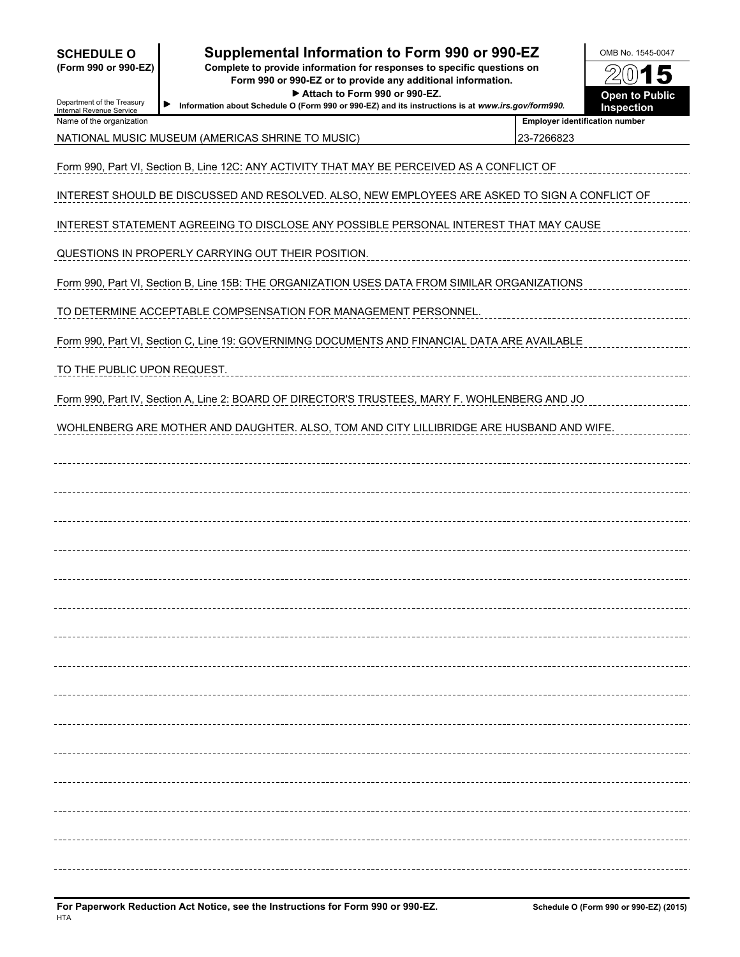| <b>SCHEDULE O</b>   |  |  |
|---------------------|--|--|
| (Form 990 or 990-F2 |  |  |

Department of the Treasury

### **Supplemental Information to Form 990 or 990-EZ** Nomb No. 1545-0047

**(Form 990 or 990-EZ) Complete to provide information for responses to specific questions on Form 990 or 990-EZ or to provide any additional information.** ▶ Attach to Form 990 or 990-EZ. **Depart of Public** 

**Information about Schedule O (Form 990 or 990-EZ) and its instructions is at** *www.irs.gov/form990***.**

5 **Inspection**

**Employer identification number** 

| Internal Revenue Service |  |
|--------------------------|--|
| Name of the organization |  |

NATIONAL MUSIC MUSEUM (AMERICAS SHRINE TO MUSIC) 23-7266823

Form 990, Part VI, Section B, Line 12C: ANY ACTIVITY THAT MAY BE PERCEIVED AS A CONFLICT OF

INTEREST SHOULD BE DISCUSSED AND RESOLVED. ALSO, NEW EMPLOYEES ARE ASKED TO SIGN A CONFLICT OF

INTEREST STATEMENT AGREEING TO DISCLOSE ANY POSSIBLE PERSONAL INTEREST THAT MAY CAUSE

QUESTIONS IN PROPERLY CARRYING OUT THEIR POSITION.

Form 990, Part VI, Section B, Line 15B: THE ORGANIZATION USES DATA FROM SIMILAR ORGANIZATIONS

TO DETERMINE ACCEPTABLE COMPSENSATION FOR MANAGEMENT PERSONNEL.

Form 990, Part VI, Section C, Line 19: GOVERNIMNG DOCUMENTS AND FINANCIAL DATA ARE AVAILABLE

TO THE PUBLIC UPON REQUEST.

Form 990, Part IV, Section A, Line 2: BOARD OF DIRECTOR'S TRUSTEES, MARY F. WOHLENBERG AND JO

WOHLENBERG ARE MOTHER AND DAUGHTER. ALSO, TOM AND CITY LILLIBRIDGE ARE HUSBAND AND WIFE.